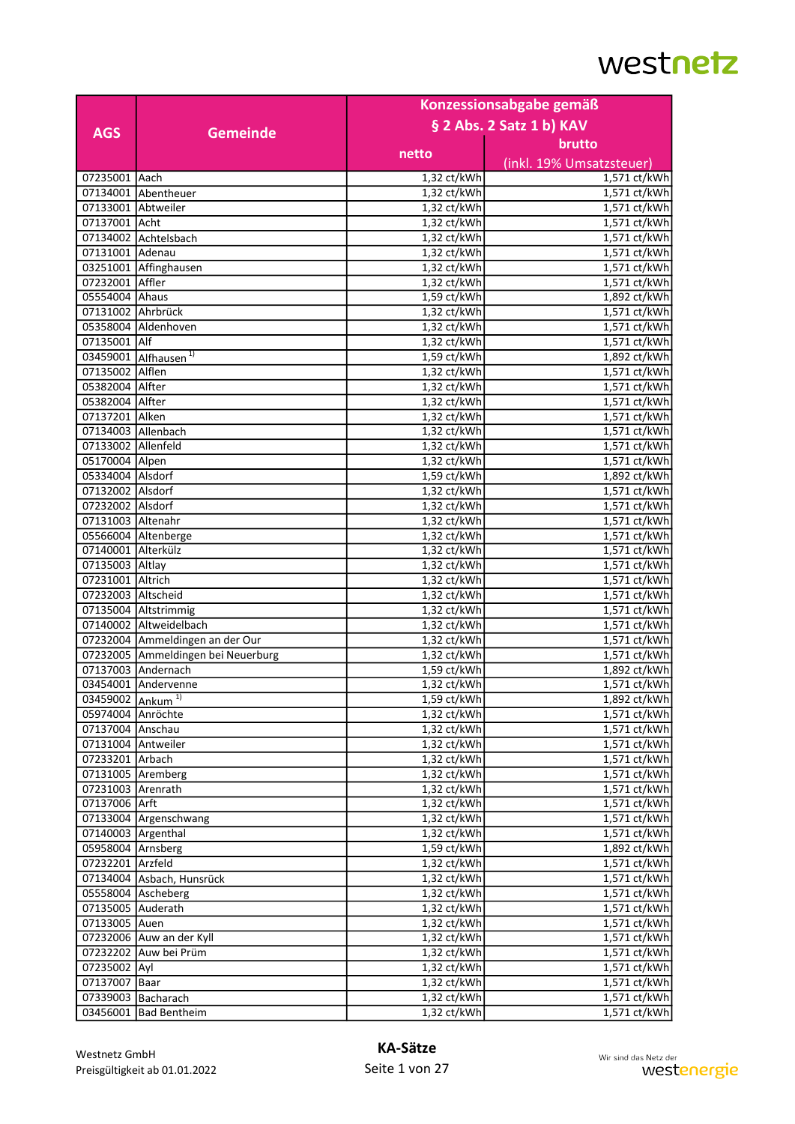|                              |                                    | Konzessionsabgabe gemäß |                           |
|------------------------------|------------------------------------|-------------------------|---------------------------|
|                              |                                    |                         | § 2 Abs. 2 Satz 1 b) KAV  |
| <b>AGS</b>                   | <b>Gemeinde</b>                    |                         | brutto                    |
|                              |                                    | netto                   |                           |
|                              |                                    |                         | (inkl. 19% Umsatzsteuer)  |
| 07235001 Aach                |                                    | 1,32 ct/kWh             | 1,571 ct/kWh              |
|                              | 07134001 Abentheuer                | 1,32 ct/kWh             | 1,571 ct/kWh              |
| 07133001 Abtweiler           |                                    | 1,32 ct/kWh             | 1,571 ct/kWh              |
| 07137001 Acht                |                                    | 1,32 ct/kWh             | 1,571 ct/kWh              |
|                              | 07134002 Achtelsbach               | 1,32 ct/kWh             | 1,571 ct/kWh              |
| 07131001 Adenau              |                                    | 1,32 ct/kWh             | 1,571 ct/kWh              |
|                              | 03251001 Affinghausen              | 1,32 ct/kWh             | 1,571 ct/kWh              |
| 07232001 Affler              |                                    | 1,32 ct/kWh             | 1,571 ct/kWh              |
| 05554004 Ahaus               |                                    | 1,59 ct/kWh             | 1,892 ct/kWh              |
| 07131002 Ahrbrück            |                                    | 1,32 ct/kWh             | 1,571 ct/kWh              |
|                              | 05358004 Aldenhoven                | 1,32 ct/kWh             | 1,571 ct/kWh              |
| 07135001 Alf                 |                                    | 1,32 ct/kWh             | $1,5\overline{71}$ ct/kWh |
|                              | 03459001 Alfhausen <sup>1)</sup>   | 1,59 ct/kWh             | 1,892 ct/kWh              |
| 07135002 Alflen              |                                    | 1,32 ct/kWh             | 1,571 ct/kWh              |
| 05382004 Alfter              |                                    | 1,32 ct/kWh             | 1,571 ct/kWh              |
| 05382004 Alfter              |                                    | 1,32 ct/kWh             | 1,571 ct/kWh              |
| 07137201 Alken               |                                    | 1,32 ct/kWh             | 1,571 ct/kWh              |
| 07134003 Allenbach           |                                    | 1,32 ct/kWh             | 1,571 ct/kWh              |
| 07133002 Allenfeld           |                                    | 1,32 ct/kWh             | 1,571 ct/kWh              |
| 05170004 Alpen               |                                    | 1,32 ct/kWh             | 1,571 ct/kWh              |
| 05334004 Alsdorf             |                                    | 1,59 ct/kWh             | 1,892 ct/kWh              |
| 07132002 Alsdorf             |                                    | 1,32 ct/kWh             | 1,571 ct/kWh              |
| 07232002 Alsdorf             |                                    | 1,32 ct/kWh             | 1,571 ct/kWh              |
| 07131003 Altenahr            |                                    | 1,32 ct/kWh             | 1,571 ct/kWh              |
|                              | 05566004 Altenberge                | 1,32 ct/kWh             | 1,571 ct/kWh              |
| 07140001 Alterkülz           |                                    | 1,32 ct/kWh             | 1,571 ct/kWh              |
| 07135003 Altlay              |                                    | 1,32 ct/kWh             | 1,571 ct/kWh              |
| 07231001 Altrich             |                                    | 1,32 ct/kWh             | 1,571 ct/kWh              |
| 07232003 Altscheid           |                                    | 1,32 ct/kWh             | 1,571 ct/kWh              |
|                              | 07135004 Altstrimmig               | 1,32 ct/kWh             | 1,571 ct/kWh              |
|                              | 07140002 Altweidelbach             | 1,32 ct/kWh             | 1,571 ct/kWh              |
|                              | 07232004 Ammeldingen an der Our    | 1,32 ct/kWh             | 1,571 ct/kWh              |
|                              | 07232005 Ammeldingen bei Neuerburg | 1,32 ct/kWh             | 1,571 ct/kWh              |
|                              | 07137003 Andernach                 | 1,59 ct/kWh             | 1,892 ct/kWh              |
|                              | 03454001 Andervenne                | 1,32 ct/kWh             | 1,571 ct/kWh              |
| 03459002 Ankum <sup>1)</sup> |                                    | 1,59 ct/kWh             | 1,892 ct/kWh              |
| 05974004 Anröchte            |                                    | 1,32 ct/kWh             | 1,571 ct/kWh              |
| 07137004 Anschau             |                                    | 1,32 ct/kWh             | 1,571 ct/kWh              |
| 07131004 Antweiler           |                                    | 1,32 ct/kWh             | 1,571 ct/kWh              |
| 07233201 Arbach              |                                    | 1,32 ct/kWh             | 1,571 ct/kWh              |
| 07131005 Aremberg            |                                    | 1,32 ct/kWh             | 1,571 ct/kWh              |
| 07231003 Arenrath            |                                    | 1,32 ct/kWh             | 1,571 ct/kWh              |
| 07137006 Arft                |                                    | 1,32 ct/kWh             | 1,571 ct/kWh              |
|                              | 07133004 Argenschwang              | 1,32 ct/kWh             | 1,571 ct/kWh              |
| 07140003 Argenthal           |                                    | 1,32 ct/kWh             | 1,571 ct/kWh              |
| 05958004 Arnsberg            |                                    | 1,59 ct/kWh             | 1,892 ct/kWh              |
| 07232201 Arzfeld             |                                    | 1,32 ct/kWh             | 1,571 ct/kWh              |
|                              | 07134004 Asbach, Hunsrück          | 1,32 ct/kWh             | 1,571 ct/kWh              |
|                              | 05558004 Ascheberg                 | 1,32 ct/kWh             | 1,571 ct/kWh              |
| 07135005 Auderath            |                                    | $1,32$ ct/kWh           | 1,571 ct/kWh              |
| 07133005 Auen                |                                    | 1,32 ct/kWh             | 1,571 ct/kWh              |
|                              | 07232006 Auw an der Kyll           | 1,32 ct/kWh             | 1,571 ct/kWh              |
|                              | 07232202 Auw bei Prüm              | 1,32 ct/kWh             | 1,571 ct/kWh              |
| 07235002 Ayl                 |                                    | 1,32 ct/kWh             | 1,571 ct/kWh              |
| 07137007 Baar                |                                    | 1,32 ct/kWh             | 1,571 ct/kWh              |
|                              | 07339003 Bacharach                 | 1,32 ct/kWh             | 1,571 ct/kWh              |
|                              | 03456001 Bad Bentheim              | 1,32 ct/kWh             | 1,571 ct/kWh              |
|                              |                                    |                         |                           |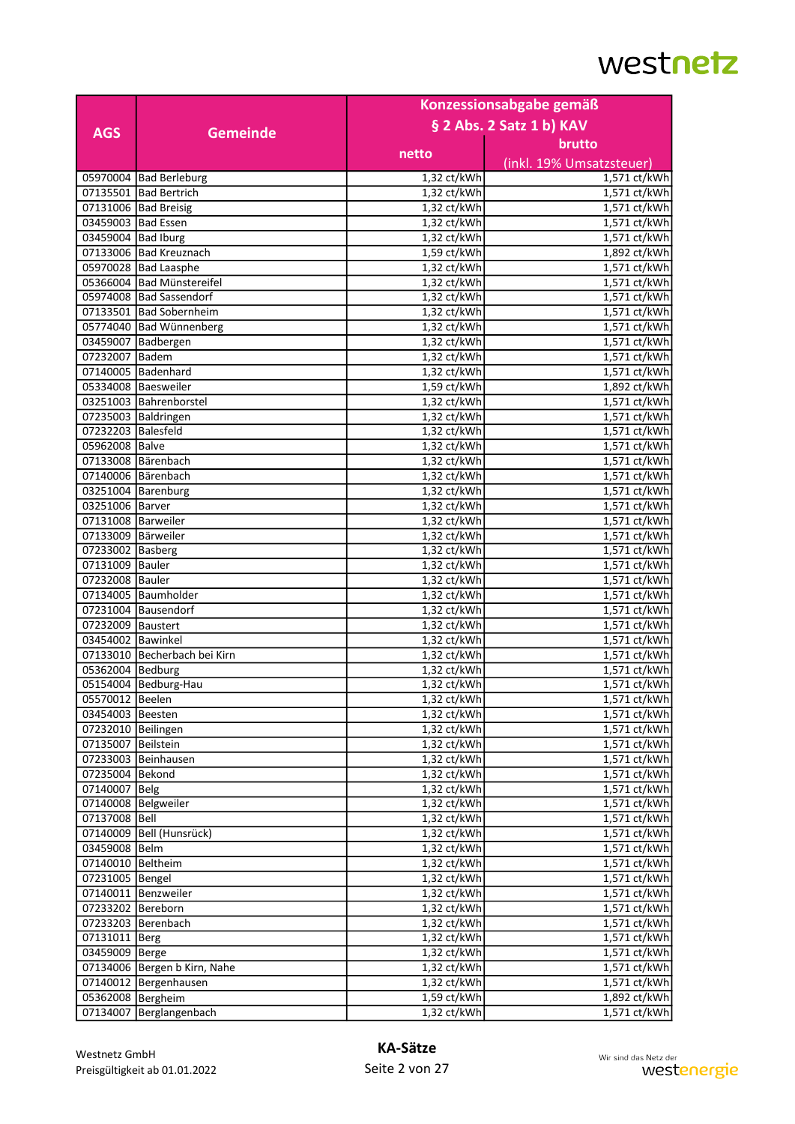|                                         |                              | Konzessionsabgabe gemäß            |                              |
|-----------------------------------------|------------------------------|------------------------------------|------------------------------|
|                                         |                              |                                    | § 2 Abs. 2 Satz 1 b) KAV     |
| <b>AGS</b>                              | <b>Gemeinde</b>              |                                    |                              |
|                                         |                              | netto                              | brutto                       |
|                                         |                              |                                    | (inkl. 19% Umsatzsteuer)     |
|                                         | 05970004 Bad Berleburg       | 1,32 ct/kWh                        | 1,571 ct/kWh                 |
|                                         | 07135501   Bad Bertrich      | 1,32 ct/kWh                        | 1,571 ct/kWh                 |
|                                         | 07131006   Bad Breisig       | 1,32 ct/kWh                        | 1,571 ct/kWh                 |
| 03459003   Bad Essen                    |                              | 1,32 ct/kWh                        | 1,571 ct/kWh                 |
| 03459004 Bad Iburg                      |                              | 1,32 ct/kWh                        | 1,571 ct/kWh                 |
|                                         | 07133006 Bad Kreuznach       | 1,59 ct/kWh                        | 1,892 ct/kWh                 |
|                                         | 05970028   Bad Laasphe       | 1,32 ct/kWh                        | 1,571 ct/kWh                 |
|                                         | 05366004 Bad Münstereifel    | 1,32 ct/kWh                        | 1,571 ct/kWh                 |
|                                         | 05974008 Bad Sassendorf      | 1,32 ct/kWh                        | 1,571 ct/kWh                 |
|                                         | 07133501 Bad Sobernheim      | 1,32 ct/kWh                        | 1,571 ct/kWh                 |
|                                         | 05774040 Bad Wünnenberg      | 1,32 ct/kWh                        | 1,571 ct/kWh                 |
|                                         | 03459007 Badbergen           | 1,32 ct/kWh                        | 1,571 ct/kWh                 |
| 07232007                                | Badem                        | 1,32 ct/kWh                        | 1,571 ct/kWh                 |
|                                         | 07140005 Badenhard           | 1,32 ct/kWh                        | 1,571 ct/kWh                 |
|                                         | 05334008 Baesweiler          | 1,59 ct/kWh                        | 1,892 ct/kWh                 |
|                                         | 03251003   Bahrenborstel     | 1,32 ct/kWh                        | 1,571 ct/kWh                 |
|                                         | 07235003 Baldringen          | 1,32 ct/kWh                        | 1,571 ct/kWh                 |
| 07232203 Balesfeld                      |                              | 1,32 ct/kWh                        | 1,571 ct/kWh                 |
| 05962008   Balve                        |                              | 1,32 ct/kWh                        | 1,571 ct/kWh                 |
|                                         | 07133008 Bärenbach           | 1,32 ct/kWh                        | 1,571 ct/kWh                 |
|                                         | 07140006 Bärenbach           | 1,32 ct/kWh                        | 1,571 ct/kWh                 |
|                                         | 03251004 Barenburg           | 1,32 ct/kWh                        | 1,571 ct/kWh                 |
| 03251006 Barver                         |                              | 1,32 ct/kWh                        | 1,571 ct/kWh                 |
| 07131008   Barweiler                    |                              | 1,32 ct/kWh                        | 1,571 ct/kWh                 |
| 07133009 Bärweiler                      |                              | $1,32$ ct/kWh                      | 1,571 ct/kWh                 |
| 07233002 Basberg                        |                              | $1,32$ ct/kWh                      | 1,571 ct/kWh                 |
| 07131009 Bauler                         |                              | 1,32 ct/kWh                        | 1,571 ct/kWh                 |
| 07232008   Bauler                       |                              | 1,32 ct/kWh                        | 1,571 ct/kWh                 |
|                                         | 07134005   Baumholder        | 1,32 ct/kWh                        | 1,571 ct/kWh                 |
|                                         | 07231004 Bausendorf          | 1,32 ct/kWh                        | 1,571 ct/kWh                 |
| 07232009 Baustert                       |                              | 1,32 ct/kWh                        | 1,571 ct/kWh                 |
| 03454002 Bawinkel                       |                              | 1,32 ct/kWh                        | 1,571 ct/kWh                 |
|                                         | 07133010 Becherbach bei Kirn | 1,32 ct/kWh                        | 1,571 ct/kWh                 |
| 05362004 Bedburg                        |                              | 1,32 ct/kWh                        | 1,571 ct/kWh                 |
|                                         | 05154004 Bedburg-Hau         | 1,32 ct/kWh                        | 1,571 ct/kWh                 |
|                                         |                              |                                    |                              |
| 05570012   Beelen<br>03454003   Beesten |                              | 1,32 ct/kWh <br>1,32 ct/kWh        | 1,571 ct/kWh<br>1,571 ct/kWh |
| 07232010   Beilingen                    |                              | 1,32 ct/kWh                        | 1,571 ct/kWh                 |
| 07135007 Beilstein                      |                              | 1,32 ct/kWh                        | 1,571 ct/kWh                 |
|                                         |                              | $1,32$ ct/kWh                      |                              |
|                                         | 07233003 Beinhausen          |                                    | 1,571 ct/kWh                 |
| 07235004 Bekond                         |                              | 1,32 ct/kWh                        | 1,571 ct/kWh                 |
| 07140007 Belg                           |                              | 1,32 ct/kWh                        | 1,571 ct/kWh                 |
|                                         | 07140008 Belgweiler          | $1,32$ ct/ $\overline{\text{kWh}}$ | 1,571 ct/kWh                 |
| 07137008 Bell                           |                              | 1,32 ct/kWh                        | 1,571 ct/kWh                 |
|                                         | 07140009 Bell (Hunsrück)     | 1,32 ct/kWh                        | 1,571 ct/kWh                 |
| 03459008 Belm                           |                              | 1,32 ct/kWh                        | 1,571 ct/kWh                 |
| 07140010 Beltheim                       |                              | 1,32 ct/kWh                        | 1,571 ct/kWh                 |
| 07231005   Bengel                       |                              | 1,32 ct/kWh                        | 1,571 ct/kWh                 |
|                                         | 07140011 Benzweiler          | 1,32 ct/kWh                        | 1,571 ct/kWh                 |
| 07233202 Bereborn                       |                              | 1,32 ct/kWh                        | 1,571 ct/kWh                 |
|                                         | 07233203 Berenbach           | 1,32 ct/kWh                        | 1,571 ct/kWh                 |
| 07131011   Berg                         |                              | 1,32 ct/kWh                        | 1,571 ct/kWh                 |
| 03459009 Berge                          |                              | 1,32 ct/kWh                        | 1,571 ct/kWh                 |
|                                         | 07134006 Bergen b Kirn, Nahe | 1,32 ct/kWh                        | 1,571 ct/kWh                 |
|                                         | 07140012 Bergenhausen        | 1,32 ct/kWh                        | 1,571 ct/kWh                 |
| 05362008 Bergheim                       |                              | 1,59 ct/kWh                        | 1,892 ct/kWh                 |
|                                         | 07134007 Berglangenbach      | 1,32 ct/kWh                        | 1,571 ct/kWh                 |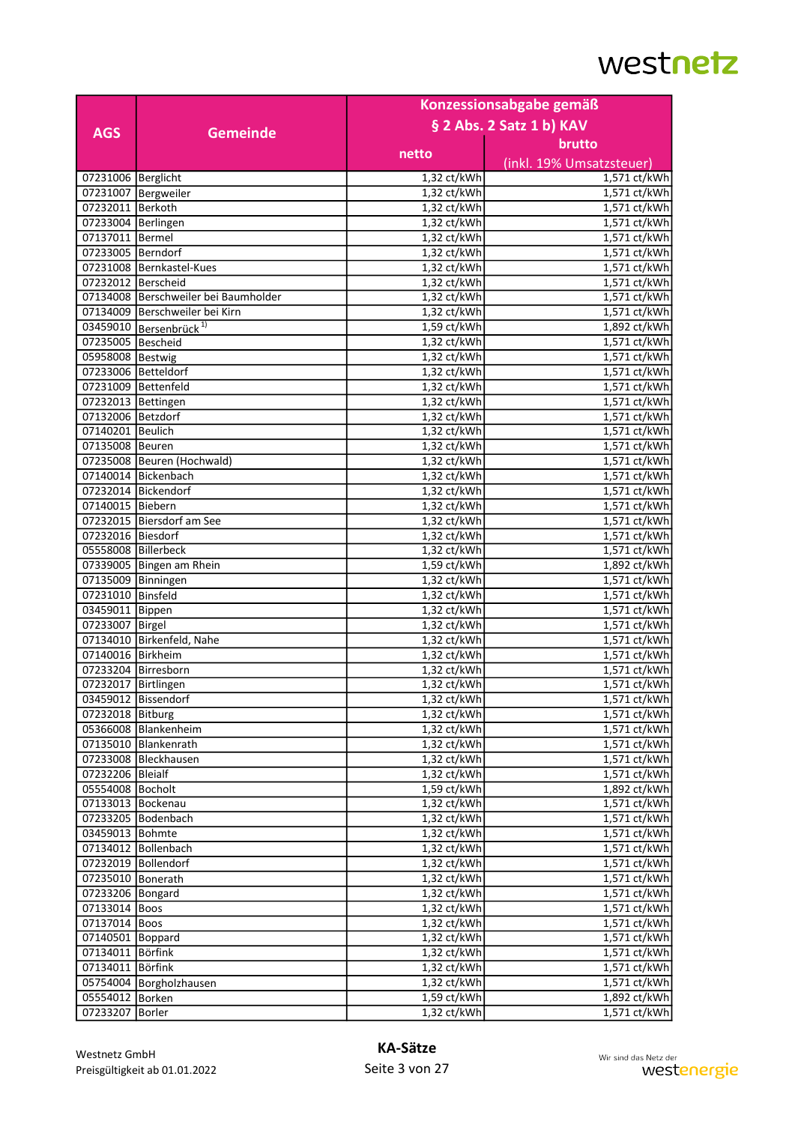|                                      |                                      |                            | Konzessionsabgabe gemäß      |
|--------------------------------------|--------------------------------------|----------------------------|------------------------------|
|                                      |                                      |                            | § 2 Abs. 2 Satz 1 b) KAV     |
| <b>AGS</b>                           | <b>Gemeinde</b>                      |                            | brutto                       |
|                                      |                                      | netto                      |                              |
|                                      |                                      |                            | (inkl. 19% Umsatzsteuer)     |
| 07231006 Berglicht                   |                                      | $1,32$ ct/kWh              | 1,571 ct/kWh                 |
|                                      | 07231007 Bergweiler                  | 1,32 ct/kWh                | 1,571 ct/kWh                 |
| 07232011 Berkoth                     |                                      | 1,32 ct/kWh                | 1,571 ct/kWh                 |
| 07233004 Berlingen                   |                                      | 1,32 ct/kWh                | 1,571 ct/kWh                 |
| 07137011 Bermel                      |                                      | 1,32 ct/kWh                | 1,571 ct/kWh                 |
| 07233005 Berndorf                    |                                      | 1,32 ct/kWh                | 1,571 ct/kWh                 |
|                                      | 07231008 Bernkastel-Kues             | $1,32$ ct/kWh              | 1,571 ct/kWh                 |
| 07232012 Berscheid                   |                                      | 1,32 ct/kWh                | $1,5\overline{71}$ ct/kWh    |
|                                      | 07134008 Berschweiler bei Baumholder | 1,32 ct/kWh                | 1,571 ct/kWh                 |
|                                      | 07134009 Berschweiler bei Kirn       | 1,32 ct/kWh                | 1,571 ct/kWh                 |
|                                      | 03459010 Bersenbrück <sup>1)</sup>   | 1,59 ct/kWh                | 1,892 ct/kWh                 |
| 07235005 Bescheid                    |                                      | 1,32 ct/kWh                | $1,571$ ct/kWh               |
| 05958008 Bestwig                     |                                      | 1,32 ct/kWh                | 1,571 ct/kWh                 |
|                                      | 07233006 Betteldorf                  | 1,32 ct/kWh                | 1,571 ct/kWh                 |
|                                      | 07231009   Bettenfeld                | 1,32 ct/kWh                | 1,571 ct/kWh                 |
| 07232013   Bettingen                 |                                      | 1,32 ct/kWh                | 1,571 ct/kWh                 |
| 07132006 Betzdorf                    |                                      | 1,32 ct/kWh                | 1,571 ct/kWh                 |
| 07140201 Beulich                     |                                      | 1,32 ct/kWh                | 1,571 ct/kWh                 |
| 07135008 Beuren                      |                                      | 1,32 ct/kWh                | 1,571 ct/kWh                 |
|                                      | 07235008 Beuren (Hochwald)           | 1,32 ct/kWh                | 1,571 ct/kWh                 |
|                                      | 07140014 Bickenbach                  | 1,32 ct/kWh                | 1,571 ct/kWh                 |
|                                      | 07232014 Bickendorf                  | 1,32 ct/kWh                | 1,571 ct/kWh                 |
| 07140015   Biebern                   |                                      | 1,32 ct/kWh                | 1,571 ct/kWh                 |
|                                      | 07232015 Biersdorf am See            | 1,32 ct/kWh                | 1,571 ct/kWh                 |
| 07232016 Biesdorf                    |                                      | $1,32$ ct/kWh              | 1,571 ct/kWh                 |
| 05558008   Billerbeck                |                                      | 1,32 ct/kWh                | 1,571 ct/kWh                 |
|                                      | 07339005 Bingen am Rhein             | 1,59 ct/kWh                | 1,892 ct/kWh                 |
| 07135009 Binningen                   |                                      | 1,32 ct/kWh                | 1,571 ct/kWh                 |
| 07231010 Binsfeld                    |                                      | 1,32 ct/kWh                | 1,571 ct/kWh                 |
| 03459011 Bippen                      |                                      | 1,32 ct/kWh                | 1,571 ct/kWh                 |
| 07233007 Birgel                      |                                      | 1,32 ct/kWh                | 1,571 ct/kWh                 |
|                                      | 07134010 Birkenfeld, Nahe            | $1,32$ ct/kWh              | 1,571 ct/kWh                 |
| 07140016 Birkheim                    |                                      | $1,32$ ct/kWh              | $1,5\overline{71}$ ct/kWh    |
|                                      | 07233204 Birresborn                  | 1,32 ct/kWh                | 1,571 ct/kWh                 |
| 07232017 Birtlingen                  |                                      | 1,32 ct/kWh                | 1,571 ct/kWh                 |
|                                      | 03459012   Bissendorf                | $1,32$ ct/kWh              | 1,571 ct/kWh                 |
| 07232018   Bitburg                   |                                      | 1,32 ct/kWh                | 1,571 ct/kWh                 |
|                                      | 05366008 Blankenheim                 | 1,32 ct/kWh                | 1,571 ct/kWh                 |
|                                      | 07135010 Blankenrath                 |                            | 1,571 ct/kWh                 |
|                                      |                                      | 1,32 ct/kWh                |                              |
|                                      | 07233008 Bleckhausen                 | 1,32 ct/kWh                | 1,571 ct/kWh                 |
| 07232206 Bleialf<br>05554008 Bocholt |                                      | 1,32 ct/kWh<br>1,59 ct/kWh | 1,571 ct/kWh<br>1,892 ct/kWh |
|                                      |                                      |                            |                              |
| 07133013 Bockenau                    |                                      | 1,32 ct/kWh                | 1,571 ct/kWh                 |
|                                      | 07233205 Bodenbach                   | $1,32$ ct/kWh              | 1,571 ct/kWh                 |
| 03459013   Bohmte                    |                                      | 1,32 ct/kWh                | 1,571 ct/kWh                 |
|                                      | 07134012 Bollenbach                  | 1,32 ct/kWh                | 1,571 ct/kWh                 |
|                                      | 07232019 Bollendorf                  | 1,32 ct/kWh                | 1,571 ct/kWh                 |
| 07235010 Bonerath                    |                                      | 1,32 ct/kWh                | 1,571 ct/kWh                 |
| 07233206 Bongard                     |                                      | 1,32 ct/kWh                | 1,571 ct/kWh                 |
| 07133014 Boos                        |                                      | 1,32 ct/kWh                | 1,571 ct/kWh                 |
| 07137014 Boos                        |                                      | $1,32$ ct/kWh              | 1,571 ct/kWh                 |
| 07140501 Boppard                     |                                      | 1,32 ct/kWh                | 1,571 ct/kWh                 |
| 07134011 Börfink                     |                                      | 1,32 ct/kWh                | 1,571 ct/kWh                 |
| 07134011   Börfink                   |                                      | 1,32 ct/kWh                | 1,571 ct/kWh                 |
|                                      | 05754004 Borgholzhausen              | 1,32 ct/kWh                | 1,571 ct/kWh                 |
| 05554012 Borken                      |                                      | 1,59 ct/kWh                | 1,892 ct/kWh                 |
| 07233207 Borler                      |                                      | 1,32 ct/kWh                | 1,571 ct/kWh                 |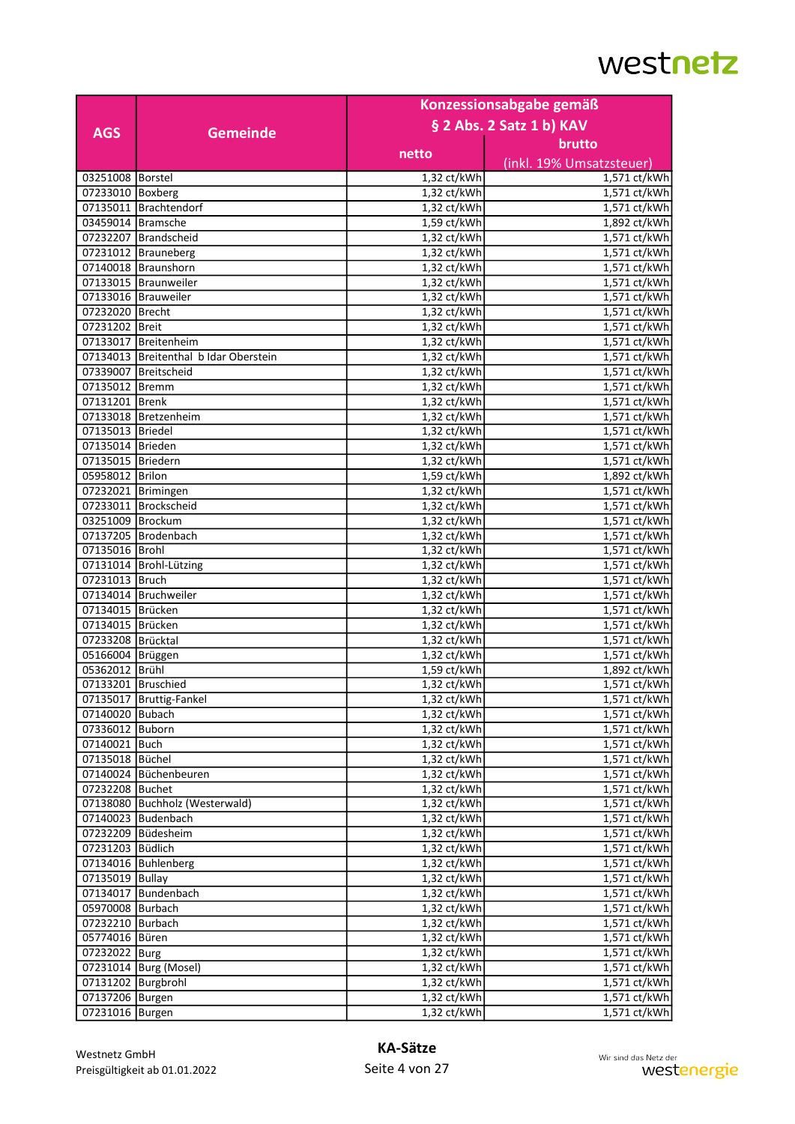|                      |                                       | Konzessionsabgabe gemäß |                              |
|----------------------|---------------------------------------|-------------------------|------------------------------|
|                      |                                       |                         | § 2 Abs. 2 Satz 1 b) KAV     |
| <b>AGS</b>           | <b>Gemeinde</b>                       |                         |                              |
|                      |                                       | netto                   | brutto                       |
|                      |                                       |                         | (inkl. 19% Umsatzsteuer)     |
| 03251008 Borstel     |                                       | 1,32 ct/kWh             | 1,571 ct/kWh                 |
| 07233010 Boxberg     |                                       | 1,32 ct/kWh             | 1,571 ct/kWh                 |
|                      | 07135011 Brachtendorf                 | 1,32 ct/kWh             | 1,571 ct/kWh                 |
| 03459014 Bramsche    |                                       | 1,59 ct/kWh             | 1,892 ct/kWh                 |
|                      | 07232207 Brandscheid                  | 1,32 ct/kWh             | 1,571 ct/kWh                 |
|                      | 07231012 Brauneberg                   | 1,32 ct/kWh             | 1,571 ct/kWh                 |
|                      | 07140018 Braunshorn                   | 1,32 ct/kWh             | 1,571 ct/kWh                 |
|                      | 07133015 Braunweiler                  | 1,32 ct/kWh             | 1,571 ct/kWh                 |
|                      | 07133016   Brauweiler                 | 1,32 ct/kWh             | 1,571 ct/kWh                 |
| 07232020 Brecht      |                                       | 1,32 ct/kWh             | 1,571 ct/kWh                 |
| 07231202 Breit       |                                       | 1,32 ct/kWh             | 1,571 ct/kWh                 |
|                      | 07133017 Breitenheim                  | 1,32 ct/kWh             | 1,571 ct/kWh                 |
|                      | 07134013 Breitenthal b Idar Oberstein | 1,32 ct/kWh             | 1,571 ct/kWh                 |
|                      | 07339007 Breitscheid                  | 1,32 ct/kWh             | 1,571 ct/kWh                 |
| 07135012 Bremm       |                                       | 1,32 ct/kWh             | 1,571 ct/kWh                 |
| 07131201 Brenk       |                                       | 1,32 ct/kWh             | 1,571 ct/kWh                 |
|                      | 07133018 Bretzenheim                  | 1,32 ct/kWh             | 1,571 ct/kWh                 |
| 07135013   Briedel   |                                       | 1,32 ct/kWh             | 1,571 ct/kWh                 |
| 07135014   Brieden   |                                       | 1,32 ct/kWh             | 1,571 ct/kWh                 |
| 07135015 Briedern    |                                       | 1,32 ct/kWh             | 1,571 ct/kWh                 |
| 05958012   Brilon    |                                       | $1,59$ ct/kWh           | 1,892 ct/kWh                 |
| 07232021   Brimingen |                                       | 1,32 ct/kWh             | 1,571 ct/kWh                 |
|                      | 07233011 Brockscheid                  | 1,32 ct/kWh             | 1,571 ct/kWh                 |
| 03251009 Brockum     |                                       | 1,32 ct/kWh             | 1,571 ct/kWh                 |
|                      | 07137205 Brodenbach                   | 1,32 ct/kWh             | 1,571 ct/kWh                 |
| 07135016 Brohl       |                                       | $1,32$ ct/kWh           | $1,5\overline{71}$ ct/kWh    |
|                      | 07131014 Brohl-Lützing                | 1,32 ct/kWh             | 1,571 ct/kWh                 |
| 07231013 Bruch       |                                       | 1,32 ct/kWh             | 1,571 ct/kWh                 |
|                      | 07134014 Bruchweiler                  | 1,32 ct/kWh             | $1,5\overline{71}$ ct/kWh    |
| 07134015   Brücken   |                                       | 1,32 ct/kWh             | 1,571 ct/kWh                 |
| 07134015 Brücken     |                                       | 1,32 ct/kWh             | 1,571 ct/kWh                 |
| 07233208 Brücktal    |                                       | 1,32 ct/kWh             | 1,571 ct/kWh                 |
| 05166004 Brüggen     |                                       | 1,32 ct/kWh             | 1,571 ct/kWh                 |
| 05362012 Brühl       |                                       | 1,59 ct/kWh             | 1,892 ct/kWh                 |
| 07133201 Bruschied   |                                       | 1,32 ct/kWh             | 1,571 ct/kWh                 |
|                      |                                       | 1,32 ct/kWh             |                              |
| 07140020 Bubach      | 07135017   Bruttig-Fankel             | $1,32$ ct/kWh           | 1,571 ct/kWh<br>1,571 ct/kWh |
| 07336012 Buborn      |                                       | 1,32 ct/kWh             |                              |
| 07140021 Buch        |                                       | 1,32 ct/kWh             | 1,571 ct/kWh                 |
| 07135018 Büchel      |                                       |                         | 1,571 ct/kWh<br>1,571 ct/kWh |
|                      | 07140024 Büchenbeuren                 | 1,32 ct/kWh             |                              |
|                      |                                       | 1,32 ct/kWh             | 1,571 ct/kWh                 |
| 07232208 Buchet      | 07138080 Buchholz (Westerwald)        | 1,32 ct/kWh             | 1,571 ct/kWh                 |
|                      |                                       | $1,32$ ct/kWh           | 1,571 ct/kWh                 |
|                      | 07140023   Budenbach                  | 1,32 ct/kWh             | 1,571 ct/kWh                 |
|                      | 07232209 Büdesheim                    | 1,32 ct/kWh             | 1,571 ct/kWh                 |
| 07231203 Büdlich     |                                       | 1,32 ct/kWh             | 1,571 ct/kWh                 |
|                      | 07134016 Buhlenberg                   | 1,32 ct/kWh             | 1,571 ct/kWh                 |
| 07135019 Bullay      |                                       | 1,32 ct/kWh             | 1,571 ct/kWh                 |
|                      | 07134017 Bundenbach                   | 1,32 ct/kWh             | 1,571 ct/kWh                 |
| 05970008 Burbach     |                                       | $1,32$ ct/kWh           | 1,571 ct/kWh                 |
| 07232210 Burbach     |                                       | 1,32 ct/kWh             | 1,571 ct/kWh                 |
| 05774016 Büren       |                                       | 1,32 ct/kWh             | 1,571 ct/kWh                 |
| 07232022 Burg        |                                       | 1,32 ct/kWh             | 1,571 ct/kWh                 |
|                      | 07231014   Burg (Mosel)               | 1,32 ct/kWh             | 1,571 ct/kWh                 |
| 07131202 Burgbrohl   |                                       | 1,32 ct/kWh             | 1,571 ct/kWh                 |
| 07137206 Burgen      |                                       | 1,32 ct/kWh             | 1,571 ct/kWh                 |
| 07231016 Burgen      |                                       | 1,32 ct/kWh             | 1,571 ct/kWh                 |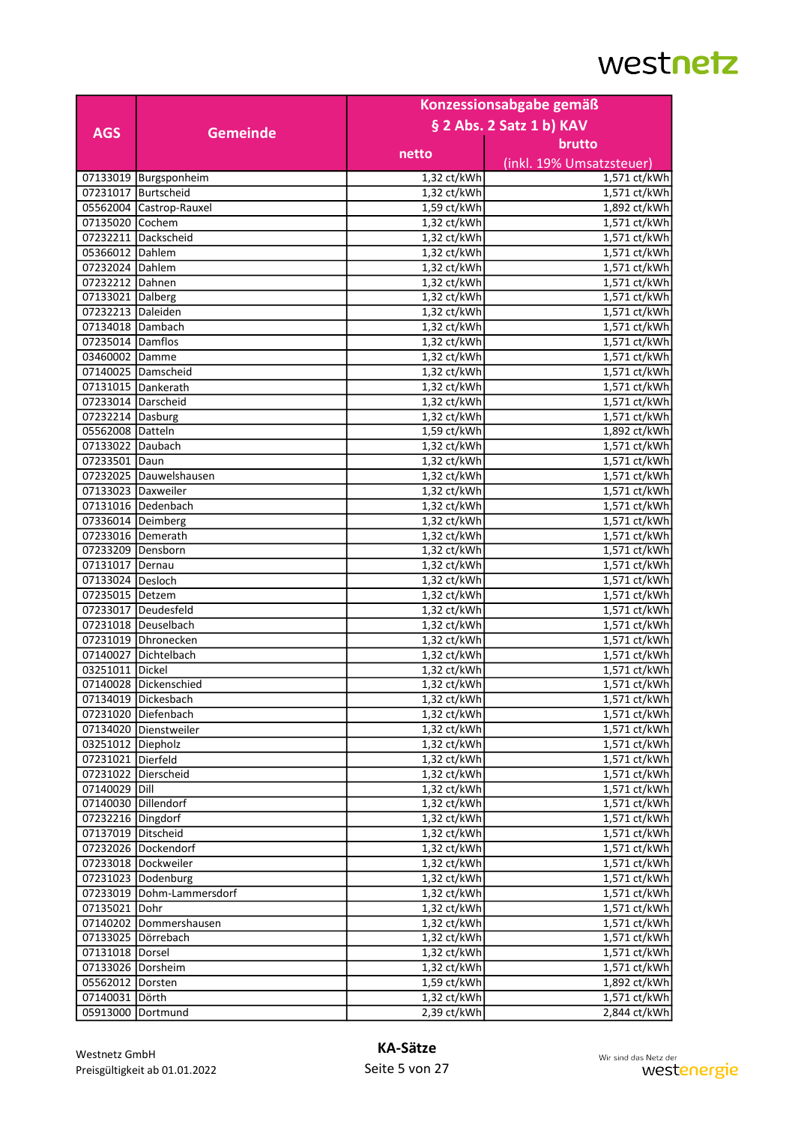|                     |                           | Konzessionsabgabe gemäß            |                              |
|---------------------|---------------------------|------------------------------------|------------------------------|
|                     |                           |                                    | § 2 Abs. 2 Satz 1 b) KAV     |
| <b>AGS</b>          | <b>Gemeinde</b>           |                                    |                              |
|                     |                           | netto                              | brutto                       |
|                     |                           |                                    | (inkl. 19% Umsatzsteuer)     |
|                     | 07133019 Burgsponheim     | 1,32 ct/kWh                        | 1,571 ct/kWh                 |
|                     | 07231017 Burtscheid       | 1,32 ct/kWh                        | 1,571 ct/kWh                 |
|                     | 05562004 Castrop-Rauxel   | 1,59 ct/kWh                        | 1,892 ct/kWh                 |
| 07135020 Cochem     |                           | 1,32 ct/kWh                        | 1,571 ct/kWh                 |
|                     | 07232211 Dackscheid       | 1,32 ct/kWh                        | 1,571 ct/kWh                 |
| 05366012 Dahlem     |                           | 1,32 ct/kWh                        | 1,571 ct/kWh                 |
| 07232024 Dahlem     |                           | 1,32 ct/kWh                        | 1,571 ct/kWh                 |
| 07232212 Dahnen     |                           | 1,32 ct/kWh                        | 1,571 ct/kWh                 |
| 07133021 Dalberg    |                           | 1,32 ct/kWh                        | 1,571 ct/kWh                 |
| 07232213 Daleiden   |                           | 1,32 ct/kWh                        | 1,571 ct/kWh                 |
| 07134018 Dambach    |                           | 1,32 ct/kWh                        | 1,571 ct/kWh                 |
| 07235014 Damflos    |                           | 1,32 ct/kWh                        | 1,571 ct/kWh                 |
| 03460002 Damme      |                           | 1,32 ct/kWh                        | 1,571 ct/kWh                 |
|                     | 07140025 Damscheid        | 1,32 ct/kWh                        | 1,571 ct/kWh                 |
|                     | 07131015 Dankerath        | 1,32 ct/kWh                        | 1,571 ct/kWh                 |
| 07233014 Darscheid  |                           | 1,32 ct/kWh                        | 1,571 ct/kWh                 |
| 07232214 Dasburg    |                           | $1,32$ ct/kWh                      | 1,571 ct/kWh                 |
| 05562008 Datteln    |                           | 1,59 ct/kWh                        | 1,892 ct/kWh                 |
| 07133022 Daubach    |                           | 1,32 ct/kWh                        | 1,571 ct/kWh                 |
| 07233501 Daun       |                           | 1,32 ct/kWh                        | 1,571 ct/kWh                 |
|                     | 07232025 Dauwelshausen    | 1,32 ct/kWh                        | 1,571 ct/kWh                 |
| 07133023 Daxweiler  |                           | $1,32$ ct/ $\overline{\text{kWh}}$ | 1,571 ct/kWh                 |
|                     | 07131016 Dedenbach        | 1,32 ct/kWh                        | 1,571 ct/kWh                 |
| 07336014 Deimberg   |                           | 1,32 ct/kWh                        | 1,571 ct/kWh                 |
| 07233016 Demerath   |                           | 1,32 ct/kWh                        | 1,571 ct/kWh                 |
| 07233209 Densborn   |                           | 1,32 ct/kWh                        | 1,571 ct/kWh                 |
| 07131017 Dernau     |                           | 1,32 ct/kWh                        | 1,571 ct/kWh                 |
| 07133024 Desloch    |                           | 1,32 ct/kWh                        | 1,571 ct/kWh                 |
| 07235015   Detzem   |                           | 1,32 ct/kWh                        | 1,571 ct/kWh                 |
|                     | 07233017   Deudesfeld     | 1,32 ct/kWh                        | 1,571 ct/kWh                 |
|                     | 07231018 Deuselbach       | 1,32 ct/kWh                        | 1,571 ct/kWh                 |
|                     | 07231019 Dhronecken       | 1,32 ct/kWh                        | 1,571 ct/kWh                 |
| 07140027            | Dichtelbach               | 1,32 ct/kWh                        | 1,571 ct/kWh                 |
| 03251011 Dickel     |                           | 1,32 ct/kWh                        | 1,571 ct/kWh                 |
|                     | 07140028 Dickenschied     | 1,32 ct/kWh                        | 1,571 ct/kWh                 |
|                     | 07134019   Dickesbach     | $1,32$ ct/kWh                      | 1,571 ct/kWh                 |
|                     | 07231020 Diefenbach       | 1,32 ct/kWh                        | 1,571 ct/kWh                 |
|                     | 07134020 Dienstweiler     | 1,32 ct/kWh                        | 1,571 ct/kWh                 |
| 03251012 Diepholz   |                           |                                    |                              |
| 07231021 Dierfeld   |                           | 1,32 ct/kWh<br>$1,32$ ct/kWh       | 1,571 ct/kWh<br>1,571 ct/kWh |
|                     |                           |                                    |                              |
| 07140029 Dill       | 07231022 Dierscheid       | 1,32 ct/kWh<br>1,32 ct/kWh         | 1,571 ct/kWh<br>1,571 ct/kWh |
|                     |                           |                                    |                              |
| 07140030 Dillendorf |                           | 1,32 ct/kWh                        | 1,571 ct/kWh                 |
| 07232216 Dingdorf   |                           | $1,32$ ct/kWh                      | 1,571 ct/kWh                 |
| 07137019 Ditscheid  |                           | 1,32 ct/kWh                        | 1,571 ct/kWh                 |
|                     | 07232026 Dockendorf       | 1,32 ct/kWh                        | 1,571 ct/kWh                 |
|                     | 07233018 Dockweiler       | 1,32 ct/kWh                        | 1,571 ct/kWh                 |
|                     | 07231023 Dodenburg        | 1,32 ct/kWh                        | 1,571 ct/kWh                 |
|                     | 07233019 Dohm-Lammersdorf | 1,32 ct/kWh                        | 1,571 ct/kWh                 |
| 07135021 Dohr       |                           | 1,32 ct/kWh                        | 1,571 ct/kWh                 |
|                     | 07140202 Dommershausen    | $1,32$ ct/kWh                      | 1,571 ct/kWh                 |
|                     | 07133025 Dörrebach        | 1,32 ct/kWh                        | 1,571 ct/kWh                 |
| 07131018 Dorsel     |                           | 1,32 ct/kWh                        | 1,571 ct/kWh                 |
| 07133026 Dorsheim   |                           | 1,32 ct/kWh                        | 1,571 ct/kWh                 |
| 05562012 Dorsten    |                           | 1,59 ct/kWh                        | 1,892 ct/kWh                 |
| 07140031 Dörth      |                           | 1,32 ct/kWh                        | 1,571 ct/kWh                 |
| 05913000 Dortmund   |                           | 2,39 ct/kWh                        | 2,844 ct/kWh                 |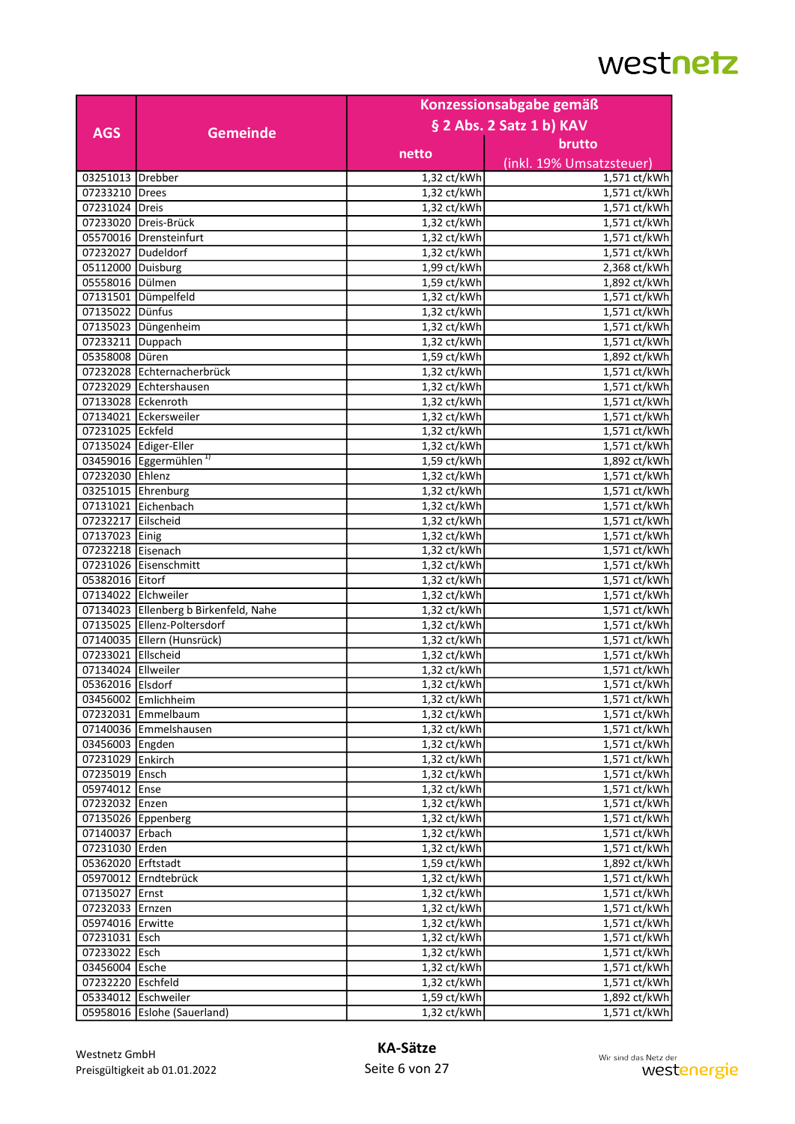|                     |                                       | Konzessionsabgabe gemäß |                          |
|---------------------|---------------------------------------|-------------------------|--------------------------|
|                     |                                       |                         | § 2 Abs. 2 Satz 1 b) KAV |
| <b>AGS</b>          | <b>Gemeinde</b>                       |                         | brutto                   |
|                     |                                       | netto                   |                          |
|                     |                                       |                         | (inkl. 19% Umsatzsteuer) |
| 03251013   Drebber  |                                       | $1,32$ ct/kWh           | 1,571 ct/kWh             |
| 07233210 Drees      |                                       | 1,32 ct/kWh             | 1,571 ct/kWh             |
| 07231024 Dreis      |                                       | 1,32 ct/kWh             | 1,571 ct/kWh             |
|                     | 07233020 Dreis-Brück                  | 1,32 ct/kWh             | 1,571 ct/kWh             |
|                     | 05570016 Drensteinfurt                | 1,32 ct/kWh             | 1,571 ct/kWh             |
| 07232027 Dudeldorf  |                                       | 1,32 ct/kWh             | 1,571 ct/kWh             |
| 05112000   Duisburg |                                       | 1,99 ct/kWh             | 2,368 ct/kWh             |
| 05558016 Dülmen     |                                       | 1,59 ct/kWh             | 1,892 ct/kWh             |
|                     | 07131501 Dümpelfeld                   | 1,32 ct/kWh             | 1,571 ct/kWh             |
| 07135022 Dünfus     |                                       | 1,32 ct/kWh             | 1,571 ct/kWh             |
|                     | 07135023 Düngenheim                   | 1,32 ct/kWh             | 1,571 ct/kWh             |
| 07233211 Duppach    |                                       | 1,32 ct/kWh             | 1,571 ct/kWh             |
| 05358008 Düren      |                                       | 1,59 ct/kWh             | 1,892 ct/kWh             |
|                     | 07232028 Echternacherbrück            | 1,32 ct/kWh             | 1,571 ct/kWh             |
|                     | 07232029 Echtershausen                | 1,32 ct/kWh             | 1,571 ct/kWh             |
| 07133028 Eckenroth  |                                       | 1,32 ct/kWh             | 1,571 ct/kWh             |
|                     | 07134021 Eckersweiler                 | $1,32$ ct/kWh           | 1,571 ct/kWh             |
| 07231025 Eckfeld    |                                       | 1,32 ct/kWh             | 1,571 ct/kWh             |
|                     | 07135024 Ediger-Eller                 | 1,32 ct/kWh             | 1,571 ct/kWh             |
|                     | 03459016 Eggermühlen <sup>1)</sup>    | $1,59$ ct/kWh           | 1,892 ct/kWh             |
| 07232030 Ehlenz     |                                       | 1,32 ct/kWh             | 1,571 ct/kWh             |
|                     | 03251015 Ehrenburg                    | 1,32 ct/kWh             | 1,571 ct/kWh             |
|                     | 07131021 Eichenbach                   | 1,32 ct/kWh             | 1,571 ct/kWh             |
| 07232217 Eilscheid  |                                       | 1,32 ct/kWh             | 1,571 ct/kWh             |
| 07137023 Einig      |                                       | 1,32 ct/kWh             | 1,571 ct/kWh             |
| 07232218 Eisenach   |                                       | 1,32 ct/kWh             | 1,571 ct/kWh             |
|                     | 07231026 Eisenschmitt                 | 1,32 ct/kWh             | 1,571 ct/kWh             |
| 05382016 Eitorf     |                                       | 1,32 ct/kWh             | 1,571 ct/kWh             |
| 07134022 Elchweiler |                                       | 1,32 ct/kWh             | 1,571 ct/kWh             |
|                     | 07134023 Ellenberg b Birkenfeld, Nahe | 1,32 ct/kWh             | 1,571 ct/kWh             |
|                     | 07135025 Ellenz-Poltersdorf           | 1,32 ct/kWh             | 1,571 ct/kWh             |
|                     | 07140035 Ellern (Hunsrück)            | 1,32 ct/kWh             | 1,571 ct/kWh             |
| 07233021 Ellscheid  |                                       | 1,32 ct/kWh             | 1,571 ct/kWh             |
| 07134024 Ellweiler  |                                       | 1,32 ct/kWh             | 1,571 ct/kWh             |
| 05362016 Elsdorf    |                                       | 1,32 ct/kWh             | 1,571 ct/kWh             |
|                     |                                       |                         |                          |
|                     | 03456002 Emlichheim                   | $1,32$ ct/kWh           | 1,571 ct/kWh             |
|                     | 07232031 Emmelbaum                    | 1,32 ct/kWh             | 1,571 ct/kWh             |
|                     | 07140036 Emmelshausen                 | 1,32 ct/kWh             | 1,571 ct/kWh             |
| 03456003 Engden     |                                       | 1,32 ct/kWh             | 1,571 ct/kWh             |
| 07231029 Enkirch    |                                       | 1,32 ct/kWh             | 1,571 ct/kWh             |
| 07235019 Ensch      |                                       | 1,32 ct/kWh             | 1,571 ct/kWh             |
| 05974012 Ense       |                                       | 1,32 ct/kWh             | 1,571 ct/kWh             |
| 07232032 Enzen      |                                       | 1,32 ct/kWh             | 1,571 ct/kWh             |
|                     | 07135026 Eppenberg                    | $1,32$ ct/kWh           | 1,571 ct/kWh             |
| 07140037 Erbach     |                                       | 1,32 ct/kWh             | 1,571 ct/kWh             |
| 07231030 Erden      |                                       | 1,32 ct/kWh             | 1,571 ct/kWh             |
| 05362020 Erftstadt  |                                       | 1,59 ct/kWh             | 1,892 ct/kWh             |
|                     | 05970012 Erndtebrück                  | 1,32 ct/kWh             | 1,571 ct/kWh             |
| 07135027 Ernst      |                                       | 1,32 ct/kWh             | 1,571 ct/kWh             |
| 07232033 Ernzen     |                                       | 1,32 ct/kWh             | 1,571 ct/kWh             |
| 05974016 Erwitte    |                                       | 1,32 ct/kWh             | 1,571 ct/kWh             |
| 07231031 Esch       |                                       | 1,32 ct/kWh             | 1,571 ct/kWh             |
| 07233022 Esch       |                                       | 1,32 ct/kWh             | 1,571 ct/kWh             |
| 03456004 Esche      |                                       | 1,32 ct/kWh             | 1,571 ct/kWh             |
| 07232220 Eschfeld   |                                       | 1,32 ct/kWh             | 1,571 ct/kWh             |
|                     | 05334012 Eschweiler                   | 1,59 ct/kWh             | 1,892 ct/kWh             |
|                     | 05958016 Eslohe (Sauerland)           | 1,32 ct/kWh             | 1,571 ct/kWh             |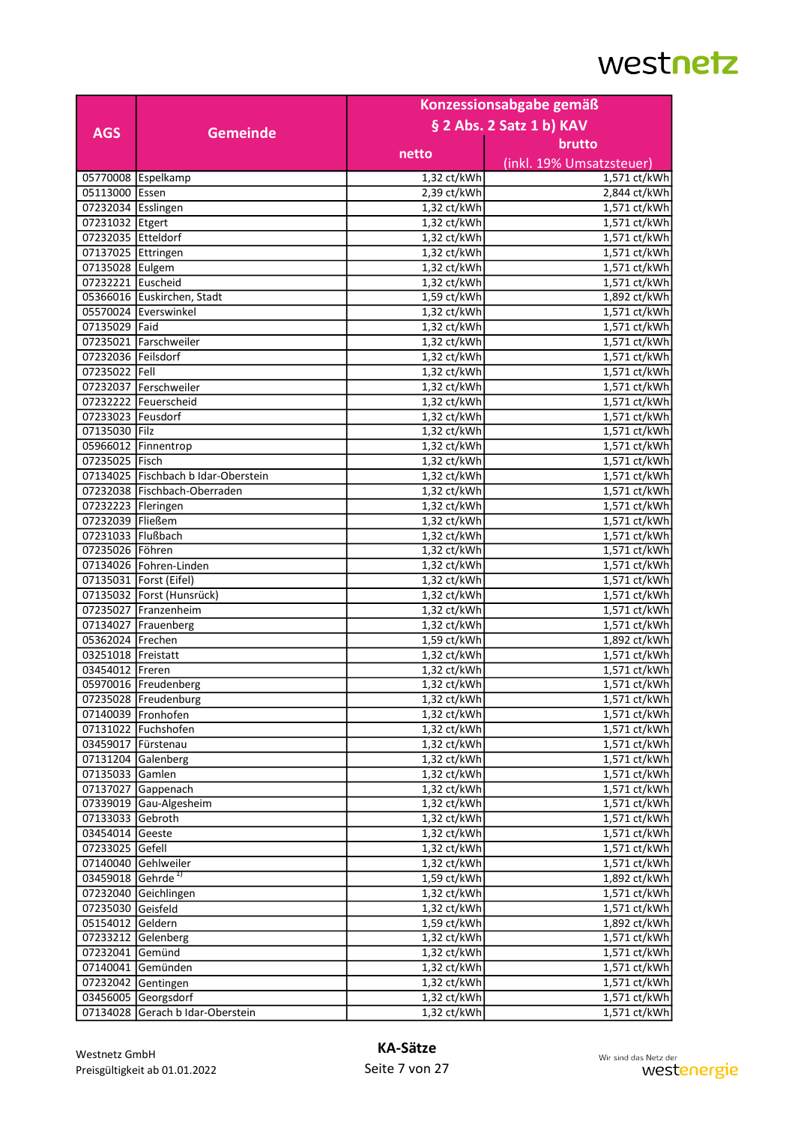|                               |                                     | Konzessionsabgabe gemäß    |                              |
|-------------------------------|-------------------------------------|----------------------------|------------------------------|
|                               |                                     |                            | § 2 Abs. 2 Satz 1 b) KAV     |
| <b>AGS</b>                    | <b>Gemeinde</b>                     |                            |                              |
|                               |                                     | netto                      | brutto                       |
|                               |                                     |                            | (inkl. 19% Umsatzsteuer)     |
|                               | 05770008 Espelkamp                  | 1,32 ct/kWh                | 1,571 ct/kWh                 |
| 05113000 Essen                |                                     | 2,39 ct/kWh                | 2,844 ct/kWh                 |
| 07232034 Esslingen            |                                     | 1,32 ct/kWh                | 1,571 ct/kWh                 |
| 07231032 Etgert               |                                     | 1,32 ct/kWh                | 1,571 ct/kWh                 |
| 07232035 Etteldorf            |                                     | 1,32 ct/kWh                | 1,571 ct/kWh                 |
| 07137025 Ettringen            |                                     | 1,32 ct/kWh                | 1,571 ct/kWh                 |
| 07135028 Eulgem               |                                     | 1,32 ct/kWh                | 1,571 ct/kWh                 |
| 07232221 Euscheid             |                                     | 1,32 ct/kWh                | 1,571 ct/kWh                 |
|                               | 05366016 Euskirchen, Stadt          | 1,59 ct/kWh                | 1,892 ct/kWh                 |
|                               | 05570024 Everswinkel                | 1,32 ct/kWh                | 1,571 ct/kWh                 |
| 07135029 Faid                 |                                     | 1,32 ct/kWh                | 1,571 ct/kWh                 |
|                               | 07235021 Farschweiler               | $1,32$ ct/kWh              | $1,571$ ct/kWh               |
| 07232036   Feilsdorf          |                                     | 1,32 ct/kWh                | 1,571 ct/kWh                 |
| 07235022 Fell                 |                                     | 1,32 ct/kWh                | 1,571 ct/kWh                 |
|                               | 07232037 Ferschweiler               | 1,32 ct/kWh                | 1,571 ct/kWh                 |
|                               | 07232222   Feuerscheid              | 1,32 ct/kWh                | 1,571 ct/kWh                 |
| 07233023 Feusdorf             |                                     | 1,32 ct/kWh                | 1,571 ct/kWh                 |
| 07135030 Filz                 |                                     | 1,32 ct/kWh                | 1,571 ct/kWh                 |
|                               |                                     |                            | 1,571 ct/kWh                 |
| 07235025 Fisch                | 05966012 Finnentrop                 | 1,32 ct/kWh                | 1,571 ct/kWh                 |
|                               |                                     | 1,32 ct/kWh                |                              |
|                               | 07134025 Fischbach b Idar-Oberstein | 1,32 ct/kWh                | 1,571 ct/kWh                 |
|                               | 07232038 Fischbach-Oberraden        | 1,32 ct/kWh                | 1,571 ct/kWh                 |
| 07232223 Fleringen            |                                     | 1,32 ct/kWh                | 1,571 ct/kWh                 |
| 07232039   Fließem            |                                     | 1,32 ct/kWh                | 1,571 ct/kWh                 |
| 07231033 Flußbach             |                                     | 1,32 ct/kWh                | 1,571 ct/kWh                 |
| 07235026 Föhren               |                                     | 1,32 ct/kWh                | 1,571 ct/kWh                 |
|                               | 07134026 Fohren-Linden              | 1,32 ct/kWh                | 1,571 ct/kWh                 |
|                               | 07135031   Forst (Eifel)            | 1,32 ct/kWh                | 1,571 ct/kWh                 |
|                               | 07135032   Forst (Hunsrück)         | 1,32 ct/kWh                | 1,571 ct/kWh                 |
|                               | 07235027 Franzenheim                | 1,32 ct/kWh                | 1,571 ct/kWh                 |
|                               | 07134027 Frauenberg                 | 1,32 ct/kWh                | 1,571 ct/kWh                 |
| 05362024 Frechen              |                                     | $1,59$ ct/kWh              | 1,892 ct/kWh                 |
| 03251018   Freistatt          |                                     | 1,32 ct/kWh                | 1,571 ct/kWh                 |
| 03454012 Freren               |                                     | 1,32 ct/kWh                | 1,571 ct/kWh                 |
|                               | 05970016   Freudenberg              | 1,32 ct/kWh                | 1,571 ct/kWh                 |
|                               | 07235028   Freudenburg              | $1,32$ ct/kWh              | 1,571 ct/kWh                 |
|                               | 07140039 Fronhofen                  | 1,32 ct/kWh                | 1,571 ct/kWh                 |
|                               | 07131022   Fuchshofen               | 1,32 ct/kWh                | 1,571 ct/kWh                 |
| 03459017 Fürstenau            |                                     | 1,32 ct/kWh                | 1,571 ct/kWh                 |
|                               | 07131204 Galenberg                  | 1,32 ct/kWh                | 1,571 ct/kWh                 |
| 07135033 Gamlen               |                                     | 1,32 ct/kWh                | 1,571 ct/kWh                 |
|                               | 07137027 Gappenach                  | 1,32 ct/kWh                | 1,571 ct/kWh                 |
|                               | 07339019 Gau-Algesheim              | 1,32 ct/kWh                | $1,571$ ct/kWh               |
| 07133033 Gebroth              |                                     | $1,32$ ct/kWh              | 1,571 ct/kWh                 |
| 03454014 Geeste               |                                     | 1,32 ct/kWh                | 1,571 ct/kWh                 |
| 07233025 Gefell               |                                     | 1,32 ct/kWh                | 1,571 ct/kWh                 |
|                               | 07140040 Gehlweiler                 | 1,32 ct/kWh                | 1,571 ct/kWh                 |
| 03459018 Gehrde <sup>1)</sup> |                                     | 1,59 ct/kWh                | 1,892 ct/kWh                 |
|                               | 07232040 Geichlingen                | 1,32 ct/kWh                | 1,571 ct/kWh                 |
| 07235030 Geisfeld             |                                     | 1,32 ct/kWh                | 1,571 ct/kWh                 |
| 05154012 Geldern              |                                     | 1,59 ct/kWh                | 1,892 ct/kWh                 |
|                               | 07233212 Gelenberg                  | 1,32 ct/kWh                | 1,571 ct/kWh                 |
| 07232041 Gemünd               |                                     | 1,32 ct/kWh                | 1,571 ct/kWh                 |
|                               |                                     |                            |                              |
|                               | 07140041 Gemünden                   | 1,32 ct/kWh<br>1,32 ct/kWh | 1,571 ct/kWh<br>1,571 ct/kWh |
|                               | 07232042 Gentingen                  |                            |                              |
|                               | 03456005 Georgsdorf                 | 1,32 ct/kWh                | 1,571 ct/kWh                 |
|                               | 07134028 Gerach b Idar-Oberstein    | 1,32 ct/kWh                | 1,571 ct/kWh                 |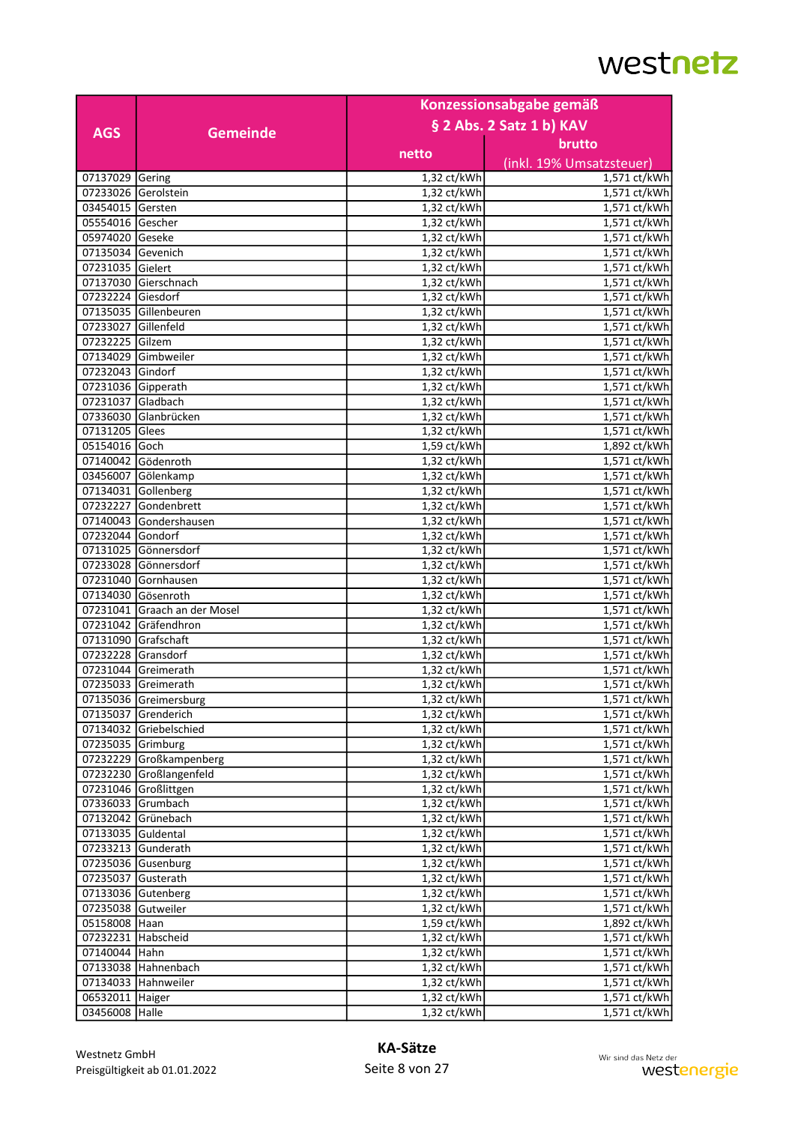|                    |                              | Konzessionsabgabe gemäß<br>§ 2 Abs. 2 Satz 1 b) KAV |                           |
|--------------------|------------------------------|-----------------------------------------------------|---------------------------|
|                    |                              |                                                     |                           |
| <b>AGS</b>         | <b>Gemeinde</b>              |                                                     |                           |
|                    |                              | netto                                               | brutto                    |
|                    |                              |                                                     | (inkl. 19% Umsatzsteuer)  |
| 07137029 Gering    |                              | 1,32 ct/kWh                                         | 1,571 ct/kWh              |
|                    | 07233026 Gerolstein          | $1,32$ ct/kWh                                       | 1,571 ct/kWh              |
| 03454015 Gersten   |                              | 1,32 ct/kWh                                         | 1,571 ct/kWh              |
| 05554016 Gescher   |                              | 1,32 ct/kWh                                         | $1,5\overline{71}$ ct/kWh |
| 05974020 Geseke    |                              | 1,32 ct/kWh                                         | 1,571 ct/kWh              |
| 07135034 Gevenich  |                              | 1,32 ct/kWh                                         | 1,571 ct/kWh              |
| 07231035 Gielert   |                              | 1,32 ct/kWh                                         | 1,571 ct/kWh              |
|                    | 07137030 Gierschnach         | 1,32 ct/kWh                                         | 1,571 ct/kWh              |
| 07232224 Giesdorf  |                              | 1,32 ct/kWh                                         | 1,571 ct/kWh              |
|                    | 07135035 Gillenbeuren        | 1,32 ct/kWh                                         | 1,571 ct/kWh              |
| 07233027           | <b>Gillenfeld</b>            | 1,32 ct/kWh                                         | 1,571 ct/kWh              |
| 07232225           | Gilzem                       | 1,32 ct/kWh                                         | 1,571 ct/kWh              |
| 07134029           | Gimbweiler                   | 1,32 ct/kWh                                         | 1,571 ct/kWh              |
| 07232043 Gindorf   |                              | 1,32 ct/kWh                                         | 1,571 ct/kWh              |
| 07231036 Gipperath |                              | 1,32 ct/kWh                                         | 1,571 ct/kWh              |
| 07231037           | Gladbach                     | 1,32 ct/kWh                                         | 1,571 ct/kWh              |
| 07336030           | Glanbrücken                  | 1,32 ct/kWh                                         | 1,571 ct/kWh              |
| 07131205 Glees     |                              | 1,32 ct/kWh                                         | 1,571 ct/kWh              |
| 05154016 Goch      |                              | 1,59 ct/kWh                                         | 1,892 ct/kWh              |
|                    | 07140042 Gödenroth           | 1,32 ct/kWh                                         | 1,571 ct/kWh              |
| 03456007           | Gölenkamp                    | 1,32 ct/kWh                                         | 1,571 ct/kWh              |
|                    | 07134031 Gollenberg          | 1,32 ct/kWh                                         | 1,571 ct/kWh              |
| 07232227           | Gondenbrett                  | 1,32 ct/kWh                                         | 1,571 ct/kWh              |
| 07140043           | Gondershausen                | 1,32 ct/kWh                                         | 1,571 ct/kWh              |
| 07232044 Gondorf   |                              | 1,32 ct/kWh                                         | 1,571 ct/kWh              |
|                    | 07131025 Gönnersdorf         | 1,32 ct/kWh                                         | 1,571 ct/kWh              |
|                    | 07233028 Gönnersdorf         | 1,32 ct/kWh                                         | 1,571 ct/kWh              |
|                    | 07231040 Gornhausen          | 1,32 ct/kWh                                         | 1,571 ct/kWh              |
| 07134030           | lGösenroth                   | 1,32 ct/kWh                                         | 1,571 ct/kWh              |
|                    | 07231041 Graach an der Mosel | 1,32 ct/kWh                                         | 1,571 ct/kWh              |
|                    | 07231042 Gräfendhron         | 1,32 ct/kWh                                         | 1,571 ct/kWh              |
| 07131090           | Grafschaft                   | 1,32 ct/kWh                                         | 1,571 ct/kWh              |
|                    | 07232228 Gransdorf           | 1,32 ct/kWh                                         | 1,571 ct/kWh              |
|                    |                              |                                                     |                           |
|                    | 07231044 Greimerath          | 1,32 ct/kWh                                         | 1,571 ct/kWh              |
|                    | 07235033 Greimerath          | 1,32 ct/kWh                                         | 1,571 ct/kWh              |
|                    | 07135036 Greimersburg        | $1,32$ ct/kWh                                       | 1,571 ct/kWh              |
|                    | 07135037 Grenderich          | 1,32 ct/kWh                                         | 1,571 ct/kWh              |
|                    | 07134032 Griebelschied       | 1,32 ct/kWh                                         | 1,571 ct/kWh              |
| 07235035 Grimburg  |                              | 1,32 ct/kWh                                         | 1,571 ct/kWh              |
|                    | 07232229 Großkampenberg      | $1,32$ ct/kWh                                       | 1,571 ct/kWh              |
|                    | 07232230 Großlangenfeld      | 1,32 ct/kWh                                         | 1,571 ct/kWh              |
|                    | 07231046 Großlittgen         | 1,32 ct/kWh                                         | 1,571 ct/kWh              |
|                    | 07336033 Grumbach            | $1,32$ ct/ $\overline{\text{kWh}}$                  | 1,571 ct/kWh              |
|                    | 07132042 Grünebach           | 1,32 ct/kWh                                         | 1,571 ct/kWh              |
| 07133035 Guldental |                              | 1,32 ct/kWh                                         | 1,571 ct/kWh              |
|                    | 07233213 Gunderath           | 1,32 ct/kWh                                         | 1,571 ct/kWh              |
|                    | 07235036 Gusenburg           | 1,32 ct/kWh                                         | 1,571 ct/kWh              |
| 07235037 Gusterath |                              | 1,32 ct/kWh                                         | 1,571 ct/kWh              |
|                    | 07133036 Gutenberg           | 1,32 ct/kWh                                         | 1,571 ct/kWh              |
| 07235038 Gutweiler |                              | 1,32 ct/kWh                                         | 1,571 ct/kWh              |
| 05158008 Haan      |                              | 1,59 ct/kWh                                         | 1,892 ct/kWh              |
|                    | 07232231 Habscheid           | 1,32 ct/kWh                                         | 1,571 ct/kWh              |
| 07140044 Hahn      |                              | 1,32 ct/kWh                                         | 1,571 ct/kWh              |
|                    | 07133038 Hahnenbach          | 1,32 ct/kWh                                         | 1,571 ct/kWh              |
|                    | 07134033 Hahnweiler          | 1,32 ct/kWh                                         | 1,571 ct/kWh              |
| 06532011 Haiger    |                              | 1,32 ct/kWh                                         | 1,571 ct/kWh              |
| 03456008 Halle     |                              | 1,32 ct/kWh                                         | 1,571 ct/kWh              |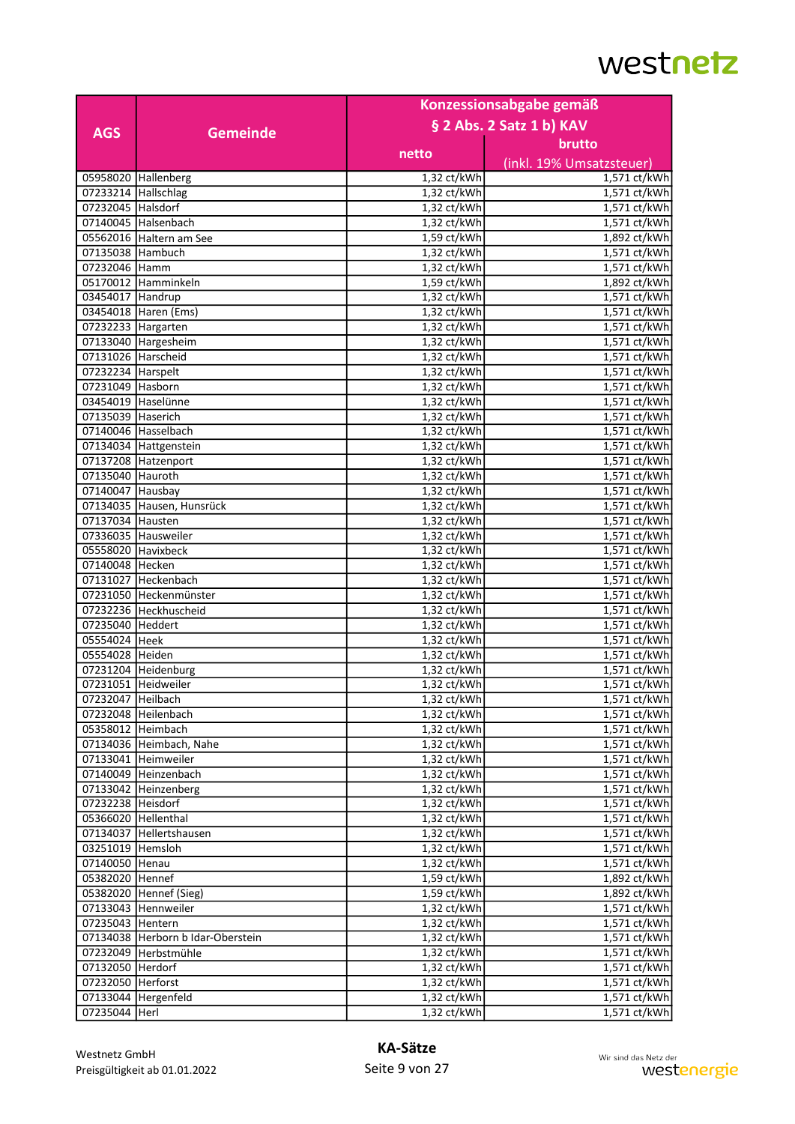|                     |                                   | Konzessionsabgabe gemäß     |                          |
|---------------------|-----------------------------------|-----------------------------|--------------------------|
|                     |                                   |                             | § 2 Abs. 2 Satz 1 b) KAV |
| <b>AGS</b>          | <b>Gemeinde</b>                   |                             |                          |
|                     |                                   | netto                       | brutto                   |
|                     |                                   |                             | (inkl. 19% Umsatzsteuer) |
|                     | 05958020 Hallenberg               | 1,32 ct/kWh                 | 1,571 ct/kWh             |
| 07233214 Hallschlag |                                   | 1,32 ct/kWh                 | 1,571 ct/kWh             |
| 07232045 Halsdorf   |                                   | 1,32 ct/kWh                 | 1,571 ct/kWh             |
|                     | 07140045 Halsenbach               | 1,32 ct/kWh                 | 1,571 ct/kWh             |
|                     | 05562016 Haltern am See           | 1,59 ct/kWh                 | 1,892 ct/kWh             |
| 07135038 Hambuch    |                                   | 1,32 ct/kWh                 | 1,571 ct/kWh             |
| 07232046 Hamm       |                                   | 1,32 ct/kWh                 | 1,571 ct/kWh             |
|                     | 05170012 Hamminkeln               | 1,59 ct/kWh                 | 1,892 ct/kWh             |
| 03454017 Handrup    |                                   | 1,32 ct/kWh                 | 1,571 ct/kWh             |
|                     | 03454018 Haren (Ems)              | 1,32 ct/kWh                 | 1,571 ct/kWh             |
| 07232233 Hargarten  |                                   | 1,32 ct/kWh                 | 1,571 ct/kWh             |
|                     | 07133040 Hargesheim               | 1,32 ct/kWh                 | 1,571 ct/kWh             |
| 07131026 Harscheid  |                                   | 1,32 ct/kWh                 | 1,571 ct/kWh             |
| 07232234 Harspelt   |                                   | 1,32 ct/kWh                 | 1,571 ct/kWh             |
| 07231049 Hasborn    |                                   | 1,32 ct/kWh                 | 1,571 ct/kWh             |
|                     | 03454019 Haselünne                | 1,32 ct/kWh                 | 1,571 ct/kWh             |
| 07135039 Haserich   |                                   | 1,32 ct/kWh                 | 1,571 ct/kWh             |
|                     | 07140046 Hasselbach               | 1,32 ct/kWh                 | 1,571 ct/kWh             |
|                     | 07134034 Hattgenstein             | 1,32 ct/kWh                 | 1,571 ct/kWh             |
|                     | 07137208 Hatzenport               | 1,32 ct/kWh                 | 1,571 ct/kWh             |
| 07135040 Hauroth    |                                   | 1,32 ct/kWh                 | 1,571 ct/kWh             |
| 07140047 Hausbay    |                                   | 1,32 ct/kWh                 | 1,571 ct/kWh             |
|                     | 07134035 Hausen, Hunsrück         | 1,32 ct/kWh                 | 1,571 ct/kWh             |
| 07137034 Hausten    |                                   | 1,32 ct/kWh                 | 1,571 ct/kWh             |
|                     | 07336035 Hausweiler               | 1,32 ct/kWh                 | 1,571 ct/kWh             |
| 05558020 Havixbeck  |                                   | $1,32$ ct/kWh               | 1,571 ct/kWh             |
| 07140048 Hecken     |                                   | 1,32 ct/kWh                 | 1,571 ct/kWh             |
|                     | 07131027 Heckenbach               | 1,32 ct/kWh                 | 1,571 ct/kWh             |
|                     | 07231050 Heckenmünster            | 1,32 ct/kWh                 | 1,571 ct/kWh             |
|                     | 07232236 Heckhuscheid             | 1,32 ct/kWh                 | 1,571 ct/kWh             |
| 07235040 Heddert    |                                   | 1,32 ct/kWh                 | 1,571 ct/kWh             |
| 05554024 Heek       |                                   | 1,32 ct/kWh                 | 1,571 ct/kWh             |
| 05554028 Heiden     |                                   | 1,32 ct/kWh                 | 1,571 ct/kWh             |
|                     | 07231204 Heidenburg               | 1,32 ct/kWh                 | 1,571 ct/kWh             |
|                     | 07231051 Heidweiler               | 1,32 ct/kWh                 | 1,571 ct/kWh             |
|                     |                                   |                             |                          |
| 07232047   Heilbach | 07232048 Heilenbach               | 1,32 ct/kWh <br>1,32 ct/kWh | 1,571 ct/kWh             |
|                     |                                   | 1,32 ct/kWh                 | 1,571 ct/kWh             |
|                     | 05358012 Heimbach                 |                             | 1,571 ct/kWh             |
|                     | 07134036 Heimbach, Nahe           | 1,32 ct/kWh                 | 1,571 ct/kWh             |
|                     | 07133041 Heimweiler               | $1,32$ ct/kWh               | 1,571 ct/kWh             |
|                     | 07140049 Heinzenbach              | 1,32 ct/kWh                 | 1,571 ct/kWh             |
|                     | 07133042 Heinzenberg              | 1,32 ct/kWh                 | 1,571 ct/kWh             |
| 07232238 Heisdorf   |                                   | 1,32 ct/kWh                 | 1,571 ct/kWh             |
|                     | 05366020 Hellenthal               | 1,32 ct/kWh                 | 1,571 ct/kWh             |
|                     | 07134037 Hellertshausen           | 1,32 ct/kWh                 | 1,571 ct/kWh             |
| 03251019 Hemsloh    |                                   | 1,32 ct/kWh                 | 1,571 ct/kWh             |
| 07140050 Henau      |                                   | 1,32 ct/kWh                 | 1,571 ct/kWh             |
| 05382020 Hennef     |                                   | 1,59 ct/kWh                 | 1,892 ct/kWh             |
|                     | 05382020 Hennef (Sieg)            | 1,59 ct/kWh                 | 1,892 ct/kWh             |
|                     | 07133043 Hennweiler               | 1,32 ct/kWh                 | 1,571 ct/kWh             |
| 07235043 Hentern    |                                   | 1,32 ct/kWh                 | 1,571 ct/kWh             |
|                     | 07134038 Herborn b Idar-Oberstein | 1,32 ct/kWh                 | 1,571 ct/kWh             |
|                     | 07232049 Herbstmühle              | 1,32 ct/kWh                 | 1,571 ct/kWh             |
| 07132050 Herdorf    |                                   | 1,32 ct/kWh                 | 1,571 ct/kWh             |
| 07232050 Herforst   |                                   | 1,32 ct/kWh                 | 1,571 ct/kWh             |
|                     | 07133044 Hergenfeld               | 1,32 ct/kWh                 | 1,571 ct/kWh             |
| 07235044 Herl       |                                   | 1,32 ct/kWh                 | 1,571 ct/kWh             |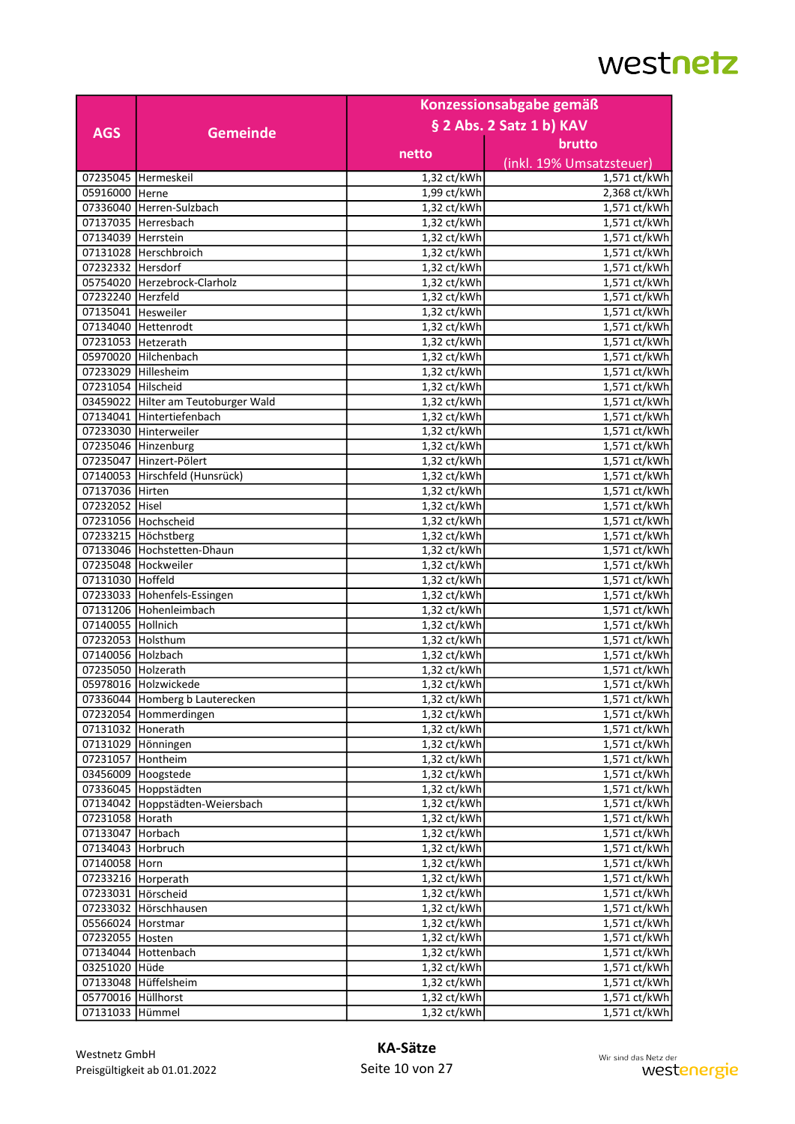|                    |                                                         | Konzessionsabgabe gemäß     |                              |
|--------------------|---------------------------------------------------------|-----------------------------|------------------------------|
|                    |                                                         |                             | § 2 Abs. 2 Satz 1 b) KAV     |
| <b>AGS</b>         | <b>Gemeinde</b>                                         |                             |                              |
|                    |                                                         | netto                       | brutto                       |
|                    |                                                         |                             | (inkl. 19% Umsatzsteuer)     |
|                    | 07235045 Hermeskeil                                     | 1,32 ct/kWh                 | 1,571 ct/kWh                 |
| 05916000 Herne     |                                                         | 1,99 ct/kWh                 | 2,368 ct/kWh                 |
|                    | 07336040 Herren-Sulzbach                                | 1,32 ct/kWh                 | 1,571 ct/kWh                 |
|                    | 07137035 Herresbach                                     | 1,32 ct/kWh                 | 1,571 ct/kWh                 |
| 07134039 Herrstein |                                                         | 1,32 ct/kWh                 | 1,571 ct/kWh                 |
|                    | 07131028 Herschbroich                                   | 1,32 ct/kWh                 | 1,571 ct/kWh                 |
| 07232332 Hersdorf  |                                                         | 1,32 ct/kWh                 | 1,571 ct/kWh                 |
|                    | 05754020 Herzebrock-Clarholz                            | 1,32 ct/kWh                 | 1,571 ct/kWh                 |
| 07232240 Herzfeld  |                                                         | 1,32 ct/kWh                 | 1,571 ct/kWh                 |
| 07135041 Hesweiler |                                                         | 1,32 ct/kWh                 | 1,571 ct/kWh                 |
|                    | 07134040 Hettenrodt                                     | 1,32 ct/kWh                 | 1,571 ct/kWh                 |
| 07231053 Hetzerath |                                                         | 1,32 ct/kWh                 | 1,571 ct/kWh                 |
|                    | 05970020 Hilchenbach                                    | 1,32 ct/kWh                 | 1,571 ct/kWh                 |
|                    | 07233029 Hillesheim                                     | 1,32 ct/kWh                 | 1,571 ct/kWh                 |
| 07231054 Hilscheid |                                                         | 1,32 ct/kWh                 | 1,571 ct/kWh                 |
|                    | 03459022 Hilter am Teutoburger Wald                     | 1,32 ct/kWh                 | 1,571 ct/kWh                 |
|                    | 07134041 Hintertiefenbach                               | 1,32 ct/kWh                 | 1,571 ct/kWh                 |
|                    | 07233030 Hinterweiler                                   | 1,32 ct/kWh                 | 1,571 ct/kWh                 |
|                    | 07235046 Hinzenburg                                     | 1,32 ct/kWh                 | 1,571 ct/kWh                 |
|                    | 07235047 Hinzert-Pölert                                 | 1,32 ct/kWh                 | 1,571 ct/kWh                 |
|                    | 07140053 Hirschfeld (Hunsrück)                          | 1,32 ct/kWh                 | 1,571 ct/kWh                 |
| 07137036 Hirten    |                                                         | 1,32 ct/kWh                 | 1,571 ct/kWh                 |
| 07232052 Hisel     |                                                         | 1,32 ct/kWh                 | 1,571 ct/kWh                 |
|                    | 07231056 Hochscheid                                     | 1,32 ct/kWh                 | 1,571 ct/kWh                 |
|                    | 07233215 Höchstberg                                     | 1,32 ct/kWh                 | 1,571 ct/kWh                 |
|                    | 07133046 Hochstetten-Dhaun                              | $1,32$ ct/kWh               | 1,571 ct/kWh                 |
|                    | 07235048 Hockweiler                                     | 1,32 ct/kWh                 | 1,571 ct/kWh                 |
| 07131030 Hoffeld   |                                                         | 1,32 ct/kWh                 | 1,571 ct/kWh                 |
|                    | 07233033 Hohenfels-Essingen                             | 1,32 ct/kWh                 | $1,5\overline{71}$ ct/kWh    |
|                    | 07131206 Hohenleimbach                                  | 1,32 ct/kWh                 | 1,571 ct/kWh                 |
| 07140055 Hollnich  |                                                         | 1,32 ct/kWh                 | 1,571 ct/kWh                 |
| 07232053 Holsthum  |                                                         | 1,32 ct/kWh                 | 1,571 ct/kWh                 |
| 07140056 Holzbach  |                                                         | 1,32 ct/kWh                 | 1,571 ct/kWh                 |
| 07235050 Holzerath |                                                         | 1,32 ct/kWh                 | 1,571 ct/kWh                 |
|                    | 05978016 Holzwickede                                    | 1,32 ct/kWh                 | 1,571 ct/kWh                 |
|                    |                                                         |                             |                              |
|                    | 07336044 Homberg b Lauterecken<br>07232054 Hommerdingen | 1,32 ct/kWh <br>1,32 ct/kWh | 1,571 ct/kWh<br>1,571 ct/kWh |
| 07131032 Honerath  |                                                         | 1,32 ct/kWh                 | 1,571 ct/kWh                 |
|                    | 07131029 Hönningen                                      | 1,32 ct/kWh                 | 1,571 ct/kWh                 |
|                    |                                                         | $1,32$ ct/kWh               |                              |
| 07231057 Hontheim  |                                                         |                             | 1,571 ct/kWh                 |
|                    | 03456009 Hoogstede                                      | 1,32 ct/kWh<br>1,32 ct/kWh  | 1,571 ct/kWh                 |
|                    | 07336045 Hoppstädten                                    |                             | 1,571 ct/kWh                 |
|                    | 07134042 Hoppstädten-Weiersbach                         | 1,32 ct/kWh                 | 1,571 ct/kWh                 |
| 07231058 Horath    |                                                         | 1,32 ct/kWh                 | 1,571 ct/kWh                 |
| 07133047 Horbach   |                                                         | 1,32 ct/kWh                 | 1,571 ct/kWh                 |
| 07134043 Horbruch  |                                                         | 1,32 ct/kWh                 | 1,571 ct/kWh                 |
| 07140058 Horn      |                                                         | 1,32 ct/kWh                 | 1,571 ct/kWh                 |
|                    | 07233216 Horperath                                      | 1,32 ct/kWh                 | 1,571 ct/kWh                 |
| 07233031 Hörscheid |                                                         | 1,32 ct/kWh                 | 1,571 ct/kWh                 |
|                    | 07233032 Hörschhausen                                   | 1,32 ct/kWh                 | 1,571 ct/kWh                 |
| 05566024 Horstmar  |                                                         | 1,32 ct/kWh                 | 1,571 ct/kWh                 |
| 07232055 Hosten    |                                                         | 1,32 ct/kWh                 | 1,571 ct/kWh                 |
|                    | 07134044 Hottenbach                                     | 1,32 ct/kWh                 | 1,571 ct/kWh                 |
| 03251020 Hüde      |                                                         | 1,32 ct/kWh                 | 1,571 ct/kWh                 |
|                    | 07133048 Hüffelsheim                                    | 1,32 ct/kWh                 | 1,571 ct/kWh                 |
| 05770016 Hüllhorst |                                                         | 1,32 ct/kWh                 | 1,571 ct/kWh                 |
| 07131033 Hümmel    |                                                         | 1,32 ct/kWh                 | 1,571 ct/kWh                 |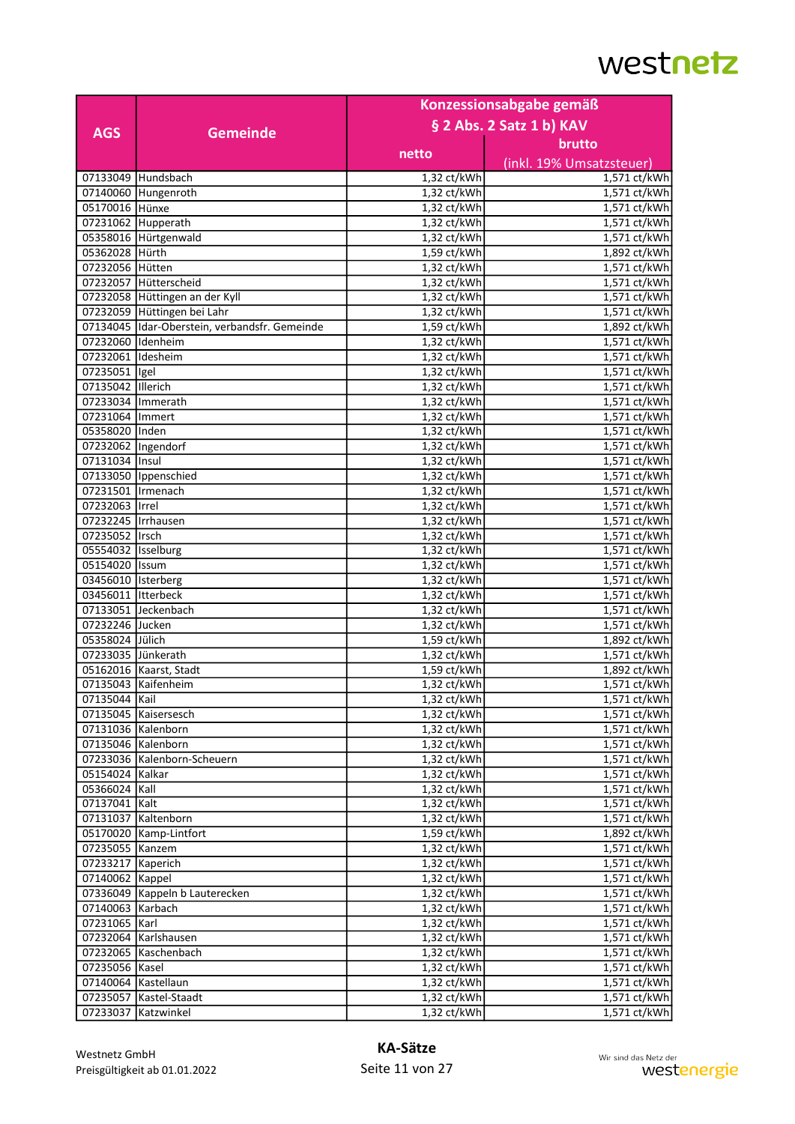|                      |                                               | Konzessionsabgabe gemäß    |                              |
|----------------------|-----------------------------------------------|----------------------------|------------------------------|
|                      |                                               |                            | § 2 Abs. 2 Satz 1 b) KAV     |
| <b>AGS</b>           | <b>Gemeinde</b>                               |                            |                              |
|                      |                                               | netto                      | brutto                       |
|                      |                                               |                            | (inkl. 19% Umsatzsteuer)     |
|                      | 07133049 Hundsbach                            | $1,32$ ct/kWh              | 1,571 ct/kWh                 |
|                      | 07140060 Hungenroth                           | 1,32 ct/kWh                | 1,571 ct/kWh                 |
| 05170016 Hünxe       |                                               | 1,32 ct/kWh                | 1,571 ct/kWh                 |
|                      | 07231062 Hupperath                            | $1,32$ ct/kWh              | 1,571 ct/kWh                 |
|                      | 05358016 Hürtgenwald                          | 1,32 ct/kWh                | 1,571 ct/kWh                 |
| 05362028 Hürth       |                                               | 1,59 ct/kWh                | 1,892 ct/kWh                 |
| 07232056 Hütten      |                                               | 1,32 ct/kWh                | 1,571 ct/kWh                 |
|                      | 07232057 Hütterscheid                         | 1,32 ct/kWh                | 1,571 ct/kWh                 |
|                      | 07232058 Hüttingen an der Kyll                | 1,32 ct/kWh                | 1,571 ct/kWh                 |
|                      | 07232059 Hüttingen bei Lahr                   | 1,32 ct/kWh                | 1,571 ct/kWh                 |
|                      | 07134045 Idar-Oberstein, verbandsfr. Gemeinde | 1,59 ct/kWh                | 1,892 ct/kWh                 |
| 07232060 Idenheim    |                                               | 1,32 ct/kWh                | 1,571 ct/kWh                 |
| 07232061 Idesheim    |                                               | 1,32 ct/kWh                | 1,571 ct/kWh                 |
| 07235051 Igel        |                                               | 1,32 ct/kWh                | 1,571 ct/kWh                 |
| 07135042   Illerich  |                                               | 1,32 ct/kWh                | 1,571 ct/kWh                 |
| 07233034   Immerath  |                                               | 1,32 ct/kWh                | 1,571 ct/kWh                 |
| 07231064   Immert    |                                               | 1,32 ct/kWh                | 1,571 ct/kWh                 |
| 05358020 Inden       |                                               | 1,32 ct/kWh                | 1,571 ct/kWh                 |
| 07232062   Ingendorf |                                               | 1,32 ct/kWh                | 1,571 ct/kWh                 |
| 07131034 Insul       |                                               | 1,32 ct/kWh                | 1,571 ct/kWh                 |
|                      | 07133050   Ippenschied                        | 1,32 ct/kWh                | 1,571 ct/kWh                 |
| 07231501 Irmenach    |                                               | 1,32 ct/kWh                | 1,571 ct/kWh                 |
| 07232063  Irrel      |                                               | 1,32 ct/kWh                | 1,571 ct/kWh                 |
| 07232245   Irrhausen |                                               | 1,32 ct/kWh                | 1,571 ct/kWh                 |
| 07235052 lIrsch      |                                               | 1,32 ct/kWh                | 1,571 ct/kWh                 |
| 05554032 Isselburg   |                                               | 1,32 ct/kWh                | 1,571 ct/kWh                 |
| 05154020 Issum       |                                               | 1,32 ct/kWh                | 1,571 ct/kWh                 |
| 03456010   Isterberg |                                               | 1,32 ct/kWh                | 1,571 ct/kWh                 |
| 03456011 ltterbeck   |                                               | 1,32 ct/kWh                | 1,571 ct/kWh                 |
|                      | 07133051 Jeckenbach                           | 1,32 ct/kWh                | 1,571 ct/kWh                 |
| 07232246 Jucken      |                                               | 1,32 ct/kWh                | 1,571 ct/kWh                 |
| 05358024 Jülich      |                                               | 1,59 ct/kWh                | 1,892 ct/kWh                 |
| 07233035 Jünkerath   |                                               | 1,32 ct/kWh                | 1,571 ct/kWh                 |
|                      | 05162016   Kaarst, Stadt                      | 1,59 ct/kWh                | 1,892 ct/kWh                 |
|                      | 07135043 Kaifenheim                           | 1,32 ct/kWh                | 1,571 ct/kWh                 |
| 07135044   Kail      |                                               | $1,32$ ct/kWh              | 1,571 ct/kWh                 |
|                      | 07135045   Kaisersesch                        | 1,32 ct/kWh                | 1,571 ct/kWh                 |
|                      | 07131036 Kalenborn                            | 1,32 ct/kWh                | 1,571 ct/kWh                 |
|                      | 07135046 Kalenborn                            | 1,32 ct/kWh                | 1,571 ct/kWh                 |
|                      |                                               |                            |                              |
| 05154024 Kalkar      | 07233036   Kalenborn-Scheuern                 | 1,32 ct/kWh                | 1,571 ct/kWh                 |
|                      |                                               | 1,32 ct/kWh<br>1,32 ct/kWh | 1,571 ct/kWh<br>1,571 ct/kWh |
| 05366024 Kall        |                                               |                            |                              |
| 07137041 Kalt        |                                               | 1,32 ct/kWh                | 1,571 ct/kWh                 |
|                      | 07131037   Kaltenborn                         | $1,32$ ct/kWh              | 1,571 ct/kWh                 |
|                      | 05170020   Kamp-Lintfort                      | 1,59 ct/kWh                | 1,892 ct/kWh                 |
| 07235055 Kanzem      |                                               | 1,32 ct/kWh                | 1,571 ct/kWh                 |
| 07233217 Kaperich    |                                               | 1,32 ct/kWh                | 1,571 ct/kWh                 |
| 07140062 Kappel      |                                               | 1,32 ct/kWh                | 1,571 ct/kWh                 |
|                      | 07336049 Kappeln b Lauterecken                | 1,32 ct/kWh                | 1,571 ct/kWh                 |
| 07140063   Karbach   |                                               | 1,32 ct/kWh                | 1,571 ct/kWh                 |
| 07231065   Karl      |                                               | $1,32$ ct/kWh              | 1,571 ct/kWh                 |
|                      | 07232064 Karlshausen                          | 1,32 ct/kWh                | 1,571 ct/kWh                 |
|                      | 07232065   Kaschenbach                        | 1,32 ct/kWh                | 1,571 ct/kWh                 |
| 07235056 Kasel       |                                               | 1,32 ct/kWh                | 1,571 ct/kWh                 |
|                      | 07140064 Kastellaun                           | 1,32 ct/kWh                | 1,571 ct/kWh                 |
|                      | 07235057 Kastel-Staadt                        | 1,32 ct/kWh                | 1,571 ct/kWh                 |
|                      | 07233037 Katzwinkel                           | 1,32 ct/kWh                | 1,571 ct/kWh                 |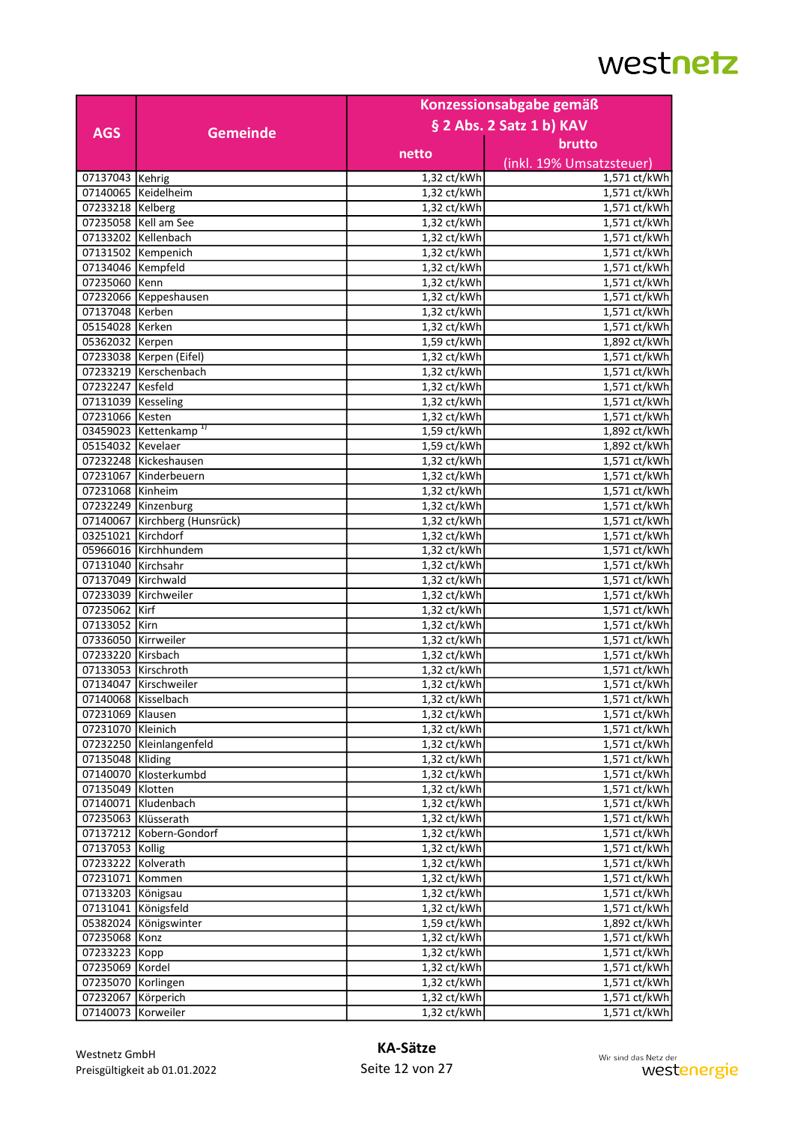|                       |                                   | Konzessionsabgabe gemäß            |                          |
|-----------------------|-----------------------------------|------------------------------------|--------------------------|
|                       |                                   |                                    | § 2 Abs. 2 Satz 1 b) KAV |
| <b>AGS</b>            | <b>Gemeinde</b>                   |                                    |                          |
|                       |                                   | netto                              | brutto                   |
|                       |                                   |                                    | (inkl. 19% Umsatzsteuer) |
| 07137043 Kehrig       |                                   | 1,32 ct/kWh                        | 1,571 ct/kWh             |
|                       | 07140065 Keidelheim               | 1,32 ct/kWh                        | 1,571 ct/kWh             |
| 07233218 Kelberg      |                                   | 1,32 ct/kWh                        | 1,571 ct/kWh             |
|                       | 07235058   Kell am See            | $1,32$ ct/kWh                      | 1,571 ct/kWh             |
|                       | 07133202 Kellenbach               | 1,32 ct/kWh                        | 1,571 ct/kWh             |
|                       | 07131502 Kempenich                | 1,32 ct/kWh                        | 1,571 ct/kWh             |
| 07134046   Kempfeld   |                                   | 1,32 ct/kWh                        | 1,571 ct/kWh             |
| 07235060 Kenn         |                                   | 1,32 ct/kWh                        | 1,571 ct/kWh             |
|                       | 07232066 Keppeshausen             | 1,32 ct/kWh                        | 1,571 ct/kWh             |
| 07137048 Kerben       |                                   | 1,32 ct/kWh                        | 1,571 ct/kWh             |
| 05154028 Kerken       |                                   | 1,32 ct/kWh                        | 1,571 ct/kWh             |
| 05362032 Kerpen       |                                   | 1,59 ct/kWh                        | 1,892 ct/kWh             |
|                       | 07233038 Kerpen (Eifel)           | 1,32 ct/kWh                        | 1,571 ct/kWh             |
|                       | 07233219 Kerschenbach             | 1,32 ct/kWh                        | 1,571 ct/kWh             |
| 07232247   Kesfeld    |                                   | 1,32 ct/kWh                        | 1,571 ct/kWh             |
| 07131039 Kesseling    |                                   | 1,32 ct/kWh                        | 1,571 ct/kWh             |
| 07231066 Kesten       |                                   | 1,32 ct/kWh                        | 1,571 ct/kWh             |
|                       | 03459023 Kettenkamp <sup>1)</sup> | 1,59 ct/kWh                        | 1,892 ct/kWh             |
| 05154032 Kevelaer     |                                   | 1,59 ct/kWh                        | 1,892 ct/kWh             |
|                       | 07232248 Kickeshausen             | 1,32 ct/kWh                        | 1,571 ct/kWh             |
|                       | 07231067 Kinderbeuern             | 1,32 ct/kWh                        | 1,571 ct/kWh             |
| 07231068 Kinheim      |                                   | 1,32 ct/kWh                        | 1,571 ct/kWh             |
|                       | 07232249 Kinzenburg               | 1,32 ct/kWh                        | 1,571 ct/kWh             |
|                       | 07140067 Kirchberg (Hunsrück)     | 1,32 ct/kWh                        | 1,571 ct/kWh             |
| 03251021 Kirchdorf    |                                   | 1,32 ct/kWh                        | 1,571 ct/kWh             |
|                       | 05966016 Kirchhundem              | 1,32 ct/kWh                        | 1,571 ct/kWh             |
| 07131040 Kirchsahr    |                                   | 1,32 ct/kWh                        | 1,571 ct/kWh             |
| 07137049 Kirchwald    |                                   | 1,32 ct/kWh                        | 1,571 ct/kWh             |
| 07233039              | Kirchweiler                       | 1,32 ct/kWh                        | 1,571 ct/kWh             |
| 07235062 Kirf         |                                   | 1,32 ct/kWh                        | 1,571 ct/kWh             |
| 07133052 Kirn         |                                   | 1,32 ct/kWh                        | 1,571 ct/kWh             |
| 07336050 Kirrweiler   |                                   | 1,32 ct/kWh                        | 1,571 ct/kWh             |
| 07233220 Kirsbach     |                                   | 1,32 ct/kWh                        | 1,571 ct/kWh             |
| 07133053   Kirschroth |                                   | 1,32 ct/kWh                        | 1,571 ct/kWh             |
|                       |                                   | 1,32 ct/kWh                        | 1,571 ct/kWh             |
|                       | 07134047 Kirschweiler             |                                    |                          |
|                       | 07140068  Kisselbach              | 1,32 ct/kWh                        | 1,571 ct/kWh             |
| 07231069 Klausen      |                                   | 1,32 ct/kWh                        | 1,571 ct/kWh             |
| 07231070 Kleinich     |                                   | 1,32 ct/kWh                        | 1,571 ct/kWh             |
|                       | 07232250 Kleinlangenfeld          | 1,32 ct/kWh                        | 1,571 ct/kWh             |
| 07135048 Kliding      |                                   | $1,32$ ct/kWh                      | 1,571 ct/kWh             |
|                       | 07140070 Klosterkumbd             | 1,32 ct/kWh                        | 1,571 ct/kWh             |
| 07135049 Klotten      |                                   | 1,32 ct/kWh                        | 1,571 ct/kWh             |
|                       | 07140071 Kludenbach               | $1,32$ ct/ $\overline{\text{kWh}}$ | 1,571 ct/kWh             |
|                       | 07235063 Klüsserath               | 1,32 ct/kWh                        | 1,571 ct/kWh             |
|                       | 07137212 Kobern-Gondorf           | 1,32 ct/kWh                        | 1,571 ct/kWh             |
| 07137053 Kollig       |                                   | 1,32 ct/kWh                        | 1,571 ct/kWh             |
| 07233222 Kolverath    |                                   | 1,32 ct/kWh                        | 1,571 ct/kWh             |
| 07231071 Kommen       |                                   | 1,32 ct/kWh                        | 1,571 ct/kWh             |
| 07133203 Königsau     |                                   | 1,32 ct/kWh                        | 1,571 ct/kWh             |
|                       | 07131041 Königsfeld               | $1,32$ ct/kWh                      | 1,571 ct/kWh             |
|                       | 05382024 Königswinter             | 1,59 ct/kWh                        | 1,892 ct/kWh             |
| 07235068 Konz         |                                   | 1,32 ct/kWh                        | 1,571 ct/kWh             |
| 07233223 Kopp         |                                   | 1,32 ct/kWh                        | 1,571 ct/kWh             |
| 07235069 Kordel       |                                   | 1,32 ct/kWh                        | 1,571 ct/kWh             |
| 07235070 Korlingen    |                                   | 1,32 ct/kWh                        | 1,571 ct/kWh             |
| 07232067 Körperich    |                                   | 1,32 ct/kWh                        | 1,571 ct/kWh             |
| 07140073 Korweiler    |                                   | 1,32 ct/kWh                        | 1,571 ct/kWh             |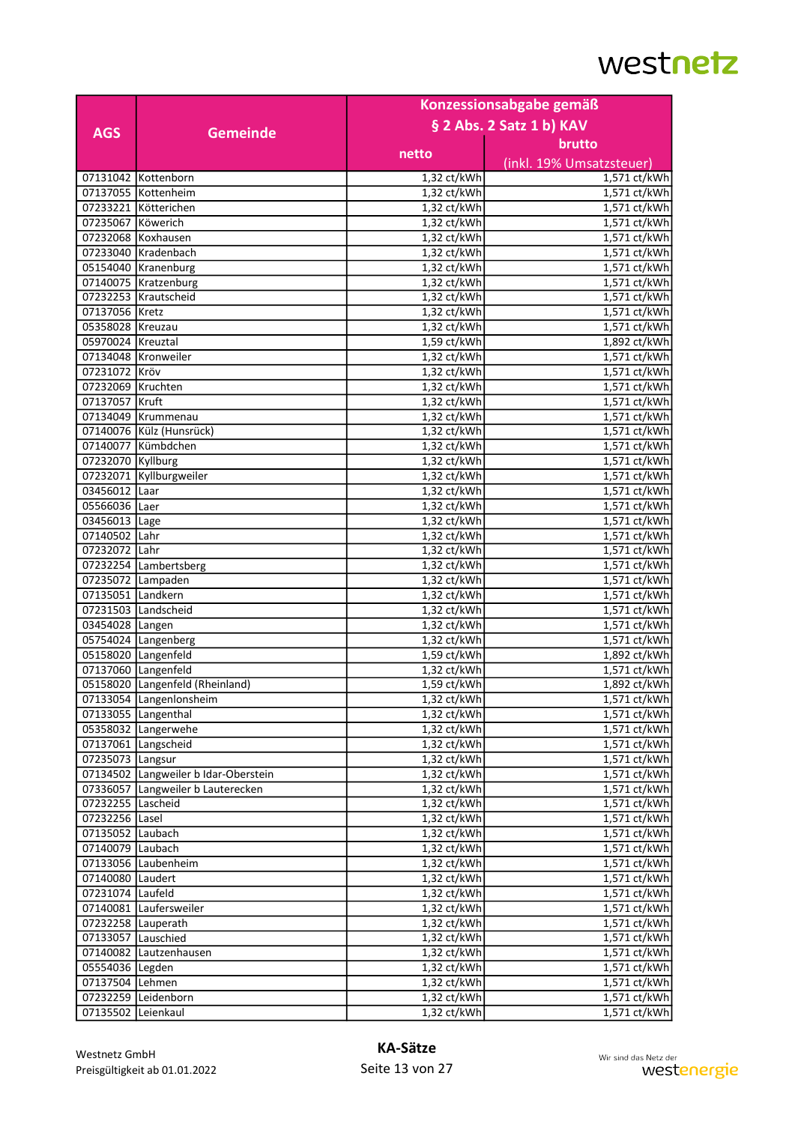|                     |                                                  | Konzessionsabgabe gemäß      |                              |
|---------------------|--------------------------------------------------|------------------------------|------------------------------|
|                     |                                                  |                              | § 2 Abs. 2 Satz 1 b) KAV     |
| <b>AGS</b>          | <b>Gemeinde</b>                                  |                              |                              |
|                     |                                                  | netto                        | brutto                       |
|                     |                                                  |                              | (inkl. 19% Umsatzsteuer)     |
|                     | 07131042 Kottenborn                              | 1,32 ct/kWh                  | 1,571 ct/kWh                 |
|                     | 07137055 Kottenheim                              | 1,32 ct/kWh                  | 1,571 ct/kWh                 |
|                     | 07233221 Kötterichen                             | 1,32 ct/kWh                  | 1,571 ct/kWh                 |
| 07235067 Köwerich   |                                                  | 1,32 ct/kWh                  | 1,571 ct/kWh                 |
|                     | 07232068 Koxhausen                               | 1,32 ct/kWh                  | 1,571 ct/kWh                 |
|                     | 07233040 Kradenbach                              | 1,32 ct/kWh                  | 1,571 ct/kWh                 |
|                     | 05154040 Kranenburg                              | 1,32 ct/kWh                  | 1,571 ct/kWh                 |
|                     | 07140075 Kratzenburg                             | 1,32 ct/kWh                  | 1,571 ct/kWh                 |
|                     | 07232253 Krautscheid                             | 1,32 ct/kWh                  | 1,571 ct/kWh                 |
| 07137056 Kretz      |                                                  | 1,32 ct/kWh                  | 1,571 ct/kWh                 |
| 05358028 Kreuzau    |                                                  | 1,32 ct/kWh                  | 1,571 ct/kWh                 |
| 05970024 Kreuztal   |                                                  | 1,59 ct/kWh                  | 1,892 ct/kWh                 |
|                     | 07134048 Kronweiler                              | 1,32 ct/kWh                  | 1,571 ct/kWh                 |
| 07231072 Kröv       |                                                  | 1,32 ct/kWh                  | 1,571 ct/kWh                 |
| 07232069   Kruchten |                                                  | 1,32 ct/kWh                  | 1,571 ct/kWh                 |
| 07137057 Kruft      |                                                  | 1,32 ct/kWh                  | 1,571 ct/kWh                 |
|                     | 07134049 Krummenau                               | 1,32 ct/kWh                  | 1,571 ct/kWh                 |
|                     | 07140076 Külz (Hunsrück)                         | 1,32 ct/kWh                  | 1,571 ct/kWh                 |
|                     | 07140077 Kümbdchen                               | 1,32 ct/kWh                  | 1,571 ct/kWh                 |
| 07232070 Kyllburg   |                                                  | 1,32 ct/kWh                  | 1,571 ct/kWh                 |
|                     | 07232071 Kyllburgweiler                          | 1,32 ct/kWh                  | 1,571 ct/kWh                 |
| 03456012 Laar       |                                                  | 1,32 ct/kWh                  | 1,571 ct/kWh                 |
| 05566036 Laer       |                                                  | 1,32 ct/kWh                  | 1,571 ct/kWh                 |
| 03456013 Lage       |                                                  | 1,32 ct/kWh                  | 1,571 ct/kWh                 |
| 07140502 Lahr       |                                                  | 1,32 ct/kWh                  | 1,571 ct/kWh                 |
| 07232072 Lahr       |                                                  | $1,32$ ct/kWh                | 1,571 ct/kWh                 |
|                     | 07232254 Lambertsberg                            | 1,32 ct/kWh                  | 1,571 ct/kWh                 |
|                     | 07235072 Lampaden                                | 1,32 ct/kWh                  | 1,571 ct/kWh                 |
| 07135051 Landkern   |                                                  | 1,32 ct/kWh                  | 1,571 ct/kWh                 |
|                     | 07231503 Landscheid                              | 1,32 ct/kWh                  | 1,571 ct/kWh                 |
| 03454028 Langen     |                                                  | 1,32 ct/kWh                  | 1,571 ct/kWh                 |
|                     | 05754024 Langenberg                              | 1,32 ct/kWh                  | 1,571 ct/kWh                 |
|                     | 05158020 Langenfeld                              | 1,59 ct/kWh                  | 1,892 ct/kWh                 |
|                     | 07137060 Langenfeld                              | 1,32 ct/kWh                  | 1,571 ct/kWh                 |
|                     | 05158020 Langenfeld (Rheinland)                  | 1,59 ct/kWh                  | 1,892 ct/kWh                 |
|                     |                                                  |                              |                              |
|                     | 07133054   Langenlonsheim<br>07133055 Langenthal | 1,32 ct/kWh <br>1,32 ct/kWh  | 1,571 ct/kWh<br>1,571 ct/kWh |
|                     | 05358032 Langerwehe                              | 1,32 ct/kWh                  | 1,571 ct/kWh                 |
|                     |                                                  |                              |                              |
|                     | 07137061 Langscheid                              | 1,32 ct/kWh<br>$1,32$ ct/kWh | 1,571 ct/kWh<br>1,571 ct/kWh |
| 07235073 Langsur    |                                                  |                              |                              |
|                     | 07134502 Langweiler b Idar-Oberstein             | 1,32 ct/kWh                  | 1,571 ct/kWh                 |
|                     | 07336057 Langweiler b Lauterecken                | 1,32 ct/kWh                  | 1,571 ct/kWh                 |
| 07232255 Lascheid   |                                                  | 1,32 ct/kWh                  | 1,571 ct/kWh                 |
| 07232256 Lasel      |                                                  | 1,32 ct/kWh                  | 1,571 ct/kWh                 |
| 07135052 Laubach    |                                                  | 1,32 ct/kWh                  | 1,571 ct/kWh                 |
| 07140079 Laubach    |                                                  | 1,32 ct/kWh                  | 1,571 ct/kWh                 |
|                     | 07133056 Laubenheim                              | 1,32 ct/kWh                  | 1,571 ct/kWh                 |
| 07140080 Laudert    |                                                  | 1,32 ct/kWh                  | 1,571 ct/kWh                 |
| 07231074 Laufeld    |                                                  | 1,32 ct/kWh                  | 1,571 ct/kWh                 |
|                     | 07140081 Laufersweiler                           | $1,32$ ct/kWh                | 1,571 ct/kWh                 |
|                     | 07232258 Lauperath                               | 1,32 ct/kWh                  | 1,571 ct/kWh                 |
| 07133057 Lauschied  |                                                  | 1,32 ct/kWh                  | 1,571 ct/kWh                 |
|                     | 07140082 Lautzenhausen                           | $1,32$ ct/kWh                | 1,571 ct/kWh                 |
| 05554036 Legden     |                                                  | 1,32 ct/kWh                  | 1,571 ct/kWh                 |
| 07137504 Lehmen     |                                                  | 1,32 ct/kWh                  | 1,571 ct/kWh                 |
|                     | 07232259 Leidenborn                              | 1,32 ct/kWh                  | 1,571 ct/kWh                 |
| 07135502 Leienkaul  |                                                  | 1,32 ct/kWh                  | 1,571 ct/kWh                 |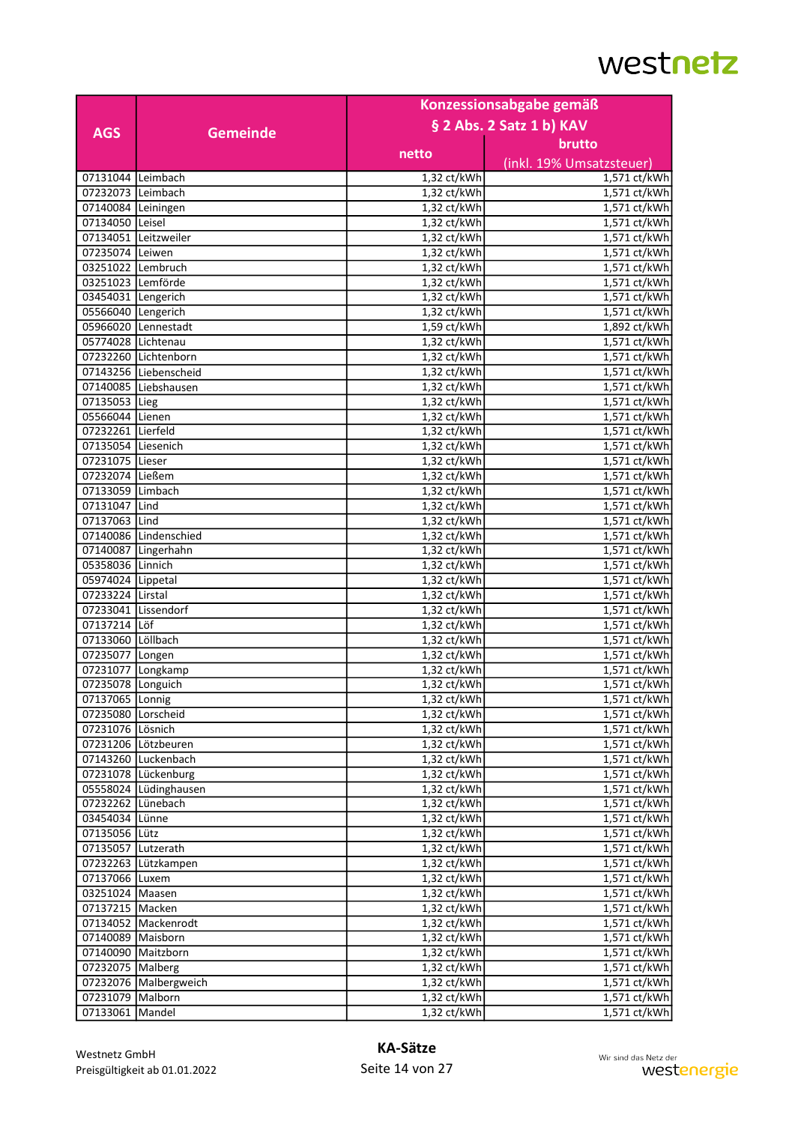|                     |                       | Konzessionsabgabe gemäß |                          |
|---------------------|-----------------------|-------------------------|--------------------------|
|                     |                       |                         | § 2 Abs. 2 Satz 1 b) KAV |
| <b>AGS</b>          | <b>Gemeinde</b>       |                         |                          |
|                     |                       | netto                   | brutto                   |
|                     |                       |                         | (inkl. 19% Umsatzsteuer) |
| 07131044 Leimbach   |                       | 1,32 ct/kWh             | 1,571 ct/kWh             |
| 07232073 Leimbach   |                       | 1,32 ct/kWh             | 1,571 ct/kWh             |
| 07140084 Leiningen  |                       | 1,32 ct/kWh             | 1,571 ct/kWh             |
| 07134050 Leisel     |                       | 1,32 ct/kWh             | $1,571$ ct/kWh           |
|                     | 07134051 Leitzweiler  | 1,32 ct/kWh             | 1,571 ct/kWh             |
| 07235074 Leiwen     |                       | 1,32 ct/kWh             | 1,571 ct/kWh             |
| 03251022 Lembruch   |                       | 1,32 ct/kWh             | 1,571 ct/kWh             |
| 03251023 Lemförde   |                       | 1,32 ct/kWh             | 1,571 ct/kWh             |
| 03454031 Lengerich  |                       | 1,32 ct/kWh             | 1,571 ct/kWh             |
| 05566040 Lengerich  |                       | 1,32 ct/kWh             | 1,571 ct/kWh             |
|                     | 05966020 Lennestadt   | 1,59 ct/kWh             | 1,892 ct/kWh             |
| 05774028 Lichtenau  |                       | 1,32 ct/kWh             | $1,571$ ct/kWh           |
|                     | 07232260 Lichtenborn  | 1,32 ct/kWh             | 1,571 ct/kWh             |
|                     | 07143256 Liebenscheid | 1,32 ct/kWh             | 1,571 ct/kWh             |
|                     | 07140085 Liebshausen  | 1,32 ct/kWh             | 1,571 ct/kWh             |
| 07135053 Lieg       |                       | 1,32 ct/kWh             | 1,571 ct/kWh             |
| 05566044 Lienen     |                       | 1,32 ct/kWh             | 1,571 ct/kWh             |
| 07232261 Lierfeld   |                       | 1,32 ct/kWh             | 1,571 ct/kWh             |
| 07135054 Liesenich  |                       | 1,32 ct/kWh             | 1,571 ct/kWh             |
| 07231075 Lieser     |                       | 1,32 ct/kWh             | 1,571 ct/kWh             |
| 07232074 Ließem     |                       | 1,32 ct/kWh             | 1,571 ct/kWh             |
| 07133059 Limbach    |                       | 1,32 ct/kWh             | 1,571 ct/kWh             |
| 07131047 Lind       |                       | 1,32 ct/kWh             | 1,571 ct/kWh             |
| 07137063 Lind       |                       | 1,32 ct/kWh             | 1,571 ct/kWh             |
|                     | 07140086 Lindenschied |                         |                          |
|                     |                       | 1,32 ct/kWh             | 1,571 ct/kWh             |
|                     | 07140087 Lingerhahn   | 1,32 ct/kWh             | 1,571 ct/kWh             |
| 05358036 Linnich    |                       | 1,32 ct/kWh             | 1,571 ct/kWh             |
| 05974024 Lippetal   |                       | 1,32 ct/kWh             | 1,571 ct/kWh             |
| 07233224 Lirstal    |                       | 1,32 ct/kWh             | 1,571 ct/kWh             |
|                     | 07233041 Lissendorf   | 1,32 ct/kWh             | 1,571 ct/kWh             |
| 07137214 Löf        |                       | 1,32 ct/kWh             | 1,571 ct/kWh             |
| 07133060 Löllbach   |                       | 1,32 ct/kWh             | 1,571 ct/kWh             |
| 07235077 Longen     |                       | 1,32 ct/kWh             | 1,571 ct/kWh             |
|                     | 07231077 Longkamp     | 1,32 ct/kWh             | 1,571 ct/kWh             |
| 07235078 Longuich   |                       | 1,32 ct/kWh             | 1,571 ct/kWh             |
| 07137065 Lonnig     |                       | $1,32$ ct/kWh           | 1,571 ct/kWh             |
| 07235080 Lorscheid  |                       | 1,32 ct/kWh             | 1,571 ct/kWh             |
| 07231076 Lösnich    |                       | 1,32 ct/kWh             | 1,571 ct/kWh             |
|                     | 07231206 Lötzbeuren   | 1,32 ct/kWh             | 1,571 ct/kWh             |
|                     | 07143260 Luckenbach   | 1,32 ct/kWh             | 1,571 ct/kWh             |
|                     | 07231078 Lückenburg   | 1,32 ct/kWh             | 1,571 ct/kWh             |
|                     | 05558024 Lüdinghausen | 1,32 ct/kWh             | 1,571 ct/kWh             |
| 07232262 Lünebach   |                       | 1,32 ct/kWh             | 1,571 ct/kWh             |
| 03454034 Lünne      |                       | $1,32$ ct/kWh           | 1,571 ct/kWh             |
| 07135056 Lütz       |                       | 1,32 ct/kWh             | 1,571 ct/kWh             |
| 07135057 Lutzerath  |                       | 1,32 ct/kWh             | 1,571 ct/kWh             |
|                     | 07232263 Lützkampen   | 1,32 ct/kWh             | 1,571 ct/kWh             |
| 07137066 Luxem      |                       | 1,32 ct/kWh             | 1,571 ct/kWh             |
| 03251024 Maasen     |                       | 1,32 ct/kWh             | 1,571 ct/kWh             |
| 07137215 Macken     |                       | 1,32 ct/kWh             | 1,571 ct/kWh             |
|                     | 07134052 Mackenrodt   | 1,32 ct/kWh             | 1,571 ct/kWh             |
| 07140089   Maisborn |                       | 1,32 ct/kWh             | 1,571 ct/kWh             |
|                     | 07140090 Maitzborn    | 1,32 ct/kWh             | 1,571 ct/kWh             |
| 07232075 Malberg    |                       | 1,32 ct/kWh             | 1,571 ct/kWh             |
|                     | 07232076 Malbergweich | 1,32 ct/kWh             | 1,571 ct/kWh             |
| 07231079 Malborn    |                       | 1,32 ct/kWh             | 1,571 ct/kWh             |
|                     |                       | $1,32$ ct/kWh           | 1,571 ct/kWh             |
| 07133061 Mandel     |                       |                         |                          |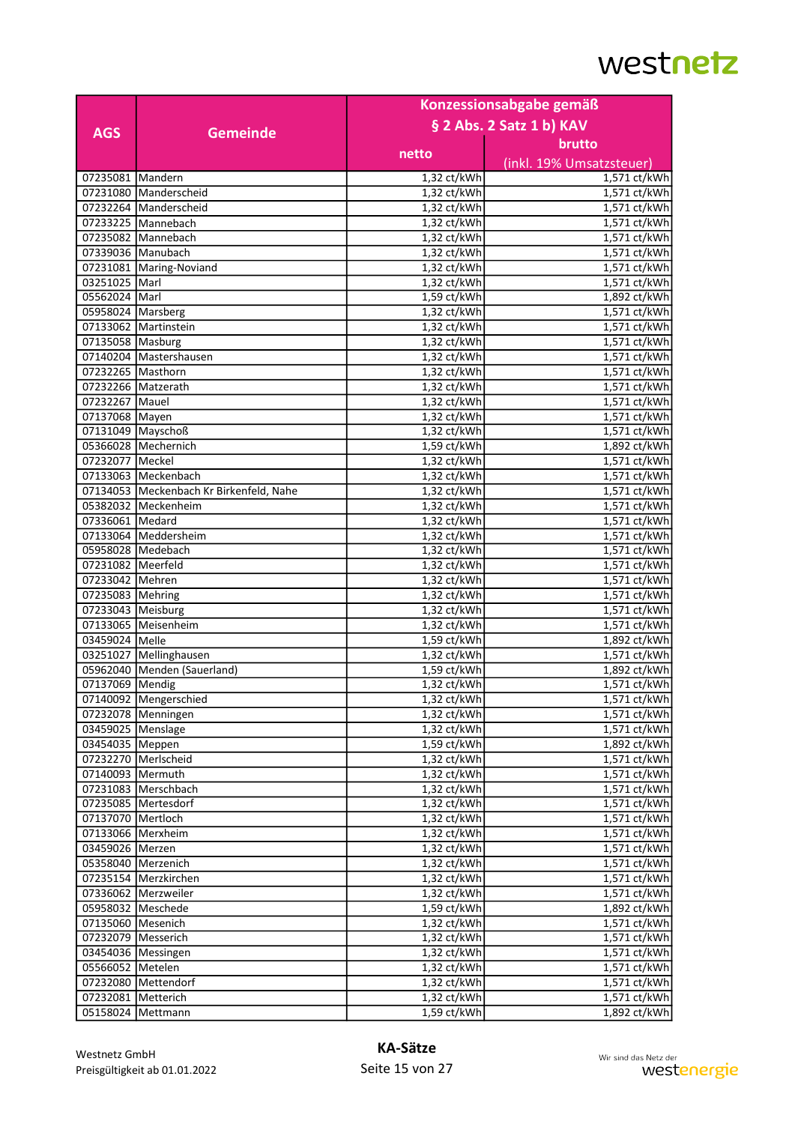|                                      |                                               | Konzessionsabgabe gemäß            |                              |
|--------------------------------------|-----------------------------------------------|------------------------------------|------------------------------|
|                                      |                                               |                                    | § 2 Abs. 2 Satz 1 b) KAV     |
| <b>AGS</b>                           | <b>Gemeinde</b>                               |                                    |                              |
|                                      |                                               | netto                              | brutto                       |
|                                      |                                               |                                    | (inkl. 19% Umsatzsteuer)     |
| 07235081 Mandern                     |                                               | 1,32 ct/kWh                        | 1,571 ct/kWh                 |
|                                      | 07231080 Manderscheid                         | 1,32 ct/kWh                        | 1,571 ct/kWh                 |
|                                      | 07232264   Manderscheid                       | 1,32 ct/kWh                        | 1,571 ct/kWh                 |
|                                      | 07233225 Mannebach                            | 1,32 ct/kWh                        | $1,5\overline{71}$ ct/kWh    |
|                                      | 07235082 Mannebach                            | 1,32 ct/kWh                        | 1,571 ct/kWh                 |
|                                      | 07339036 Manubach                             | 1,32 ct/kWh                        | 1,571 ct/kWh                 |
|                                      | 07231081 Maring-Noviand                       | 1,32 ct/kWh                        | 1,571 ct/kWh                 |
| 03251025   Marl                      |                                               | 1,32 ct/kWh                        | 1,571 ct/kWh                 |
| 05562024 Marl                        |                                               | 1,59 ct/kWh                        | 1,892 ct/kWh                 |
| 05958024 Marsberg                    |                                               | 1,32 ct/kWh                        | 1,571 ct/kWh                 |
|                                      | 07133062 Martinstein                          | 1,32 ct/kWh                        | 1,571 ct/kWh                 |
| 07135058 Masburg                     |                                               | 1,32 ct/kWh                        | 1,571 ct/kWh                 |
|                                      | 07140204 Mastershausen                        | 1,32 ct/kWh                        | 1,571 ct/kWh                 |
| 07232265   Masthorn                  |                                               | 1,32 ct/kWh                        | 1,571 ct/kWh                 |
|                                      | 07232266 Matzerath                            | 1,32 ct/kWh                        | 1,571 ct/kWh                 |
| 07232267 Mauel                       |                                               | 1,32 ct/kWh                        | 1,571 ct/kWh                 |
| 07137068 Mayen                       |                                               | 1,32 ct/kWh                        | 1,571 ct/kWh                 |
|                                      | 07131049 Mayschoß                             | 1,32 ct/kWh                        | 1,571 ct/kWh                 |
|                                      | 05366028 Mechernich                           | 1,59 ct/kWh                        | 1,892 ct/kWh                 |
| 07232077 Meckel                      |                                               | 1,32 ct/kWh                        | 1,571 ct/kWh                 |
|                                      | 07133063 Meckenbach                           | 1,32 ct/kWh                        | 1,571 ct/kWh                 |
|                                      | 07134053 Meckenbach Kr Birkenfeld, Nahe       | 1,32 ct/kWh                        | 1,571 ct/kWh                 |
|                                      | 05382032 Meckenheim                           | 1,32 ct/kWh                        | 1,571 ct/kWh                 |
| 07336061 Medard                      |                                               | 1,32 ct/kWh                        | 1,571 ct/kWh                 |
|                                      | 07133064 Meddersheim                          | 1,32 ct/kWh                        | 1,571 ct/kWh                 |
|                                      | 05958028 Medebach                             | $1,32$ ct/kWh                      | 1,571 ct/kWh                 |
| 07231082 Meerfeld                    |                                               | 1,32 ct/kWh                        | 1,571 ct/kWh                 |
| 07233042 Mehren                      |                                               | 1,32 ct/kWh                        | 1,571 ct/kWh                 |
| 07235083 Mehring                     |                                               | 1,32 ct/kWh                        | 1,571 ct/kWh                 |
| 07233043 Meisburg                    |                                               | 1,32 ct/kWh                        | 1,571 ct/kWh                 |
|                                      | 07133065 Meisenheim                           | 1,32 ct/kWh                        | 1,571 ct/kWh                 |
| 03459024 Melle                       |                                               | 1,59 ct/kWh                        | 1,892 ct/kWh                 |
|                                      | 03251027 Mellinghausen                        | 1,32 ct/kWh                        | 1,571 ct/kWh                 |
|                                      | 05962040 Menden (Sauerland)                   | 1,59 ct/kWh                        | 1,892 ct/kWh                 |
| 07137069 Mendig                      |                                               | 1,32 ct/kWh                        | 1,571 ct/kWh                 |
|                                      |                                               |                                    |                              |
|                                      | 07140092   Mengerschied<br>07232078 Menningen | 1,32 ct/kWh <br>1,32 ct/kWh        | 1,571 ct/kWh<br>1,571 ct/kWh |
|                                      |                                               | 1,32 ct/kWh                        |                              |
| 03459025 Menslage<br>03454035 Meppen |                                               | 1,59 ct/kWh                        | 1,571 ct/kWh                 |
|                                      |                                               |                                    | 1,892 ct/kWh                 |
|                                      | 07232270 Merlscheid                           | 1,32 ct/kWh                        | 1,571 ct/kWh                 |
| 07140093 Mermuth                     |                                               | 1,32 ct/kWh                        | 1,571 ct/kWh                 |
|                                      | 07231083 Merschbach                           | 1,32 ct/kWh                        | 1,571 ct/kWh                 |
|                                      | 07235085   Mertesdorf                         | $1,32$ ct/ $\overline{\text{kWh}}$ | 1,571 ct/kWh                 |
| 07137070 Mertloch                    |                                               | 1,32 ct/kWh                        | 1,571 ct/kWh                 |
|                                      | 07133066 Merxheim                             | 1,32 ct/kWh                        | 1,571 ct/kWh                 |
| 03459026 Merzen                      |                                               | 1,32 ct/kWh                        | 1,571 ct/kWh                 |
|                                      | 05358040 Merzenich                            | 1,32 ct/kWh                        | 1,571 ct/kWh                 |
|                                      | 07235154 Merzkirchen                          | 1,32 ct/kWh                        | 1,571 ct/kWh                 |
|                                      | 07336062 Merzweiler                           | 1,32 ct/kWh                        | 1,571 ct/kWh                 |
|                                      | 05958032 Meschede                             | 1,59 ct/kWh                        | 1,892 ct/kWh                 |
| 07135060 Mesenich                    |                                               | 1,32 ct/kWh                        | 1,571 ct/kWh                 |
|                                      | 07232079 Messerich                            | 1,32 ct/kWh                        | 1,571 ct/kWh                 |
|                                      | 03454036   Messingen                          | $1,32$ ct/kWh                      | 1,571 ct/kWh                 |
| 05566052 Metelen                     |                                               | 1,32 ct/kWh                        | 1,571 ct/kWh                 |
|                                      | 07232080   Mettendorf                         | 1,32 ct/kWh                        | 1,571 ct/kWh                 |
| 07232081 Metterich                   |                                               | 1,32 ct/kWh                        | 1,571 ct/kWh                 |
|                                      | 05158024 Mettmann                             | 1,59 ct/kWh                        | 1,892 ct/kWh                 |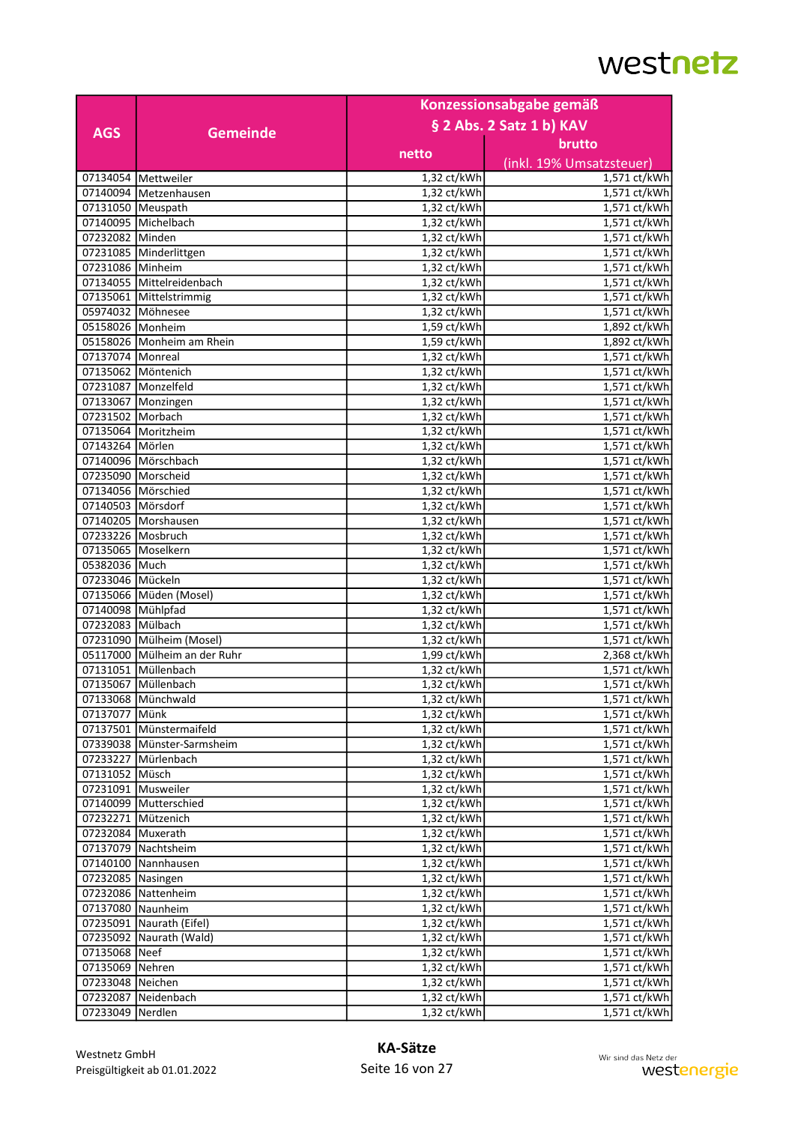|                     |                                                       | Konzessionsabgabe gemäß            |                              |
|---------------------|-------------------------------------------------------|------------------------------------|------------------------------|
|                     |                                                       |                                    | § 2 Abs. 2 Satz 1 b) KAV     |
| <b>AGS</b>          | <b>Gemeinde</b>                                       |                                    |                              |
|                     |                                                       | netto                              | brutto                       |
|                     |                                                       |                                    | (inkl. 19% Umsatzsteuer)     |
|                     | 07134054   Mettweiler                                 | 1,32 ct/kWh                        | 1,571 ct/kWh                 |
|                     | 07140094 Metzenhausen                                 | 1,32 ct/kWh                        | 1,571 ct/kWh                 |
| 07131050   Meuspath |                                                       | 1,32 ct/kWh                        | 1,571 ct/kWh                 |
|                     | 07140095 Michelbach                                   | 1,32 ct/kWh                        | 1,571 ct/kWh                 |
| 07232082 Minden     |                                                       | 1,32 ct/kWh                        | 1,571 ct/kWh                 |
|                     | 07231085 Minderlittgen                                | 1,32 ct/kWh                        | 1,571 ct/kWh                 |
| 07231086 Minheim    |                                                       | 1,32 ct/kWh                        | 1,571 ct/kWh                 |
|                     | 07134055 Mittelreidenbach                             | 1,32 ct/kWh                        | 1,571 ct/kWh                 |
|                     | 07135061 Mittelstrimmig                               | 1,32 ct/kWh                        | 1,571 ct/kWh                 |
|                     | 05974032 Möhnesee                                     | 1,32 ct/kWh                        | 1,571 ct/kWh                 |
| 05158026 Monheim    |                                                       | 1,59 ct/kWh                        | 1,892 ct/kWh                 |
|                     | 05158026 Monheim am Rhein                             | 1,59 ct/kWh                        | 1,892 ct/kWh                 |
| 07137074   Monreal  |                                                       | 1,32 ct/kWh                        | 1,571 ct/kWh                 |
|                     | 07135062 Möntenich                                    | 1,32 ct/kWh                        | 1,571 ct/kWh                 |
|                     | 07231087 Monzelfeld                                   | 1,32 ct/kWh                        | 1,571 ct/kWh                 |
|                     | 07133067 Monzingen                                    | 1,32 ct/kWh                        | 1,571 ct/kWh                 |
| 07231502 Morbach    |                                                       | 1,32 ct/kWh                        | 1,571 ct/kWh                 |
|                     | 07135064 Moritzheim                                   | 1,32 ct/kWh                        | 1,571 ct/kWh                 |
| 07143264 Mörlen     |                                                       | 1,32 ct/kWh                        | 1,571 ct/kWh                 |
|                     | 07140096 Mörschbach                                   | 1,32 ct/kWh                        | 1,571 ct/kWh                 |
|                     | 07235090 Morscheid                                    | 1,32 ct/kWh                        | 1,571 ct/kWh                 |
|                     | 07134056 Mörschied                                    | 1,32 ct/kWh                        | 1,571 ct/kWh                 |
| 07140503 Mörsdorf   |                                                       | 1,32 ct/kWh                        | 1,571 ct/kWh                 |
|                     | 07140205 Morshausen                                   | 1,32 ct/kWh                        | 1,571 ct/kWh                 |
| 07233226 Mosbruch   |                                                       | 1,32 ct/kWh                        | 1,571 ct/kWh                 |
|                     | 07135065 Moselkern                                    | 1,32 ct/kWh                        | 1,571 ct/kWh                 |
| 05382036 Much       |                                                       | 1,32 ct/kWh                        | 1,571 ct/kWh                 |
| 07233046 Mückeln    |                                                       | 1,32 ct/kWh                        | 1,571 ct/kWh                 |
|                     | 07135066 Müden (Mosel)                                | 1,32 ct/kWh                        | 1,571 ct/kWh                 |
| 07140098 Mühlpfad   |                                                       | 1,32 ct/kWh                        | 1,571 ct/kWh                 |
| 07232083 Mülbach    |                                                       | 1,32 ct/kWh                        | 1,571 ct/kWh                 |
|                     | 07231090 Mülheim (Mosel)                              | 1,32 ct/kWh                        | 1,571 ct/kWh                 |
|                     | 05117000 Mülheim an der Ruhr                          | 1,99 ct/kWh                        | 2,368 ct/kWh                 |
|                     | 07131051 Müllenbach                                   | 1,32 ct/kWh                        | 1,571 ct/kWh                 |
|                     | 07135067 Müllenbach                                   | 1,32 ct/kWh                        | 1,571 ct/kWh                 |
|                     |                                                       |                                    |                              |
|                     | 07133068   Münchwald                                  | 1,32 ct/kWh                        | 1,571 ct/kWh                 |
| 07137077 Münk       |                                                       | $1,32$ ct/kWh                      | 1,571 ct/kWh                 |
|                     | 07137501 Münstermaifeld<br>07339038 Münster-Sarmsheim | 1,32 ct/kWh<br>1,32 ct/kWh         | 1,571 ct/kWh<br>1,571 ct/kWh |
|                     |                                                       |                                    |                              |
|                     | 07233227 Mürlenbach                                   | 1,32 ct/kWh                        | 1,571 ct/kWh                 |
| 07131052 Müsch      |                                                       | 1,32 ct/kWh                        | 1,571 ct/kWh                 |
|                     | 07231091 Musweiler                                    | 1,32 ct/kWh                        | 1,571 ct/kWh                 |
|                     | 07140099 Mutterschied                                 | $1,32$ ct/ $\overline{\text{kWh}}$ | 1,571 ct/kWh                 |
|                     | 07232271 Mützenich                                    | 1,32 ct/kWh                        | 1,571 ct/kWh                 |
| 07232084 Muxerath   |                                                       | 1,32 ct/kWh                        | 1,571 ct/kWh                 |
|                     | 07137079 Nachtsheim                                   | 1,32 ct/kWh                        | 1,571 ct/kWh                 |
|                     | 07140100 Nannhausen                                   | 1,32 ct/kWh                        | 1,571 ct/kWh                 |
| 07232085 Nasingen   |                                                       | 1,32 ct/kWh                        | 1,571 ct/kWh                 |
|                     | 07232086 Nattenheim                                   | 1,32 ct/kWh                        | 1,571 ct/kWh                 |
| 07137080 Naunheim   |                                                       | $1,32$ ct/kWh                      | 1,571 ct/kWh                 |
|                     | 07235091 Naurath (Eifel)                              | 1,32 ct/kWh                        | 1,571 ct/kWh                 |
|                     | 07235092 Naurath (Wald)                               | 1,32 ct/kWh                        | 1,571 ct/kWh                 |
| 07135068 Neef       |                                                       | 1,32 ct/kWh                        | 1,571 ct/kWh                 |
| 07135069 Nehren     |                                                       | 1,32 ct/kWh                        | 1,571 ct/kWh                 |
| 07233048 Neichen    |                                                       | 1,32 ct/kWh                        | 1,571 ct/kWh                 |
|                     | 07232087 Neidenbach                                   | 1,32 ct/kWh                        | 1,571 ct/kWh                 |
| 07233049 Nerdlen    |                                                       | 1,32 ct/kWh                        | 1,571 ct/kWh                 |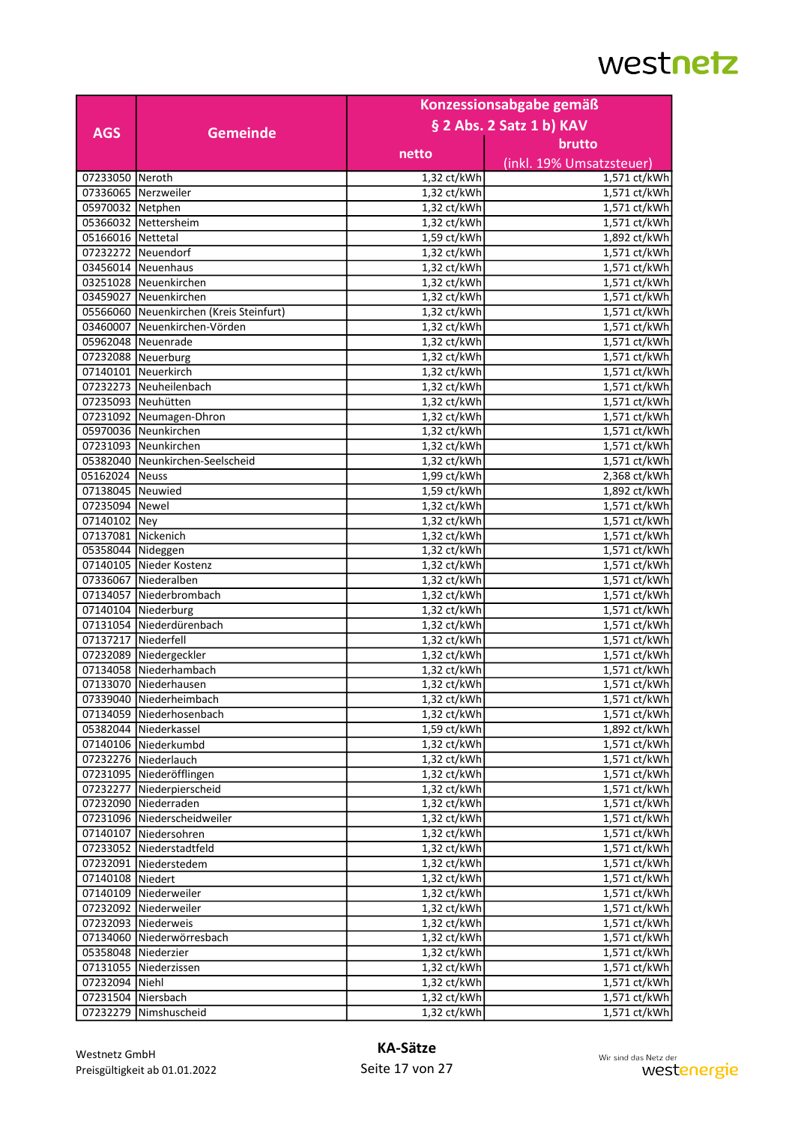| Konzessionsabgabe gemäß |                                         |                                    |                          |
|-------------------------|-----------------------------------------|------------------------------------|--------------------------|
|                         |                                         | § 2 Abs. 2 Satz 1 b) KAV           |                          |
| <b>AGS</b>              | <b>Gemeinde</b>                         |                                    |                          |
|                         |                                         | netto                              | brutto                   |
|                         |                                         |                                    | (inkl. 19% Umsatzsteuer) |
| 07233050 Neroth         |                                         | 1,32 ct/kWh                        | 1,571 ct/kWh             |
|                         | 07336065 Nerzweiler                     | 1,32 ct/kWh                        | 1,571 ct/kWh             |
| 05970032 Netphen        |                                         | 1,32 ct/kWh                        | 1,571 ct/kWh             |
|                         | 05366032 Nettersheim                    | 1,32 ct/kWh                        | 1,571 ct/kWh             |
| 05166016 Nettetal       |                                         | 1,59 ct/kWh                        | 1,892 ct/kWh             |
|                         | 07232272 Neuendorf                      | 1,32 ct/kWh                        | 1,571 ct/kWh             |
|                         | 03456014 Neuenhaus                      | 1,32 ct/kWh                        | 1,571 ct/kWh             |
|                         | 03251028 Neuenkirchen                   | 1,32 ct/kWh                        | 1,571 ct/kWh             |
|                         | 03459027 Neuenkirchen                   | 1,32 ct/kWh                        | 1,571 ct/kWh             |
|                         | 05566060 Neuenkirchen (Kreis Steinfurt) | 1,32 ct/kWh                        | 1,571 ct/kWh             |
|                         | 03460007 Neuenkirchen-Vörden            | 1,32 ct/kWh                        | 1,571 ct/kWh             |
|                         | 05962048 Neuenrade                      | 1,32 ct/kWh                        | 1,571 ct/kWh             |
|                         | 07232088 Neuerburg                      | 1,32 ct/kWh                        | 1,571 ct/kWh             |
|                         | 07140101 Neuerkirch                     | 1,32 ct/kWh                        | 1,571 ct/kWh             |
|                         | 07232273 Neuheilenbach                  | 1,32 ct/kWh                        | 1,571 ct/kWh             |
|                         | 07235093 Neuhütten                      | 1,32 ct/kWh                        | 1,571 ct/kWh             |
|                         | 07231092 Neumagen-Dhron                 | 1,32 ct/kWh                        | 1,571 ct/kWh             |
|                         | 05970036 Neunkirchen                    | 1,32 ct/kWh                        | 1,571 ct/kWh             |
|                         | 07231093 Neunkirchen                    | 1,32 ct/kWh                        | 1,571 ct/kWh             |
|                         | 05382040 Neunkirchen-Seelscheid         | 1,32 ct/kWh                        | 1,571 ct/kWh             |
| 05162024 Neuss          |                                         | 1,99 ct/kWh                        | 2,368 ct/kWh             |
| 07138045 Neuwied        |                                         | 1,59 ct/kWh                        | 1,892 ct/kWh             |
| 07235094 Newel          |                                         | 1,32 ct/kWh                        | 1,571 ct/kWh             |
| 07140102 Ney            |                                         | 1,32 ct/kWh                        | 1,571 ct/kWh             |
| 07137081 Nickenich      |                                         | 1,32 ct/kWh                        | 1,571 ct/kWh             |
| 05358044 Nideggen       |                                         | 1,32 ct/kWh                        | 1,571 ct/kWh             |
|                         | 07140105 Nieder Kostenz                 | 1,32 ct/kWh                        | 1,571 ct/kWh             |
|                         | 07336067 Niederalben                    | 1,32 ct/kWh                        | 1,571 ct/kWh             |
|                         | 07134057 Niederbrombach                 | 1,32 ct/kWh                        | 1,571 ct/kWh             |
|                         | 07140104 Niederburg                     | 1,32 ct/kWh                        | 1,571 ct/kWh             |
|                         | 07131054 Niederdürenbach                | 1,32 ct/kWh                        | 1,571 ct/kWh             |
| 07137217 Niederfell     |                                         | 1,32 ct/kWh                        | 1,571 ct/kWh             |
|                         | 07232089 Niedergeckler                  | 1,32 ct/kWh                        | 1,571 ct/kWh             |
|                         | 07134058 Niederhambach                  | 1,32 ct/kWh                        | 1,571 ct/kWh             |
|                         | 07133070 Niederhausen                   | 1,32 ct/kWh                        | 1,571 ct/kWh             |
|                         |                                         |                                    |                          |
|                         | 07339040   Niederheimbach               | 1,32 ct/kWh                        | 1,571 ct/kWh             |
|                         | 07134059 Niederhosenbach                | 1,32 ct/kWh                        | 1,571 ct/kWh             |
|                         | 05382044 Niederkassel                   | 1,59 ct/kWh                        | 1,892 ct/kWh             |
|                         | 07140106 Niederkumbd                    | 1,32 ct/kWh                        | 1,571 ct/kWh             |
|                         | 07232276 Niederlauch                    | 1,32 ct/kWh                        | 1,571 ct/kWh             |
|                         | 07231095 Niederöfflingen                | 1,32 ct/kWh                        | 1,571 ct/kWh             |
|                         | 07232277 Niederpierscheid               | 1,32 ct/kWh                        | 1,571 ct/kWh             |
|                         | 07232090 Niederraden                    | $1,32$ ct/ $\overline{\text{kWh}}$ | 1,571 ct/kWh             |
|                         | 07231096 Niederscheidweiler             | 1,32 ct/kWh                        | 1,571 ct/kWh             |
|                         | 07140107 Niedersohren                   | 1,32 ct/kWh                        | 1,571 ct/kWh             |
|                         | 07233052 Niederstadtfeld                | 1,32 ct/kWh                        | 1,571 ct/kWh             |
|                         | 07232091 Niederstedem                   | 1,32 ct/kWh                        | 1,571 ct/kWh             |
| 07140108 Niedert        |                                         | 1,32 ct/kWh                        | 1,571 ct/kWh             |
|                         | 07140109 Niederweiler                   | 1,32 ct/kWh                        | 1,571 ct/kWh             |
|                         | 07232092 Niederweiler                   | $1,32$ ct/kWh                      | 1,571 ct/kWh             |
|                         | 07232093 Niederweis                     | 1,32 ct/kWh                        | 1,571 ct/kWh             |
|                         | 07134060 Niederwörresbach               | 1,32 ct/kWh                        | 1,571 ct/kWh             |
|                         | 05358048 Niederzier                     | 1,32 ct/kWh                        | 1,571 ct/kWh             |
|                         | 07131055 Niederzissen                   | 1,32 ct/kWh                        | 1,571 ct/kWh             |
| 07232094 Niehl          |                                         | 1,32 ct/kWh                        | 1,571 ct/kWh             |
| 07231504 Niersbach      |                                         | 1,32 ct/kWh                        | 1,571 ct/kWh             |
|                         | 07232279 Nimshuscheid                   | 1,32 ct/kWh                        | 1,571 ct/kWh             |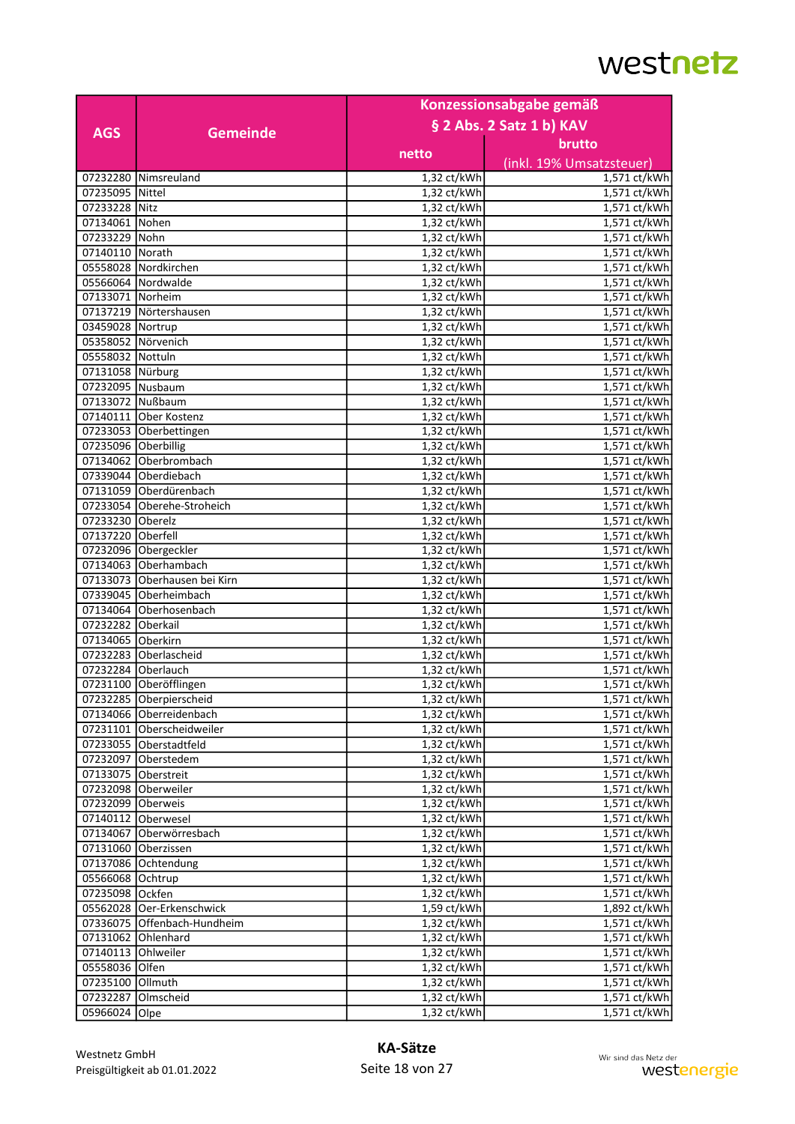|                     |                                                      | Konzessionsabgabe gemäß    |                              |
|---------------------|------------------------------------------------------|----------------------------|------------------------------|
|                     |                                                      |                            | § 2 Abs. 2 Satz 1 b) KAV     |
| <b>AGS</b>          | <b>Gemeinde</b>                                      |                            |                              |
|                     |                                                      | netto                      | brutto                       |
|                     |                                                      |                            | (inkl. 19% Umsatzsteuer)     |
|                     | 07232280 Nimsreuland                                 | 1,32 ct/kWh                | 1,571 ct/kWh                 |
| 07235095 Nittel     |                                                      | 1,32 ct/kWh                | 1,571 ct/kWh                 |
| 07233228 Nitz       |                                                      | 1,32 ct/kWh                | 1,571 ct/kWh                 |
| 07134061 Nohen      |                                                      | 1,32 ct/kWh                | 1,571 ct/kWh                 |
| 07233229 Nohn       |                                                      | 1,32 ct/kWh                | 1,571 ct/kWh                 |
| 07140110 Norath     |                                                      | 1,32 ct/kWh                | 1,571 ct/kWh                 |
|                     | 05558028 Nordkirchen                                 | 1,32 ct/kWh                | 1,571 ct/kWh                 |
|                     | 05566064 Nordwalde                                   | 1,32 ct/kWh                | 1,571 ct/kWh                 |
| 07133071 Norheim    |                                                      | 1,32 ct/kWh                | 1,571 ct/kWh                 |
|                     | 07137219 Nörtershausen                               | 1,32 ct/kWh                | 1,571 ct/kWh                 |
| 03459028 Nortrup    |                                                      | 1,32 ct/kWh                | 1,571 ct/kWh                 |
| 05358052 Nörvenich  |                                                      | 1,32 ct/kWh                | 1,571 ct/kWh                 |
| 05558032 Nottuln    |                                                      | 1,32 ct/kWh                | 1,571 ct/kWh                 |
| 07131058 Nürburg    |                                                      | 1,32 ct/kWh                | 1,571 ct/kWh                 |
| 07232095 Nusbaum    |                                                      | 1,32 ct/kWh                | 1,571 ct/kWh                 |
| 07133072 Nußbaum    |                                                      | 1,32 ct/kWh                | 1,571 ct/kWh                 |
|                     | 07140111 Ober Kostenz                                | 1,32 ct/kWh                | 1,571 ct/kWh                 |
|                     | 07233053 Oberbettingen                               | 1,32 ct/kWh                | 1,571 ct/kWh                 |
| 07235096 Oberbillig |                                                      | 1,32 ct/kWh                | 1,571 ct/kWh                 |
|                     | 07134062 Oberbrombach                                | 1,32 ct/kWh                | 1,571 ct/kWh                 |
|                     | 07339044 Oberdiebach                                 | 1,32 ct/kWh                | 1,571 ct/kWh                 |
|                     | 07131059 Oberdürenbach                               | 1,32 ct/kWh                | 1,571 ct/kWh                 |
|                     | 07233054 Oberehe-Stroheich                           | 1,32 ct/kWh                | 1,571 ct/kWh                 |
| 07233230 Oberelz    |                                                      | 1,32 ct/kWh                | 1,571 ct/kWh                 |
| 07137220 Oberfell   |                                                      | 1,32 ct/kWh                | 1,571 ct/kWh                 |
|                     | 07232096 Obergeckler                                 | $1,32$ ct/kWh              | 1,571 ct/kWh                 |
|                     | 07134063 Oberhambach                                 | 1,32 ct/kWh                | 1,571 ct/kWh                 |
|                     | 07133073 Oberhausen bei Kirn                         | 1,32 ct/kWh                | 1,571 ct/kWh                 |
|                     | 07339045 Oberheimbach                                | 1,32 ct/kWh                | 1,571 ct/kWh                 |
|                     | 07134064 Oberhosenbach                               | 1,32 ct/kWh                | 1,571 ct/kWh                 |
| 07232282 Oberkail   |                                                      | 1,32 ct/kWh                | 1,571 ct/kWh                 |
| 07134065 Oberkirn   |                                                      | 1,32 ct/kWh                | 1,571 ct/kWh                 |
|                     | 07232283 Oberlascheid                                | 1,32 ct/kWh                | 1,571 ct/kWh                 |
|                     | 07232284 Oberlauch                                   | 1,32 ct/kWh                | 1,571 ct/kWh                 |
|                     | 07231100 Oberöfflingen                               | 1,32 ct/kWh                | 1,571 ct/kWh                 |
|                     |                                                      | 1,32 ct/kWh                |                              |
|                     | 07232285   Oberpierscheid<br>07134066 Oberreidenbach | $1,32$ ct/kWh              | 1,571 ct/kWh<br>1,571 ct/kWh |
|                     | 07231101 Oberscheidweiler                            | 1,32 ct/kWh                | 1,571 ct/kWh                 |
|                     |                                                      | 1,32 ct/kWh                | 1,571 ct/kWh                 |
|                     | 07233055 Oberstadtfeld<br>07232097 Oberstedem        | 1,32 ct/kWh                | 1,571 ct/kWh                 |
|                     | 07133075 Oberstreit                                  |                            |                              |
|                     | 07232098 Oberweiler                                  | 1,32 ct/kWh<br>1,32 ct/kWh | 1,571 ct/kWh<br>1,571 ct/kWh |
|                     |                                                      |                            | 1,571 ct/kWh                 |
| 07232099 Oberweis   |                                                      | $1,32$ ct/kWh              |                              |
|                     | 07140112 Oberwesel                                   | 1,32 ct/kWh                | 1,571 ct/kWh                 |
|                     | 07134067 Oberwörresbach                              | 1,32 ct/kWh                | 1,571 ct/kWh                 |
|                     | 07131060 Oberzissen                                  | 1,32 ct/kWh                | 1,571 ct/kWh                 |
|                     | 07137086 Ochtendung                                  | 1,32 ct/kWh                | 1,571 ct/kWh                 |
| 05566068 Ochtrup    |                                                      | 1,32 ct/kWh                | 1,571 ct/kWh                 |
| 07235098 Ockfen     |                                                      | 1,32 ct/kWh                | 1,571 ct/kWh                 |
|                     | 05562028 Oer-Erkenschwick                            | 1,59 ct/kWh                | 1,892 ct/kWh                 |
|                     | 07336075 Offenbach-Hundheim                          | 1,32 ct/kWh                | 1,571 ct/kWh                 |
|                     | 07131062 Ohlenhard                                   | 1,32 ct/kWh                | 1,571 ct/kWh                 |
| 07140113 Ohlweiler  |                                                      | 1,32 ct/kWh                | 1,571 ct/kWh                 |
| 05558036 Olfen      |                                                      | 1,32 ct/kWh                | 1,571 ct/kWh                 |
| 07235100 Ollmuth    |                                                      | 1,32 ct/kWh                | 1,571 ct/kWh                 |
|                     | 07232287 Olmscheid                                   | 1,32 ct/kWh                | 1,571 ct/kWh                 |
| 05966024 Olpe       |                                                      | 1,32 ct/kWh                | 1,571 ct/kWh                 |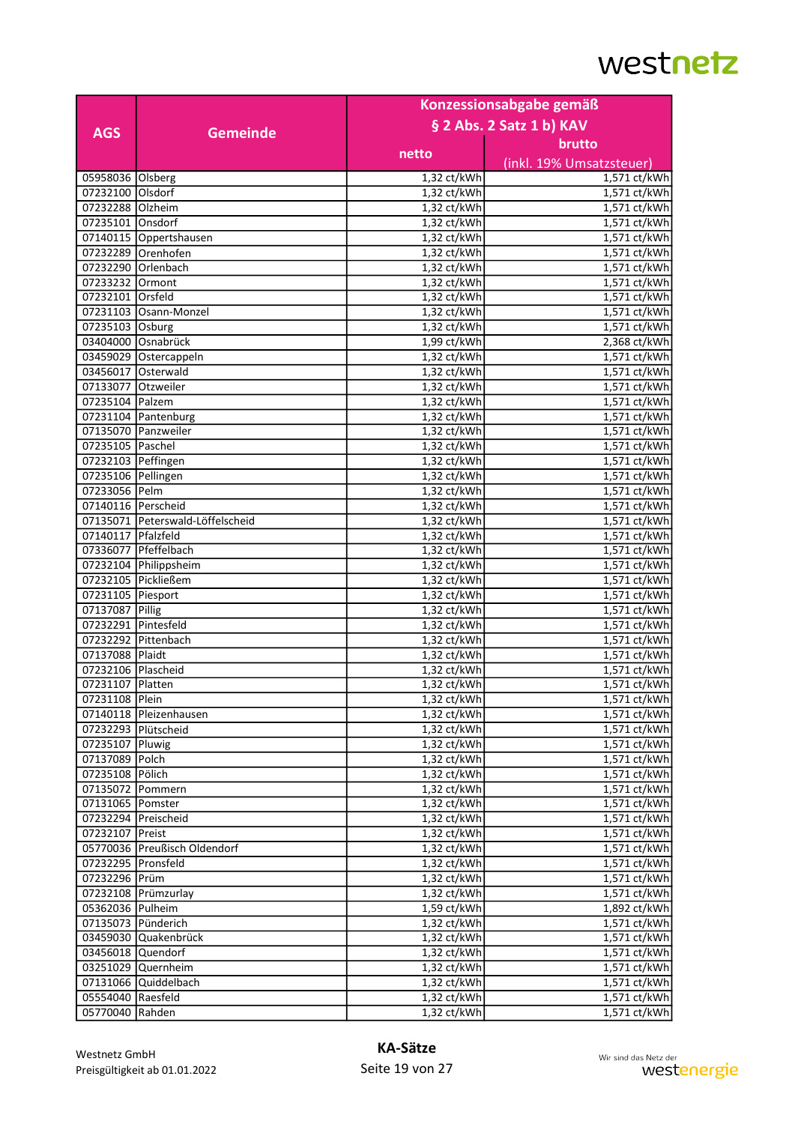|                      |                                  | Konzessionsabgabe gemäß |                          |
|----------------------|----------------------------------|-------------------------|--------------------------|
|                      |                                  |                         | § 2 Abs. 2 Satz 1 b) KAV |
| <b>AGS</b>           | <b>Gemeinde</b>                  |                         |                          |
|                      |                                  | netto                   | brutto                   |
|                      |                                  |                         | (inkl. 19% Umsatzsteuer) |
| 05958036 Olsberg     |                                  | 1,32 ct/kWh             | 1,571 ct/kWh             |
| 07232100 Olsdorf     |                                  | 1,32 ct/kWh             | 1,571 ct/kWh             |
| 07232288 Olzheim     |                                  | 1,32 ct/kWh             | 1,571 ct/kWh             |
| 07235101 Onsdorf     |                                  | 1,32 ct/kWh             | 1,571 ct/kWh             |
|                      | 07140115 Oppertshausen           | 1,32 ct/kWh             | 1,571 ct/kWh             |
|                      | 07232289 Orenhofen               | 1,32 ct/kWh             | 1,571 ct/kWh             |
|                      | 07232290 Orlenbach               | 1,32 ct/kWh             | 1,571 ct/kWh             |
| 07233232 Ormont      |                                  | 1,32 ct/kWh             | 1,571 ct/kWh             |
| 07232101 Orsfeld     |                                  | 1,32 ct/kWh             | 1,571 ct/kWh             |
|                      | 07231103 Osann-Monzel            | 1,32 ct/kWh             | 1,571 ct/kWh             |
| 07235103 Osburg      |                                  | 1,32 ct/kWh             | 1,571 ct/kWh             |
|                      | 03404000 Osnabrück               | 1,99 ct/kWh             | 2,368 ct/kWh             |
|                      | 03459029 Ostercappeln            | 1,32 ct/kWh             | 1,571 ct/kWh             |
| 03456017 Osterwald   |                                  | 1,32 ct/kWh             | 1,571 ct/kWh             |
| 07133077 Otzweiler   |                                  | 1,32 ct/kWh             | 1,571 ct/kWh             |
| 07235104 Palzem      |                                  | 1,32 ct/kWh             | 1,571 ct/kWh             |
|                      | 07231104 Pantenburg              | 1,32 ct/kWh             | 1,571 ct/kWh             |
|                      | 07135070 Panzweiler              | 1,32 ct/kWh             | 1,571 ct/kWh             |
| 07235105 Paschel     |                                  | 1,32 ct/kWh             | 1,571 ct/kWh             |
| 07232103 Peffingen   |                                  | 1,32 ct/kWh             | 1,571 ct/kWh             |
| 07235106 Pellingen   |                                  | 1,32 ct/kWh             | 1,571 ct/kWh             |
| 07233056 Pelm        |                                  | 1,32 ct/kWh             | 1,571 ct/kWh             |
| 07140116 Perscheid   |                                  | 1,32 ct/kWh             | 1,571 ct/kWh             |
|                      | 07135071 Peterswald-Löffelscheid | 1,32 ct/kWh             | 1,571 ct/kWh             |
| 07140117   Pfalzfeld |                                  | $1,32$ ct/kWh           | 1,571 ct/kWh             |
|                      | 07336077 Pfeffelbach             | 1,32 ct/kWh             | 1,571 ct/kWh             |
|                      | 07232104 Philippsheim            | 1,32 ct/kWh             | 1,571 ct/kWh             |
|                      | 07232105 Pickließem              | 1,32 ct/kWh             | 1,571 ct/kWh             |
| 07231105 Piesport    |                                  | 1,32 ct/kWh             | 1,571 ct/kWh             |
| 07137087 Pillig      |                                  | 1,32 ct/kWh             | 1,571 ct/kWh             |
| 07232291 Pintesfeld  |                                  | 1,32 ct/kWh             | 1,571 ct/kWh             |
|                      | 07232292 Pittenbach              | 1,32 ct/kWh             | 1,571 ct/kWh             |
| 07137088 Plaidt      |                                  | 1,32 ct/kWh             | 1,571 ct/kWh             |
| 07232106 Plascheid   |                                  | 1,32 ct/kWh             | 1,571 ct/kWh             |
| 07231107 Platten     |                                  | 1,32 ct/kWh             | 1,571 ct/kWh             |
|                      |                                  |                         |                          |
| 07231108   Plein     |                                  | 1,32 ct/kWh             | 1,571 ct/kWh             |
| 07232293 Plütscheid  | 07140118   Pleizenhausen         | 1,32 ct/kWh             | 1,571 ct/kWh             |
|                      |                                  | 1,32 ct/kWh             | 1,571 ct/kWh             |
| 07235107 Pluwig      |                                  | 1,32 ct/kWh             | $1,571$ ct/kWh           |
| 07137089 Polch       |                                  | 1,32 ct/kWh             | 1,571 ct/kWh             |
| 07235108 Pölich      |                                  | 1,32 ct/kWh             | 1,571 ct/kWh             |
| 07135072 Pommern     |                                  | 1,32 ct/kWh             | 1,571 ct/kWh             |
| 07131065 Pomster     |                                  | $1,32$ ct/kWh           | 1,571 ct/kWh             |
| 07232294 Preischeid  |                                  | 1,32 ct/kWh             | 1,571 ct/kWh             |
| 07232107 Preist      |                                  | 1,32 ct/kWh             | 1,571 ct/kWh             |
|                      | 05770036 Preußisch Oldendorf     | 1,32 ct/kWh             | 1,571 ct/kWh             |
| 07232295 Pronsfeld   |                                  | 1,32 ct/kWh             | 1,571 ct/kWh             |
| 07232296 Prüm        |                                  | 1,32 ct/kWh             | 1,571 ct/kWh             |
|                      | 07232108 Prümzurlay              | 1,32 ct/kWh             | 1,571 ct/kWh             |
| 05362036   Pulheim   |                                  | 1,59 ct/kWh             | 1,892 ct/kWh             |
| 07135073 Pünderich   |                                  | 1,32 ct/kWh             | 1,571 ct/kWh             |
|                      | 03459030 Quakenbrück             | 1,32 ct/kWh             | 1,571 ct/kWh             |
| 03456018 Quendorf    |                                  | 1,32 ct/kWh             | 1,571 ct/kWh             |
|                      | 03251029 Quernheim               | 1,32 ct/kWh             | 1,571 ct/kWh             |
|                      | 07131066 Quiddelbach             | 1,32 ct/kWh             | 1,571 ct/kWh             |
| 05554040 Raesfeld    |                                  | 1,32 ct/kWh             | 1,571 ct/kWh             |
| 05770040 Rahden      |                                  | 1,32 ct/kWh             | 1,571 ct/kWh             |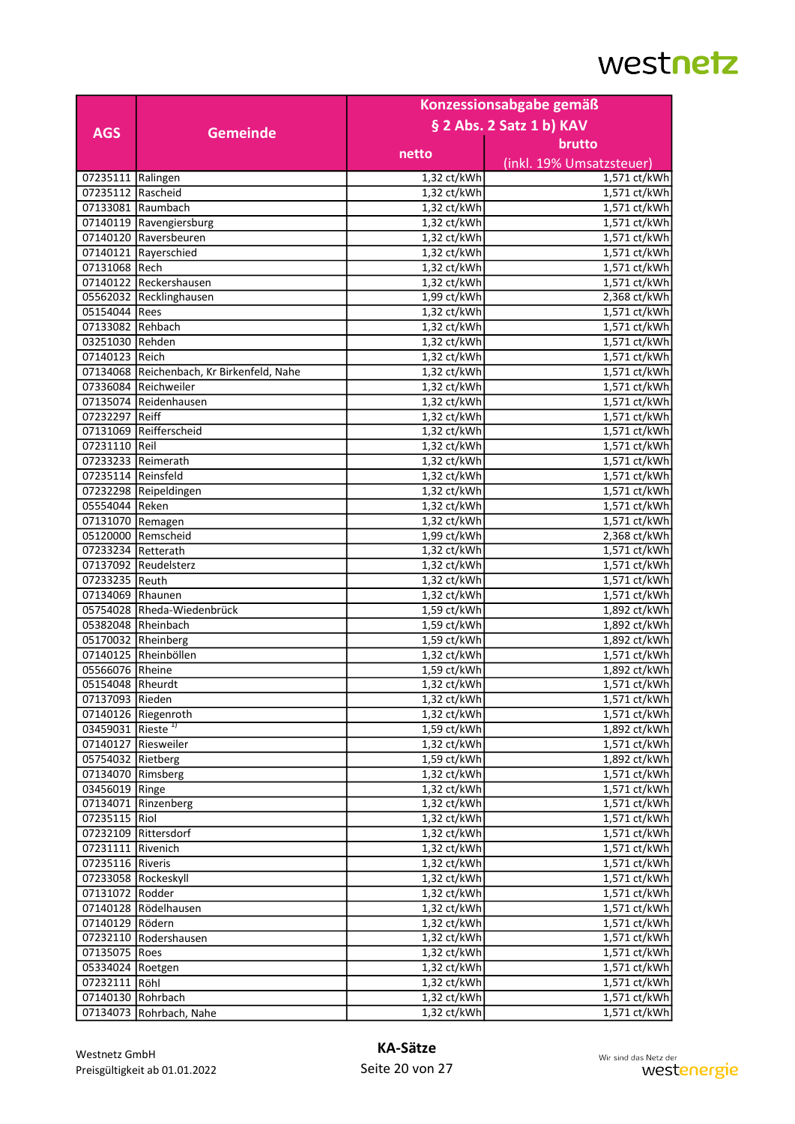|                               |                                           | Konzessionsabgabe gemäß<br>§ 2 Abs. 2 Satz 1 b) KAV |                           |
|-------------------------------|-------------------------------------------|-----------------------------------------------------|---------------------------|
|                               |                                           |                                                     |                           |
| <b>AGS</b>                    | <b>Gemeinde</b>                           |                                                     |                           |
|                               |                                           | netto                                               | brutto                    |
|                               |                                           |                                                     | (inkl. 19% Umsatzsteuer)  |
| 07235111 Ralingen             |                                           | 1,32 ct/kWh                                         | 1,571 ct/kWh              |
| 07235112 Rascheid             |                                           | 1,32 ct/kWh                                         | 1,571 ct/kWh              |
|                               | 07133081 Raumbach                         | 1,32 ct/kWh                                         | 1,571 ct/kWh              |
|                               | 07140119 Ravengiersburg                   | 1,32 ct/kWh                                         | 1,571 ct/kWh              |
|                               | 07140120 Raversbeuren                     | 1,32 ct/kWh                                         | 1,571 ct/kWh              |
|                               | 07140121 Rayerschied                      | 1,32 ct/kWh                                         | 1,571 ct/kWh              |
| 07131068 Rech                 |                                           | 1,32 ct/kWh                                         | 1,571 ct/kWh              |
|                               | 07140122 Reckershausen                    | 1,32 ct/kWh                                         | 1,571 ct/kWh              |
|                               | 05562032 Recklinghausen                   | 1,99 ct/kWh                                         | 2,368 ct/kWh              |
| 05154044 Rees                 |                                           | 1,32 ct/kWh                                         | 1,571 ct/kWh              |
| 07133082 Rehbach              |                                           | 1,32 ct/kWh                                         | 1,571 ct/kWh              |
| 03251030 Rehden               |                                           | 1,32 ct/kWh                                         | 1,571 ct/kWh              |
| 07140123 Reich                |                                           | 1,32 ct/kWh                                         | 1,571 ct/kWh              |
|                               | 07134068 Reichenbach, Kr Birkenfeld, Nahe | 1,32 ct/kWh                                         | 1,571 ct/kWh              |
|                               | 07336084 Reichweiler                      | 1,32 ct/kWh                                         | 1,571 ct/kWh              |
|                               | 07135074 Reidenhausen                     | 1,32 ct/kWh                                         | 1,571 ct/kWh              |
| 07232297 Reiff                |                                           | 1,32 ct/kWh                                         | 1,571 ct/kWh              |
|                               | 07131069 Reifferscheid                    | 1,32 ct/kWh                                         | 1,571 ct/kWh              |
| 07231110 Reil                 |                                           | 1,32 ct/kWh                                         | 1,571 ct/kWh              |
|                               | 07233233 Reimerath                        | 1,32 ct/kWh                                         | 1,571 ct/kWh              |
| 07235114 Reinsfeld            |                                           | 1,32 ct/kWh                                         | 1,571 ct/kWh              |
|                               | 07232298 Reipeldingen                     | 1,32 ct/kWh                                         | 1,571 ct/kWh              |
| 05554044 Reken                |                                           | 1,32 ct/kWh                                         | 1,571 ct/kWh              |
| 07131070 Remagen              |                                           | 1,32 ct/kWh                                         | 1,571 ct/kWh              |
|                               | 05120000 Remscheid                        | 1,99 ct/kWh                                         | 2,368 ct/kWh              |
|                               |                                           |                                                     |                           |
| 07233234 Retterath            |                                           | 1,32 ct/kWh                                         | $1,5\overline{71}$ ct/kWh |
|                               | 07137092 Reudelsterz                      | 1,32 ct/kWh                                         | 1,571 ct/kWh              |
| 07233235 Reuth                |                                           | 1,32 ct/kWh                                         | 1,571 ct/kWh              |
| 07134069 Rhaunen              |                                           | 1,32 ct/kWh                                         | 1,571 ct/kWh              |
|                               | 05754028 Rheda-Wiedenbrück                | 1,59 ct/kWh                                         | 1,892 ct/kWh              |
|                               | 05382048 Rheinbach                        | 1,59 ct/kWh                                         | 1,892 ct/kWh              |
|                               | 05170032 Rheinberg                        | 1,59 ct/kWh                                         | 1,892 ct/kWh              |
|                               | 07140125 Rheinböllen                      | 1,32 ct/kWh                                         | 1,571 ct/kWh              |
| 05566076 Rheine               |                                           | 1,59 ct/kWh                                         | 1,892 ct/kWh              |
| 05154048 Rheurdt              |                                           | 1,32 ct/kWh                                         | 1,571 ct/kWh              |
| 07137093   Rieden             |                                           | 1,32 ct/kWh                                         | 1,571 ct/kWh              |
|                               | 07140126 Riegenroth                       | 1,32 ct/kWh                                         | 1,571 ct/kWh              |
| 03459031 Rieste <sup>1)</sup> |                                           | 1,59 ct/kWh                                         | 1,892 ct/kWh              |
|                               | 07140127 Riesweiler                       | 1,32 ct/kWh                                         | 1,571 ct/kWh              |
| 05754032 Rietberg             |                                           | 1,59 ct/kWh                                         | 1,892 ct/kWh              |
| 07134070 Rimsberg             |                                           | 1,32 ct/kWh                                         | 1,571 ct/kWh              |
| 03456019 Ringe                |                                           | 1,32 ct/kWh                                         | 1,571 ct/kWh              |
|                               | 07134071 Rinzenberg                       | $1,32$ ct/ $\overline{\text{kWh}}$                  | 1,571 ct/kWh              |
| 07235115 Riol                 |                                           | 1,32 ct/kWh                                         | 1,571 ct/kWh              |
|                               | 07232109 Rittersdorf                      | 1,32 ct/kWh                                         | 1,571 ct/kWh              |
| 07231111 Rivenich             |                                           | 1,32 ct/kWh                                         | 1,571 ct/kWh              |
| 07235116 Riveris              |                                           | 1,32 ct/kWh                                         | 1,571 ct/kWh              |
|                               | 07233058 Rockeskyll                       | 1,32 ct/kWh                                         | 1,571 ct/kWh              |
| 07131072 Rodder               |                                           | 1,32 ct/kWh                                         | 1,571 ct/kWh              |
|                               | 07140128 Rödelhausen                      | 1,32 ct/kWh                                         | 1,571 ct/kWh              |
| 07140129 Rödern               |                                           | 1,32 ct/kWh                                         | 1,571 ct/kWh              |
|                               | 07232110 Rodershausen                     | 1,32 ct/kWh                                         | 1,571 ct/kWh              |
| 07135075 Roes                 |                                           | 1,32 ct/kWh                                         | 1,571 ct/kWh              |
| 05334024 Roetgen              |                                           | 1,32 ct/kWh                                         | 1,571 ct/kWh              |
| 07232111 Röhl                 |                                           | 1,32 ct/kWh                                         | 1,571 ct/kWh              |
| 07140130 Rohrbach             |                                           | 1,32 ct/kWh                                         | 1,571 ct/kWh              |
|                               |                                           |                                                     |                           |
|                               | 07134073 Rohrbach, Nahe                   | 1,32 ct/kWh                                         | 1,571 ct/kWh              |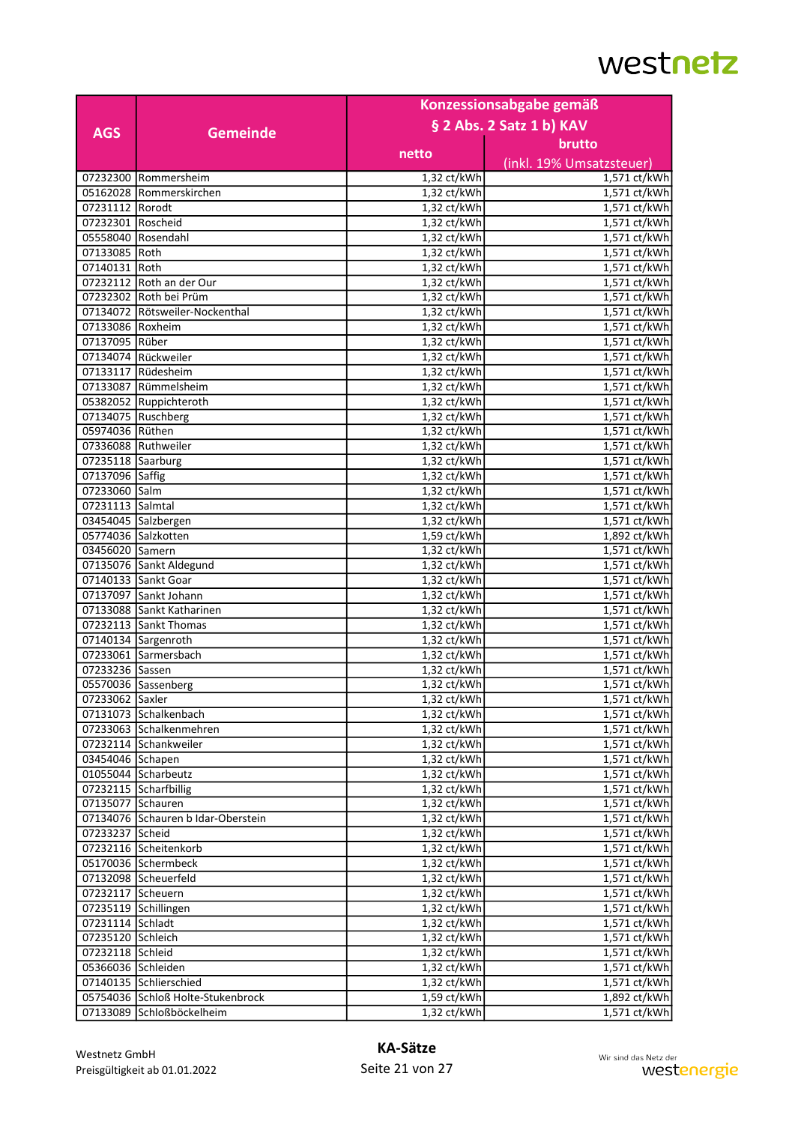|                    |                                    |               | Konzessionsabgabe gemäß  |
|--------------------|------------------------------------|---------------|--------------------------|
|                    |                                    |               | § 2 Abs. 2 Satz 1 b) KAV |
| <b>AGS</b>         | <b>Gemeinde</b>                    |               | brutto                   |
|                    |                                    | netto         |                          |
|                    |                                    |               | (inkl. 19% Umsatzsteuer) |
|                    | 07232300 Rommersheim               | 1,32 ct/kWh   | 1,571 ct/kWh             |
|                    | 05162028 Rommerskirchen            | 1,32 ct/kWh   | 1,571 ct/kWh             |
| 07231112   Rorodt  |                                    | 1,32 ct/kWh   | 1,571 ct/kWh             |
| 07232301 Roscheid  |                                    | 1,32 ct/kWh   | 1,571 ct/kWh             |
|                    | 05558040 Rosendahl                 | 1,32 ct/kWh   | 1,571 ct/kWh             |
| 07133085 Roth      |                                    | 1,32 ct/kWh   | 1,571 ct/kWh             |
| 07140131 Roth      |                                    | 1,32 ct/kWh   | 1,571 ct/kWh             |
|                    | 07232112 Roth an der Our           | 1,32 ct/kWh   | 1,571 ct/kWh             |
|                    | 07232302 Roth bei Prüm             | 1,32 ct/kWh   | 1,571 ct/kWh             |
|                    | 07134072 Rötsweiler-Nockenthal     | 1,32 ct/kWh   | 1,571 ct/kWh             |
| 07133086 Roxheim   |                                    | 1,32 ct/kWh   | 1,571 ct/kWh             |
| 07137095 Rüber     |                                    | 1,32 ct/kWh   | 1,571 ct/kWh             |
|                    | 07134074 Rückweiler                | 1,32 ct/kWh   | 1,571 ct/kWh             |
|                    | 07133117 Rüdesheim                 | 1,32 ct/kWh   | 1,571 ct/kWh             |
|                    | 07133087 Rümmelsheim               | 1,32 ct/kWh   | 1,571 ct/kWh             |
|                    | 05382052 Ruppichteroth             | 1,32 ct/kWh   | 1,571 ct/kWh             |
|                    | 07134075 Ruschberg                 | 1,32 ct/kWh   | 1,571 ct/kWh             |
| 05974036 Rüthen    |                                    | 1,32 ct/kWh   | 1,571 ct/kWh             |
|                    | 07336088 Ruthweiler                | 1,32 ct/kWh   | 1,571 ct/kWh             |
| 07235118 Saarburg  |                                    | 1,32 ct/kWh   | 1,571 ct/kWh             |
| 07137096 Saffig    |                                    | 1,32 ct/kWh   | 1,571 ct/kWh             |
| 07233060 Salm      |                                    | 1,32 ct/kWh   | 1,571 ct/kWh             |
| 07231113 Salmtal   |                                    | 1,32 ct/kWh   | 1,571 ct/kWh             |
|                    | 03454045 Salzbergen                | 1,32 ct/kWh   | 1,571 ct/kWh             |
|                    | 05774036 Salzkotten                | 1,59 ct/kWh   | 1,892 ct/kWh             |
| 03456020 Samern    |                                    | $1,32$ ct/kWh | 1,571 ct/kWh             |
|                    | 07135076 Sankt Aldegund            | 1,32 ct/kWh   | 1,571 ct/kWh             |
|                    | 07140133 Sankt Goar                | 1,32 ct/kWh   | 1,571 ct/kWh             |
|                    | 07137097 Sankt Johann              | 1,32 ct/kWh   | 1,571 ct/kWh             |
|                    | 07133088 Sankt Katharinen          | 1,32 ct/kWh   | 1,571 ct/kWh             |
|                    | 07232113 Sankt Thomas              | 1,32 ct/kWh   | 1,571 ct/kWh             |
|                    | 07140134 Sargenroth                | 1,32 ct/kWh   | 1,571 ct/kWh             |
|                    | 07233061 Sarmersbach               | 1,32 ct/kWh   | 1,571 ct/kWh             |
| 07233236 Sassen    |                                    | 1,32 ct/kWh   | 1,571 ct/kWh             |
|                    |                                    |               |                          |
|                    | 05570036 Sassenberg                | 1,32 ct/kWh   | 1,571 ct/kWh             |
| 07233062   Saxler  |                                    | 1,32 ct/kWh   | 1,571 ct/kWh             |
|                    | 07131073 Schalkenbach              | 1,32 ct/kWh   | 1,571 ct/kWh             |
|                    | 07233063 Schalkenmehren            | 1,32 ct/kWh   | 1,571 ct/kWh             |
|                    | 07232114 Schankweiler              | 1,32 ct/kWh   | 1,571 ct/kWh             |
| 03454046 Schapen   |                                    | $1,32$ ct/kWh | 1,571 ct/kWh             |
|                    | 01055044 Scharbeutz                | 1,32 ct/kWh   | 1,571 ct/kWh             |
|                    | 07232115 Scharfbillig              | 1,32 ct/kWh   | 1,571 ct/kWh             |
| 07135077 Schauren  |                                    | 1,32 ct/kWh   | 1,571 ct/kWh             |
|                    | 07134076 Schauren b Idar-Oberstein | 1,32 ct/kWh   | 1,571 ct/kWh             |
| 07233237 Scheid    |                                    | 1,32 ct/kWh   | 1,571 ct/kWh             |
|                    | 07232116 Scheitenkorb              | 1,32 ct/kWh   | 1,571 ct/kWh             |
|                    | 05170036 Schermbeck                | 1,32 ct/kWh   | 1,571 ct/kWh             |
|                    | 07132098 Scheuerfeld               | 1,32 ct/kWh   | 1,571 ct/kWh             |
| 07232117 Scheuern  |                                    | 1,32 ct/kWh   | 1,571 ct/kWh             |
|                    | 07235119 Schillingen               | $1,32$ ct/kWh | 1,571 ct/kWh             |
| 07231114 Schladt   |                                    | 1,32 ct/kWh   | 1,571 ct/kWh             |
| 07235120 Schleich  |                                    | 1,32 ct/kWh   | 1,571 ct/kWh             |
| 07232118 Schleid   |                                    | 1,32 ct/kWh   | 1,571 ct/kWh             |
| 05366036 Schleiden |                                    | 1,32 ct/kWh   | 1,571 ct/kWh             |
|                    | 07140135 Schlierschied             | 1,32 ct/kWh   | 1,571 ct/kWh             |
|                    | 05754036 Schloß Holte-Stukenbrock  | 1,59 ct/kWh   | 1,892 ct/kWh             |
|                    | 07133089 Schloßböckelheim          | 1,32 ct/kWh   | 1,571 ct/kWh             |
|                    |                                    |               |                          |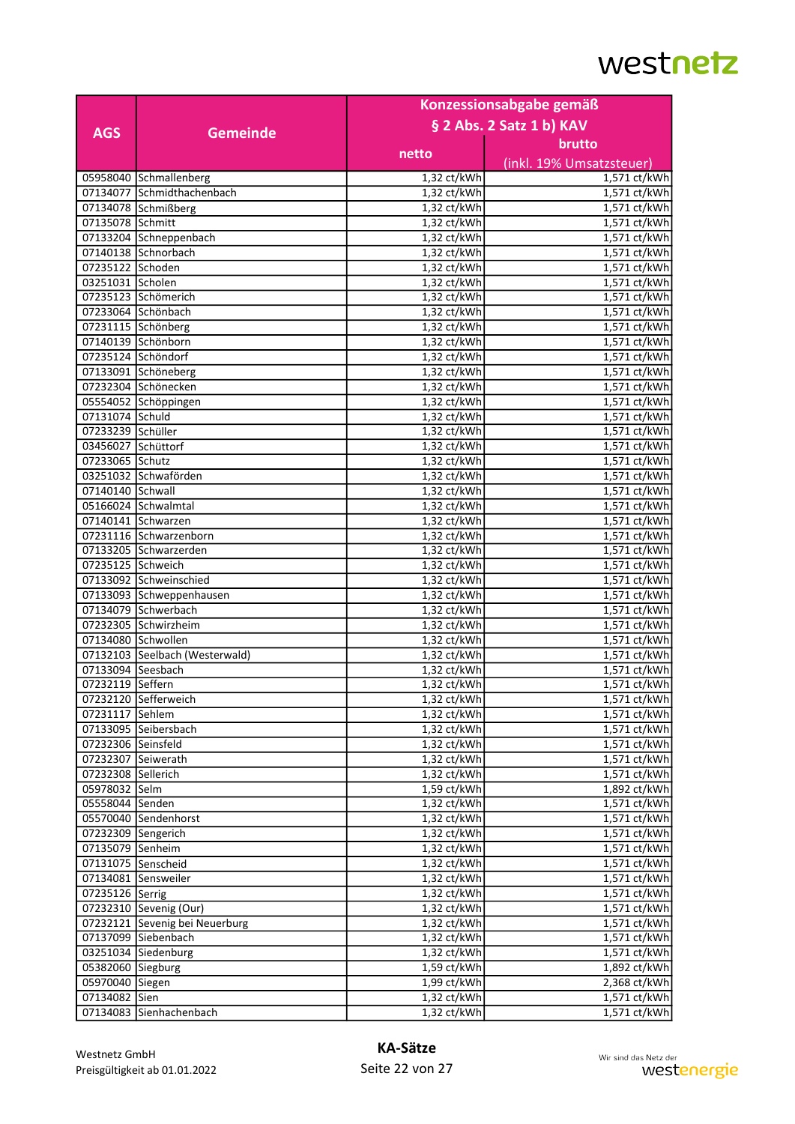|                    | Konzessionsabgabe gemäß        |               |                          |
|--------------------|--------------------------------|---------------|--------------------------|
|                    |                                |               | § 2 Abs. 2 Satz 1 b) KAV |
| <b>AGS</b>         | <b>Gemeinde</b>                |               |                          |
|                    |                                | netto         | brutto                   |
|                    |                                |               | (inkl. 19% Umsatzsteuer) |
|                    | 05958040 Schmallenberg         | 1,32 ct/kWh   | 1,571 ct/kWh             |
|                    | 07134077 Schmidthachenbach     | 1,32 ct/kWh   | 1,571 ct/kWh             |
|                    | 07134078 Schmißberg            | 1,32 ct/kWh   | 1,571 ct/kWh             |
| 07135078 Schmitt   |                                | $1,32$ ct/kWh | 1,571 ct/kWh             |
|                    | 07133204 Schneppenbach         | 1,32 ct/kWh   | 1,571 ct/kWh             |
|                    | 07140138 Schnorbach            | 1,32 ct/kWh   | 1,571 ct/kWh             |
| 07235122 Schoden   |                                | 1,32 ct/kWh   | 1,571 ct/kWh             |
| 03251031 Scholen   |                                | 1,32 ct/kWh   | 1,571 ct/kWh             |
|                    | 07235123 Schömerich            | 1,32 ct/kWh   | 1,571 ct/kWh             |
|                    | 07233064 Schönbach             | 1,32 ct/kWh   | 1,571 ct/kWh             |
|                    | 07231115 Schönberg             | 1,32 ct/kWh   | 1,571 ct/kWh             |
|                    | 07140139 Schönborn             | 1,32 ct/kWh   | 1,571 ct/kWh             |
|                    | 07235124 Schöndorf             | 1,32 ct/kWh   | 1,571 ct/kWh             |
|                    | 07133091 Schöneberg            | 1,32 ct/kWh   | 1,571 ct/kWh             |
|                    | 07232304 Schönecken            | 1,32 ct/kWh   | 1,571 ct/kWh             |
|                    | 05554052 Schöppingen           | 1,32 ct/kWh   | 1,571 ct/kWh             |
| 07131074 Schuld    |                                | 1,32 ct/kWh   | 1,571 ct/kWh             |
| 07233239 Schüller  |                                | 1,32 ct/kWh   | 1,571 ct/kWh             |
| 03456027 Schüttorf |                                | 1,32 ct/kWh   | 1,571 ct/kWh             |
| 07233065 Schutz    |                                | 1,32 ct/kWh   | 1,571 ct/kWh             |
|                    | 03251032 Schwaförden           | 1,32 ct/kWh   | 1,571 ct/kWh             |
| 07140140 Schwall   |                                | 1,32 ct/kWh   | 1,571 ct/kWh             |
|                    | 05166024 Schwalmtal            | 1,32 ct/kWh   | 1,571 ct/kWh             |
|                    | 07140141 Schwarzen             | 1,32 ct/kWh   | 1,571 ct/kWh             |
|                    | 07231116 Schwarzenborn         | 1,32 ct/kWh   | 1,571 ct/kWh             |
|                    | 07133205 Schwarzerden          | 1,32 ct/kWh   | 1,571 ct/kWh             |
| 07235125 Schweich  |                                | 1,32 ct/kWh   | 1,571 ct/kWh             |
|                    | 07133092 Schweinschied         | 1,32 ct/kWh   | 1,571 ct/kWh             |
|                    | 07133093 Schweppenhausen       | 1,32 ct/kWh   | 1,571 ct/kWh             |
|                    | 07134079 Schwerbach            | 1,32 ct/kWh   | 1,571 ct/kWh             |
|                    | 07232305 Schwirzheim           | 1,32 ct/kWh   | 1,571 ct/kWh             |
| 07134080 Schwollen |                                | 1,32 ct/kWh   | 1,571 ct/kWh             |
|                    | 07132103 Seelbach (Westerwald) | 1,32 ct/kWh   | 1,571 ct/kWh             |
| 07133094 Seesbach  |                                | 1,32 ct/kWh   | 1,571 ct/kWh             |
| 07232119 Seffern   |                                | 1,32 ct/kWh   | 1,571 ct/kWh             |
|                    | 07232120 Sefferweich           | 1,32 ct/kWh   | 1,571 ct/kWh             |
| 07231117 Sehlem    |                                | 1,32 ct/kWh   | 1,571 ct/kWh             |
|                    | 07133095 Seibersbach           | 1,32 ct/kWh   | 1,571 ct/kWh             |
| 07232306 Seinsfeld |                                | 1,32 ct/kWh   | 1,571 ct/kWh             |
| 07232307 Seiwerath |                                | 1,32 ct/kWh   | 1,571 ct/kWh             |
| 07232308 Sellerich |                                | 1,32 ct/kWh   | 1,571 ct/kWh             |
| 05978032 Selm      |                                | 1,59 ct/kWh   | 1,892 ct/kWh             |
| 05558044 Senden    |                                | 1,32 ct/kWh   | 1,571 ct/kWh             |
|                    |                                |               |                          |
|                    | 05570040 Sendenhorst           | 1,32 ct/kWh   | 1,571 ct/kWh             |
| 07232309 Sengerich |                                | $1,32$ ct/kWh | 1,571 ct/kWh             |
| 07135079 Senheim   |                                | 1,32 ct/kWh   | $1,571$ ct/kWh           |
| 07131075 Senscheid |                                | 1,32 ct/kWh   | 1,571 ct/kWh             |
|                    | 07134081 Sensweiler            | 1,32 ct/kWh   | 1,571 ct/kWh             |
| 07235126 Serrig    |                                | 1,32 ct/kWh   | 1,571 ct/kWh             |
|                    | 07232310 Sevenig (Our)         | $1,32$ ct/kWh | 1,571 ct/kWh             |
|                    | 07232121 Sevenig bei Neuerburg | 1,32 ct/kWh   | 1,571 ct/kWh             |
|                    | 07137099 Siebenbach            | 1,32 ct/kWh   | 1,571 ct/kWh             |
|                    | 03251034 Siedenburg            | 1,32 ct/kWh   | 1,571 ct/kWh             |
| 05382060 Siegburg  |                                | 1,59 ct/kWh   | 1,892 ct/kWh             |
| 05970040 Siegen    |                                | 1,99 ct/kWh   | 2,368 ct/kWh             |
| 07134082 Sien      |                                | 1,32 ct/kWh   | 1,571 ct/kWh             |
|                    | 07134083 Sienhachenbach        | $1,32$ ct/kWh | 1,571 ct/kWh             |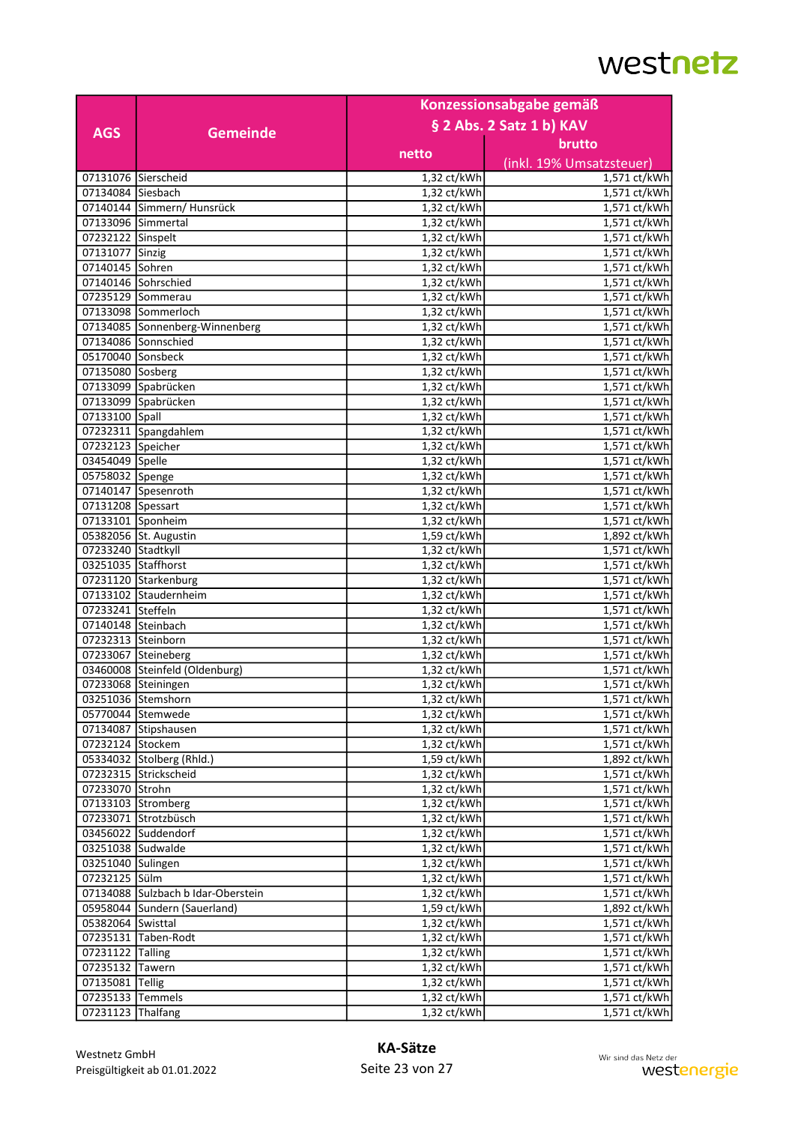|                     |                                         | Konzessionsabgabe gemäß     |                              |
|---------------------|-----------------------------------------|-----------------------------|------------------------------|
|                     |                                         |                             | § 2 Abs. 2 Satz 1 b) KAV     |
| <b>AGS</b>          | <b>Gemeinde</b>                         |                             |                              |
|                     |                                         | netto                       | brutto                       |
|                     |                                         |                             | (inkl. 19% Umsatzsteuer)     |
| 07131076 Sierscheid |                                         | 1,32 ct/kWh                 | 1,571 ct/kWh                 |
| 07134084 Siesbach   |                                         | 1,32 ct/kWh                 | $1,5\overline{71}$ ct/kWh    |
|                     | 07140144 Simmern/ Hunsrück              | 1,32 ct/kWh                 | 1,571 ct/kWh                 |
|                     | 07133096 Simmertal                      | 1,32 ct/kWh                 | 1,571 ct/kWh                 |
| 07232122 Sinspelt   |                                         | 1,32 ct/kWh                 | 1,571 ct/kWh                 |
| 07131077 Sinzig     |                                         | 1,32 ct/kWh                 | 1,571 ct/kWh                 |
| 07140145 Sohren     |                                         | 1,32 ct/kWh                 | 1,571 ct/kWh                 |
|                     | 07140146 Sohrschied                     | 1,32 ct/kWh                 | 1,571 ct/kWh                 |
|                     | 07235129 Sommerau                       | 1,32 ct/kWh                 | 1,571 ct/kWh                 |
|                     | 07133098 Sommerloch                     | 1,32 ct/kWh                 | 1,571 ct/kWh                 |
|                     | 07134085 Sonnenberg-Winnenberg          | 1,32 ct/kWh                 | 1,571 ct/kWh                 |
|                     | 07134086 Sonnschied                     | 1,32 ct/kWh                 | 1,571 ct/kWh                 |
| 05170040 Sonsbeck   |                                         | 1,32 ct/kWh                 | 1,571 ct/kWh                 |
| 07135080 Sosberg    |                                         | 1,32 ct/kWh                 | 1,571 ct/kWh                 |
|                     | 07133099 Spabrücken                     | 1,32 ct/kWh                 | 1,571 ct/kWh                 |
|                     | 07133099 Spabrücken                     | 1,32 ct/kWh                 | 1,571 ct/kWh                 |
| 07133100 Spall      |                                         | 1,32 ct/kWh                 | 1,571 ct/kWh                 |
|                     | 07232311 Spangdahlem                    | 1,32 ct/kWh                 | 1,571 ct/kWh                 |
| 07232123 Speicher   |                                         | 1,32 ct/kWh                 | 1,571 ct/kWh                 |
| 03454049 Spelle     |                                         | 1,32 ct/kWh                 | 1,571 ct/kWh                 |
| 05758032 Spenge     |                                         | 1,32 ct/kWh                 | 1,571 ct/kWh                 |
|                     | 07140147 Spesenroth                     | 1,32 ct/kWh                 | 1,571 ct/kWh                 |
| 07131208 Spessart   |                                         | 1,32 ct/kWh                 | 1,571 ct/kWh                 |
| 07133101 Sponheim   |                                         | 1,32 ct/kWh                 | 1,571 ct/kWh                 |
|                     | 05382056 St. Augustin                   | 1,59 ct/kWh                 | 1,892 ct/kWh                 |
| 07233240 Stadtkyll  |                                         | 1,32 ct/kWh                 | 1,571 ct/kWh                 |
| 03251035 Staffhorst |                                         | 1,32 ct/kWh                 | 1,571 ct/kWh                 |
|                     | 07231120 Starkenburg                    | 1,32 ct/kWh                 | 1,571 ct/kWh                 |
|                     | 07133102 Staudernheim                   | 1,32 ct/kWh                 | 1,571 ct/kWh                 |
| 07233241 Steffeln   |                                         | 1,32 ct/kWh                 | 1,571 ct/kWh                 |
| 07140148 Steinbach  |                                         | 1,32 ct/kWh                 | 1,571 ct/kWh                 |
| 07232313 Steinborn  |                                         | 1,32 ct/kWh                 | 1,571 ct/kWh                 |
|                     | 07233067 Steineberg                     | 1,32 ct/kWh                 | 1,571 ct/kWh                 |
|                     | 03460008 Steinfeld (Oldenburg)          | 1,32 ct/kWh                 | 1,571 ct/kWh                 |
|                     | 07233068 Steiningen                     | 1,32 ct/kWh                 | 1,571 ct/kWh                 |
|                     |                                         |                             |                              |
|                     | 03251036 Stemshorn<br>05770044 Stemwede | 1,32 ct/kWh <br>1,32 ct/kWh | 1,571 ct/kWh<br>1,571 ct/kWh |
|                     | 07134087 Stipshausen                    | 1,32 ct/kWh                 | 1,571 ct/kWh                 |
| 07232124 Stockem    |                                         | 1,32 ct/kWh                 | 1,571 ct/kWh                 |
|                     |                                         | $1,59$ ct/kWh               |                              |
|                     | 05334032 Stolberg (Rhld.)               |                             | 1,892 ct/kWh                 |
|                     | 07232315 Strickscheid                   | 1,32 ct/kWh                 | 1,571 ct/kWh                 |
| 07233070 Strohn     |                                         | 1,32 ct/kWh                 | 1,571 ct/kWh                 |
|                     | 07133103 Stromberg                      | 1,32 ct/kWh                 | 1,571 ct/kWh                 |
|                     | 07233071 Strotzbüsch                    | 1,32 ct/kWh                 | 1,571 ct/kWh                 |
|                     | 03456022 Suddendorf                     | 1,32 ct/kWh                 | 1,571 ct/kWh                 |
| 03251038 Sudwalde   |                                         | 1,32 ct/kWh                 | 1,571 ct/kWh                 |
| 03251040 Sulingen   |                                         | 1,32 ct/kWh                 | 1,571 ct/kWh                 |
| 07232125 Sülm       |                                         | 1,32 ct/kWh                 | 1,571 ct/kWh                 |
|                     | 07134088 Sulzbach b Idar-Oberstein      | 1,32 ct/kWh                 | 1,571 ct/kWh                 |
|                     | 05958044 Sundern (Sauerland)            | 1,59 ct/kWh                 | 1,892 ct/kWh                 |
| 05382064 Swisttal   |                                         | 1,32 ct/kWh                 | 1,571 ct/kWh                 |
|                     | 07235131 Taben-Rodt                     | 1,32 ct/kWh                 | 1,571 ct/kWh                 |
| 07231122 Talling    |                                         | 1,32 ct/kWh                 | 1,571 ct/kWh                 |
| 07235132 Tawern     |                                         | 1,32 ct/kWh                 | 1,571 ct/kWh                 |
| 07135081 Tellig     |                                         | 1,32 ct/kWh                 | 1,571 ct/kWh                 |
| 07235133 Temmels    |                                         | 1,32 ct/kWh                 | 1,571 ct/kWh                 |
| 07231123 Thalfang   |                                         | 1,32 ct/kWh                 | 1,571 ct/kWh                 |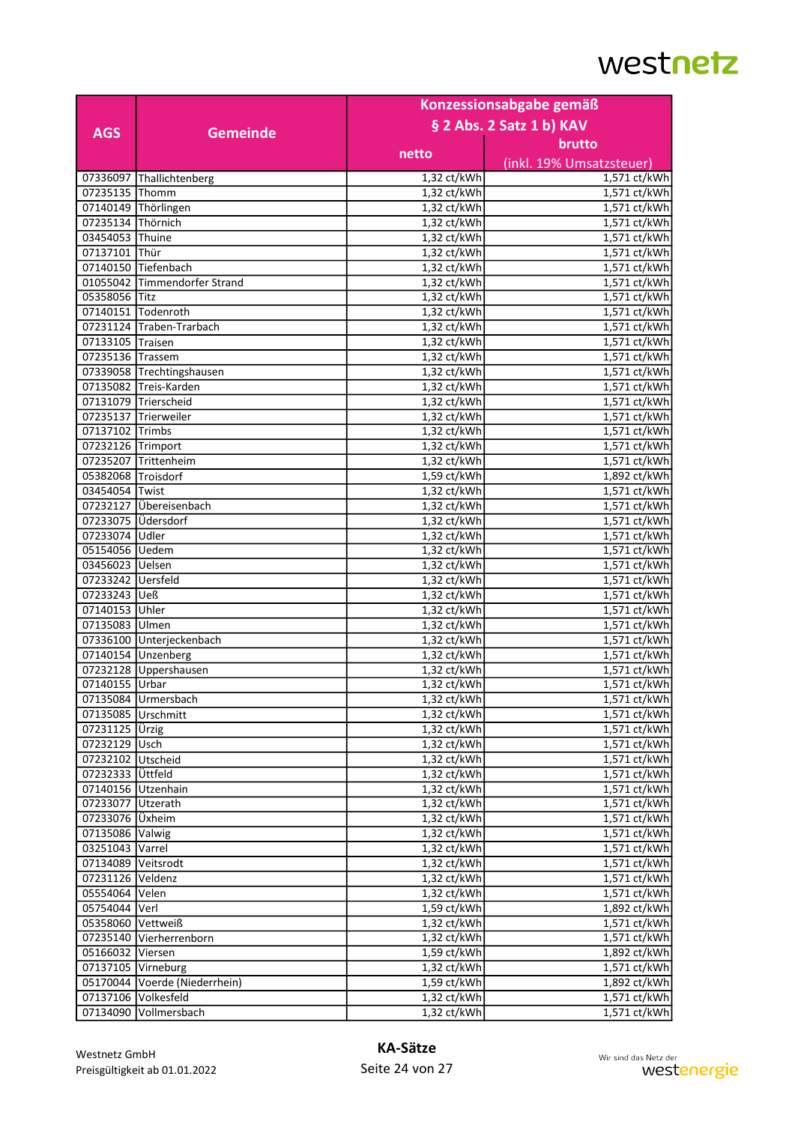|                    |                               | Konzessionsabgabe gemäß |                          |
|--------------------|-------------------------------|-------------------------|--------------------------|
|                    |                               |                         | § 2 Abs. 2 Satz 1 b) KAV |
| <b>AGS</b>         | <b>Gemeinde</b>               |                         |                          |
|                    |                               | netto                   | brutto                   |
|                    |                               |                         | (inkl. 19% Umsatzsteuer) |
|                    | 07336097 Thallichtenberg      | 1,32 ct/kWh             | 1,571 ct/kWh             |
| 07235135 Thomm     |                               | 1,32 ct/kWh             | 1,571 ct/kWh             |
|                    | 07140149 Thörlingen           | 1,32 ct/kWh             | 1,571 ct/kWh             |
| 07235134 Thörnich  |                               | 1,32 ct/kWh             | 1,571 ct/kWh             |
| 03454053 Thuine    |                               | 1,32 ct/kWh             | 1,571 ct/kWh             |
| 07137101 Thür      |                               | 1,32 ct/kWh             | 1,571 ct/kWh             |
|                    | 07140150 Tiefenbach           | 1,32 ct/kWh             | 1,571 ct/kWh             |
|                    | 01055042 Timmendorfer Strand  | 1,32 ct/kWh             | 1,571 ct/kWh             |
| 05358056 Titz      |                               | 1,32 ct/kWh             | 1,571 ct/kWh             |
|                    | 07140151 Todenroth            | 1,32 ct/kWh             | 1,571 ct/kWh             |
|                    | 07231124 Traben-Trarbach      | 1,32 ct/kWh             | 1,571 ct/kWh             |
| 07133105 Traisen   |                               | 1,32 ct/kWh             | 1,571 ct/kWh             |
| 07235136 Trassem   |                               | 1,32 ct/kWh             | 1,571 ct/kWh             |
|                    | 07339058 Trechtingshausen     | 1,32 ct/kWh             | 1,571 ct/kWh             |
|                    | 07135082 Treis-Karden         | 1,32 ct/kWh             | 1,571 ct/kWh             |
|                    | 07131079 Trierscheid          | 1,32 ct/kWh             | 1,571 ct/kWh             |
|                    | 07235137 Trierweiler          | 1,32 ct/kWh             | 1,571 ct/kWh             |
| 07137102 Trimbs    |                               | 1,32 ct/kWh             | 1,571 ct/kWh             |
| 07232126 Trimport  |                               | 1,32 ct/kWh             | 1,571 ct/kWh             |
|                    | 07235207 Trittenheim          | 1,32 ct/kWh             | 1,571 ct/kWh             |
| 05382068 Troisdorf |                               | 1,59 ct/kWh             | 1,892 ct/kWh             |
| 03454054 Twist     |                               | 1,32 ct/kWh             | 1,571 ct/kWh             |
|                    | 07232127 Übereisenbach        | 1,32 ct/kWh             | 1,571 ct/kWh             |
|                    | 07233075 Üdersdorf            | 1,32 ct/kWh             | 1,571 ct/kWh             |
| 07233074 Udler     |                               | 1,32 ct/kWh             | 1,571 ct/kWh             |
| 05154056 Uedem     |                               | $1,32$ ct/kWh           | 1,571 ct/kWh             |
| 03456023 Uelsen    |                               | 1,32 ct/kWh             | 1,571 ct/kWh             |
| 07233242 Uersfeld  |                               |                         | 1,571 ct/kWh             |
|                    |                               | 1,32 ct/kWh             | 1,571 ct/kWh             |
| 07233243 Ueß       |                               | 1,32 ct/kWh             |                          |
| 07140153 Uhler     |                               | 1,32 ct/kWh             | 1,571 ct/kWh             |
| 07135083 Ulmen     |                               | 1,32 ct/kWh             | 1,571 ct/kWh             |
|                    | 07336100 Unterjeckenbach      | 1,32 ct/kWh             | 1,571 ct/kWh             |
|                    | 07140154 Unzenberg            | 1,32 ct/kWh             | 1,571 ct/kWh             |
|                    | 07232128 Uppershausen         | 1,32 ct/kWh             | 1,571 ct/kWh             |
| 07140155 Urbar     |                               | 1,32 ct/kWh             | 1,571 ct/kWh             |
|                    | 07135084 Urmersbach           | 1,32 ct/kWh             | 1,571 ct/kWh             |
| 07135085 Urschmitt |                               | 1,32 ct/kWh             | 1,571 ct/kWh             |
| 07231125 Ürzig     |                               | 1,32 ct/kWh             | 1,571 ct/kWh             |
| 07232129 Usch      |                               | 1,32 ct/kWh             | 1,571 ct/kWh             |
| 07232102 Utscheid  |                               | 1,32 ct/kWh             | 1,571 ct/kWh             |
| 07232333 Üttfeld   |                               | 1,32 ct/kWh             | 1,571 ct/kWh             |
|                    | 07140156 Utzenhain            | 1,32 ct/kWh             | 1,571 ct/kWh             |
| 07233077 Utzerath  |                               | $1,32$ ct/kWh           | 1,571 ct/kWh             |
| 07233076 Üxheim    |                               | 1,32 ct/kWh             | 1,571 ct/kWh             |
| 07135086 Valwig    |                               | 1,32 ct/kWh             | 1,571 ct/kWh             |
| 03251043 Varrel    |                               | 1,32 ct/kWh             | 1,571 ct/kWh             |
| 07134089 Veitsrodt |                               | 1,32 ct/kWh             | 1,571 ct/kWh             |
| 07231126 Veldenz   |                               | 1,32 ct/kWh             | 1,571 ct/kWh             |
| 05554064 Velen     |                               | 1,32 ct/kWh             | 1,571 ct/kWh             |
| 05754044 Verl      |                               | 1,59 ct/kWh             | 1,892 ct/kWh             |
| 05358060 Vettweiß  |                               | 1,32 ct/kWh             | 1,571 ct/kWh             |
|                    | 07235140 Vierherrenborn       | 1,32 ct/kWh             | 1,571 ct/kWh             |
| 05166032 Viersen   |                               | 1,59 ct/kWh             | 1,892 ct/kWh             |
| 07137105 Virneburg |                               | 1,32 ct/kWh             | 1,571 ct/kWh             |
|                    | 05170044 Voerde (Niederrhein) | 1,59 ct/kWh             | 1,892 ct/kWh             |
|                    | 07137106 Volkesfeld           | 1,32 ct/kWh             | 1,571 ct/kWh             |
|                    | 07134090 Vollmersbach         | 1,32 ct/kWh             | 1,571 ct/kWh             |
|                    |                               |                         |                          |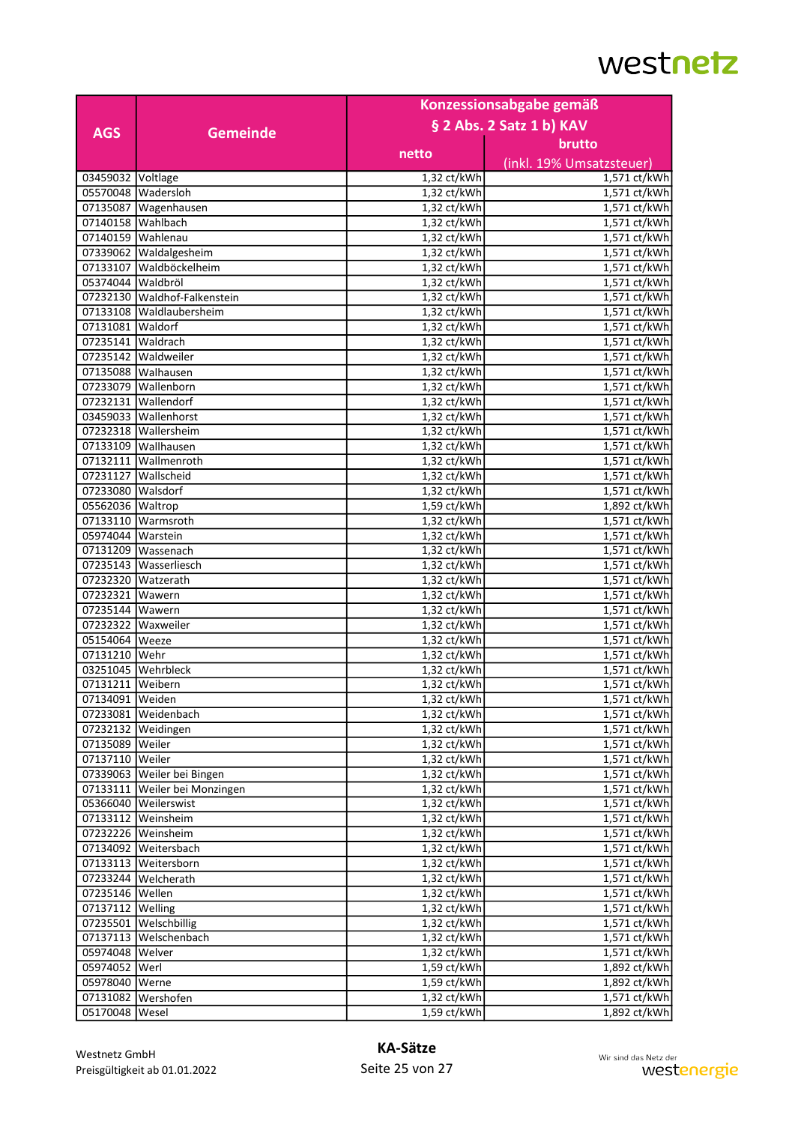|                   |                               | Konzessionsabgabe gemäß    |                              |  |
|-------------------|-------------------------------|----------------------------|------------------------------|--|
|                   |                               | § 2 Abs. 2 Satz 1 b) KAV   |                              |  |
| <b>AGS</b>        | <b>Gemeinde</b>               |                            |                              |  |
|                   |                               | netto                      | brutto                       |  |
|                   |                               |                            | (inkl. 19% Umsatzsteuer)     |  |
| 03459032 Voltlage |                               | $1,32$ ct/kWh              | 1,571 ct/kWh                 |  |
|                   | 05570048 Wadersloh            | 1,32 ct/kWh                | 1,571 ct/kWh                 |  |
|                   | 07135087   Wagenhausen        | 1,32 ct/kWh                | 1,571 ct/kWh                 |  |
| 07140158 Wahlbach |                               | 1,32 ct/kWh                | 1,571 ct/kWh                 |  |
| 07140159 Wahlenau |                               | 1,32 ct/kWh                | 1,571 ct/kWh                 |  |
|                   | 07339062 Waldalgesheim        | 1,32 ct/kWh                | 1,571 ct/kWh                 |  |
|                   | 07133107 Waldböckelheim       | 1,32 ct/kWh                | 1,571 ct/kWh                 |  |
| 05374044          | <b>Waldbröl</b>               | 1,32 ct/kWh                | 1,571 ct/kWh                 |  |
|                   | 07232130 Waldhof-Falkenstein  | 1,32 ct/kWh                | 1,571 ct/kWh                 |  |
|                   | 07133108   Waldlaubersheim    | 1,32 ct/kWh                | 1,571 ct/kWh                 |  |
| 07131081 Waldorf  |                               | 1,32 ct/kWh                | 1,571 ct/kWh                 |  |
| 07235141 Waldrach |                               | 1,32 ct/kWh                | 1,571 ct/kWh                 |  |
|                   | 07235142 Waldweiler           | 1,32 ct/kWh                | 1,571 ct/kWh                 |  |
|                   | 07135088 Walhausen            | 1,32 ct/kWh                | 1,571 ct/kWh                 |  |
| 07233079          | <b>I</b> Wallenborn           | 1,32 ct/kWh                | 1,571 ct/kWh                 |  |
|                   | 07232131 Wallendorf           | $1,32$ ct/kWh              | 1,571 ct/kWh                 |  |
|                   | 03459033   Wallenhorst        | 1,32 ct/kWh                | 1,571 ct/kWh                 |  |
|                   | 07232318 Wallersheim          | 1,32 ct/kWh                | 1,571 ct/kWh                 |  |
|                   | 07133109 Wallhausen           | 1,32 ct/kWh                | 1,571 ct/kWh                 |  |
|                   | 07132111   Wallmenroth        | 1,32 ct/kWh                | 1,571 ct/kWh                 |  |
|                   | 07231127   Wallscheid         | 1,32 ct/kWh                | 1,571 ct/kWh                 |  |
| 07233080 Walsdorf |                               | 1,32 ct/kWh                | 1,571 ct/kWh                 |  |
| 05562036 Waltrop  |                               | 1,59 ct/kWh                | 1,892 ct/kWh                 |  |
|                   | 07133110 Warmsroth            | 1,32 ct/kWh                | 1,571 ct/kWh                 |  |
| 05974044 Warstein |                               | 1,32 ct/kWh                | 1,571 ct/kWh                 |  |
|                   | 07131209   Wassenach          | 1,32 ct/kWh                | 1,571 ct/kWh                 |  |
|                   | 07235143 Wasserliesch         | 1,32 ct/kWh                | 1,571 ct/kWh                 |  |
|                   | 07232320 Watzerath            | 1,32 ct/kWh                | 1,571 ct/kWh                 |  |
| 07232321          | <b>Wawern</b>                 | 1,32 ct/kWh                | 1,571 ct/kWh                 |  |
| 07235144 Wawern   |                               | 1,32 ct/kWh                | 1,571 ct/kWh                 |  |
| 07232322          | Waxweiler                     | 1,32 ct/kWh                | 1,571 ct/kWh                 |  |
| 05154064 Weeze    |                               | 1,32 ct/kWh                | 1,571 ct/kWh                 |  |
| 07131210          | <b>Wehr</b>                   | 1,32 ct/kWh                | 1,571 ct/kWh                 |  |
| 03251045          | Wehrbleck                     | 1,32 ct/kWh                | 1,571 ct/kWh                 |  |
| 07131211 Weibern  |                               | 1,32 ct/kWh                | 1,571 ct/kWh                 |  |
|                   |                               |                            |                              |  |
| 07134091   Weiden | 07233081 Weidenbach           | 1,32 ct/kWh<br>1,32 ct/kWh | 1,571 ct/kWh<br>1,571 ct/kWh |  |
|                   |                               |                            |                              |  |
|                   | 07232132 Weidingen            | 1,32 ct/kWh                | 1,571 ct/kWh                 |  |
| 07135089 Weiler   |                               | 1,32 ct/kWh                | 1,571 ct/kWh                 |  |
| 07137110 Weiler   |                               | $1,32$ ct/kWh              | 1,571 ct/kWh                 |  |
|                   | 07339063 Weiler bei Bingen    | 1,32 ct/kWh                | 1,571 ct/kWh                 |  |
|                   | 07133111 Weiler bei Monzingen | 1,32 ct/kWh                | 1,571 ct/kWh                 |  |
|                   | 05366040 Weilerswist          | $1,32$ ct/kWh              | 1,571 ct/kWh                 |  |
|                   | 07133112 Weinsheim            | 1,32 ct/kWh                | 1,571 ct/kWh                 |  |
|                   | 07232226 Weinsheim            | 1,32 ct/kWh                | 1,571 ct/kWh                 |  |
|                   | 07134092 Weitersbach          | 1,32 ct/kWh                | 1,571 ct/kWh                 |  |
|                   | 07133113 Weitersborn          | 1,32 ct/kWh                | 1,571 ct/kWh                 |  |
|                   | 07233244 Welcherath           | 1,32 ct/kWh                | 1,571 ct/kWh                 |  |
| 07235146 Wellen   |                               | 1,32 ct/kWh                | 1,571 ct/kWh                 |  |
| 07137112 Welling  |                               | $1,32$ ct/kWh              | 1,571 ct/kWh                 |  |
|                   | 07235501 Welschbillig         | 1,32 ct/kWh                | 1,571 ct/kWh                 |  |
|                   | 07137113 Welschenbach         | 1,32 ct/kWh                | 1,571 ct/kWh                 |  |
| 05974048 Welver   |                               | 1,32 ct/kWh                | 1,571 ct/kWh                 |  |
| 05974052 Werl     |                               | 1,59 ct/kWh                | 1,892 ct/kWh                 |  |
| 05978040 Werne    |                               | 1,59 ct/kWh                | 1,892 ct/kWh                 |  |
|                   | 07131082 Wershofen            | 1,32 ct/kWh                | 1,571 ct/kWh                 |  |
| 05170048   Wesel  |                               | 1,59 ct/kWh                | 1,892 ct/kWh                 |  |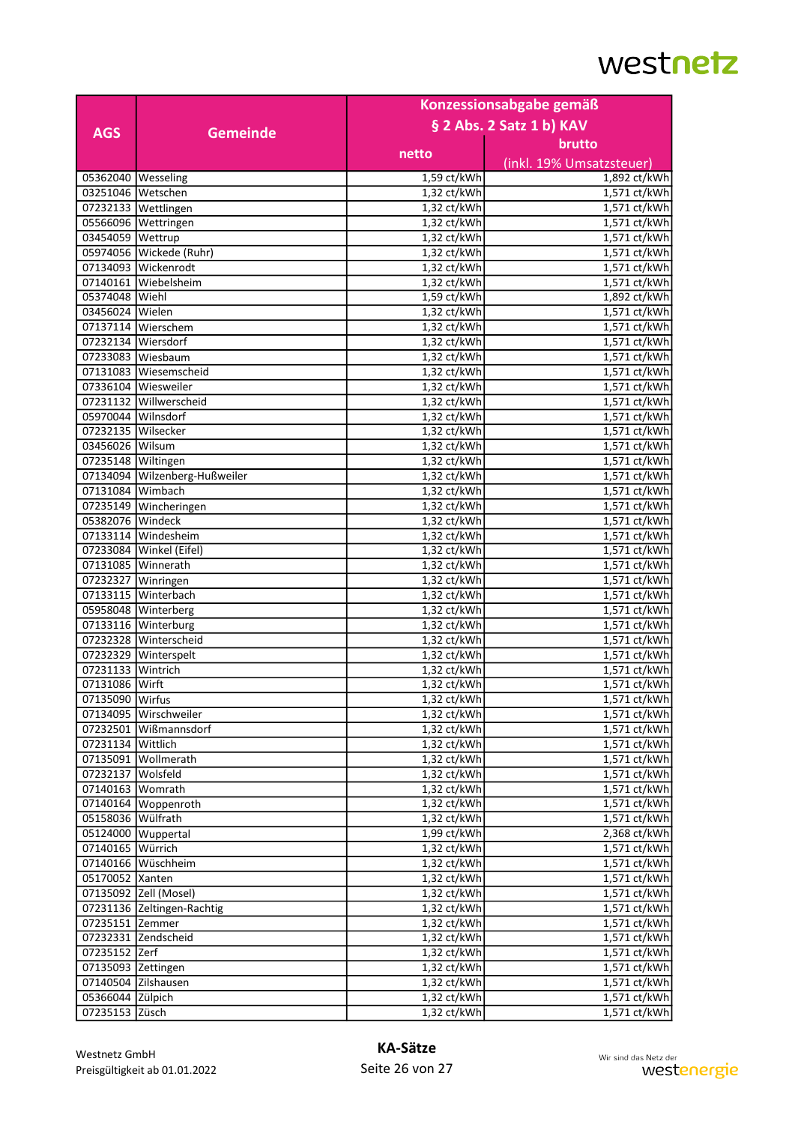|                      |                               |                                    | Konzessionsabgabe gemäß<br>§ 2 Abs. 2 Satz 1 b) KAV |  |
|----------------------|-------------------------------|------------------------------------|-----------------------------------------------------|--|
|                      |                               |                                    |                                                     |  |
| <b>AGS</b>           | <b>Gemeinde</b>               |                                    |                                                     |  |
|                      |                               | netto                              | brutto                                              |  |
|                      |                               |                                    | (inkl. 19% Umsatzsteuer)                            |  |
| 05362040   Wesseling |                               | 1,59 ct/kWh                        | 1,892 ct/kWh                                        |  |
| 03251046   Wetschen  |                               | 1,32 ct/kWh                        | 1,571 ct/kWh                                        |  |
|                      | 07232133 Wettlingen           | 1,32 ct/kWh                        | 1,571 ct/kWh                                        |  |
|                      | 05566096 Wettringen           | 1,32 ct/kWh                        | 1,571 ct/kWh                                        |  |
| 03454059 Wettrup     |                               | 1,32 ct/kWh                        | 1,571 ct/kWh                                        |  |
|                      | 05974056 Wickede (Ruhr)       | 1,32 ct/kWh                        | 1,571 ct/kWh                                        |  |
|                      | 07134093 Wickenrodt           | 1,32 ct/kWh                        | 1,571 ct/kWh                                        |  |
|                      | 07140161 Wiebelsheim          | 1,32 ct/kWh                        | 1,571 ct/kWh                                        |  |
| 05374048 Wiehl       |                               | 1,59 ct/kWh                        | 1,892 ct/kWh                                        |  |
| 03456024 Wielen      |                               | 1,32 ct/kWh                        | 1,571 ct/kWh                                        |  |
|                      | 07137114 Wierschem            | 1,32 ct/kWh                        | 1,571 ct/kWh                                        |  |
| 07232134 Wiersdorf   |                               | 1,32 ct/kWh                        | 1,571 ct/kWh                                        |  |
|                      | 07233083 Wiesbaum             | 1,32 ct/kWh                        | 1,571 ct/kWh                                        |  |
|                      | 07131083 Wiesemscheid         | 1,32 ct/kWh                        | 1,571 ct/kWh                                        |  |
|                      | 07336104 Wiesweiler           | 1,32 ct/kWh                        | 1,571 ct/kWh                                        |  |
|                      | 07231132 Willwerscheid        | 1,32 ct/kWh                        | 1,571 ct/kWh                                        |  |
| 05970044 Wilnsdorf   |                               | 1,32 ct/kWh                        | 1,571 ct/kWh                                        |  |
| 07232135 Wilsecker   |                               | 1,32 ct/kWh                        | 1,571 ct/kWh                                        |  |
| 03456026 Wilsum      |                               | 1,32 ct/kWh                        | 1,571 ct/kWh                                        |  |
| 07235148 Wiltingen   |                               | 1,32 ct/kWh                        | 1,571 ct/kWh                                        |  |
|                      | 07134094 Wilzenberg-Hußweiler | 1,32 ct/kWh                        | 1,571 ct/kWh                                        |  |
| 07131084 Wimbach     |                               | 1,32 ct/kWh                        | 1,571 ct/kWh                                        |  |
|                      | 07235149 Wincheringen         | 1,32 ct/kWh                        | 1,571 ct/kWh                                        |  |
| 05382076 Windeck     |                               | 1,32 ct/kWh                        | 1,571 ct/kWh                                        |  |
|                      | 07133114 Windesheim           | 1,32 ct/kWh                        | 1,571 ct/kWh                                        |  |
|                      | 07233084 Winkel (Eifel)       | $1,32$ ct/kWh                      | 1,571 ct/kWh                                        |  |
|                      | 07131085 Winnerath            | 1,32 ct/kWh                        | 1,571 ct/kWh                                        |  |
| 07232327             | Winringen                     | 1,32 ct/kWh                        | 1,571 ct/kWh                                        |  |
| 07133115             | Winterbach                    | 1,32 ct/kWh                        | 1,571 ct/kWh                                        |  |
|                      | 05958048 Winterberg           | 1,32 ct/kWh                        | 1,571 ct/kWh                                        |  |
|                      | 07133116 Winterburg           | 1,32 ct/kWh                        | 1,571 ct/kWh                                        |  |
| 07232328             | Winterscheid                  | 1,32 ct/kWh                        | 1,571 ct/kWh                                        |  |
|                      | 07232329 Winterspelt          | 1,32 ct/kWh                        | 1,571 ct/kWh                                        |  |
| 07231133 Wintrich    |                               | 1,32 ct/kWh                        | 1,571 ct/kWh                                        |  |
| 07131086 Wirft       |                               | 1,32 ct/kWh                        | 1,571 ct/kWh                                        |  |
|                      |                               |                                    |                                                     |  |
| 07135090 Wirfus      | 07134095 Wirschweiler         | 1,32 ct/kWh <br>1,32 ct/kWh        | 1,571 ct/kWh<br>1,571 ct/kWh                        |  |
|                      | 07232501 Wißmannsdorf         | 1,32 ct/kWh                        | 1,571 ct/kWh                                        |  |
| 07231134 Wittlich    |                               |                                    |                                                     |  |
|                      | 07135091 Wollmerath           | 1,32 ct/kWh<br>$1,32$ ct/kWh       | 1,571 ct/kWh<br>1,571 ct/kWh                        |  |
|                      |                               |                                    |                                                     |  |
| 07232137 Wolsfeld    |                               | 1,32 ct/kWh                        | 1,571 ct/kWh                                        |  |
| 07140163 Womrath     |                               | 1,32 ct/kWh                        | 1,571 ct/kWh                                        |  |
|                      | 07140164 Woppenroth           | $1,32$ ct/ $\overline{\text{kWh}}$ | 1,571 ct/kWh                                        |  |
| 05158036 Wülfrath    |                               | 1,32 ct/kWh                        | 1,571 ct/kWh                                        |  |
|                      | 05124000 Wuppertal            | 1,99 ct/kWh                        | 2,368 ct/kWh                                        |  |
| 07140165 Würrich     |                               | 1,32 ct/kWh                        | 1,571 ct/kWh                                        |  |
|                      | 07140166 Wüschheim            | 1,32 ct/kWh                        | 1,571 ct/kWh                                        |  |
| 05170052 Xanten      |                               | 1,32 ct/kWh                        | 1,571 ct/kWh                                        |  |
|                      | 07135092 Zell (Mosel)         | 1,32 ct/kWh                        | 1,571 ct/kWh                                        |  |
|                      | 07231136 Zeltingen-Rachtig    | $1,32$ ct/kWh                      | 1,571 ct/kWh                                        |  |
| 07235151 Zemmer      |                               | 1,32 ct/kWh                        | 1,571 ct/kWh                                        |  |
|                      | 07232331 Zendscheid           | 1,32 ct/kWh                        | 1,571 ct/kWh                                        |  |
| 07235152 Zerf        |                               | $1,32$ ct/kWh                      | 1,571 ct/kWh                                        |  |
| 07135093 Zettingen   |                               | 1,32 ct/kWh                        | 1,571 ct/kWh                                        |  |
|                      | 07140504 Zilshausen           | 1,32 ct/kWh                        | 1,571 ct/kWh                                        |  |
| 05366044 Zülpich     |                               | 1,32 ct/kWh                        | 1,571 ct/kWh                                        |  |
| 07235153 Züsch       |                               | 1,32 ct/kWh                        | 1,571 ct/kWh                                        |  |